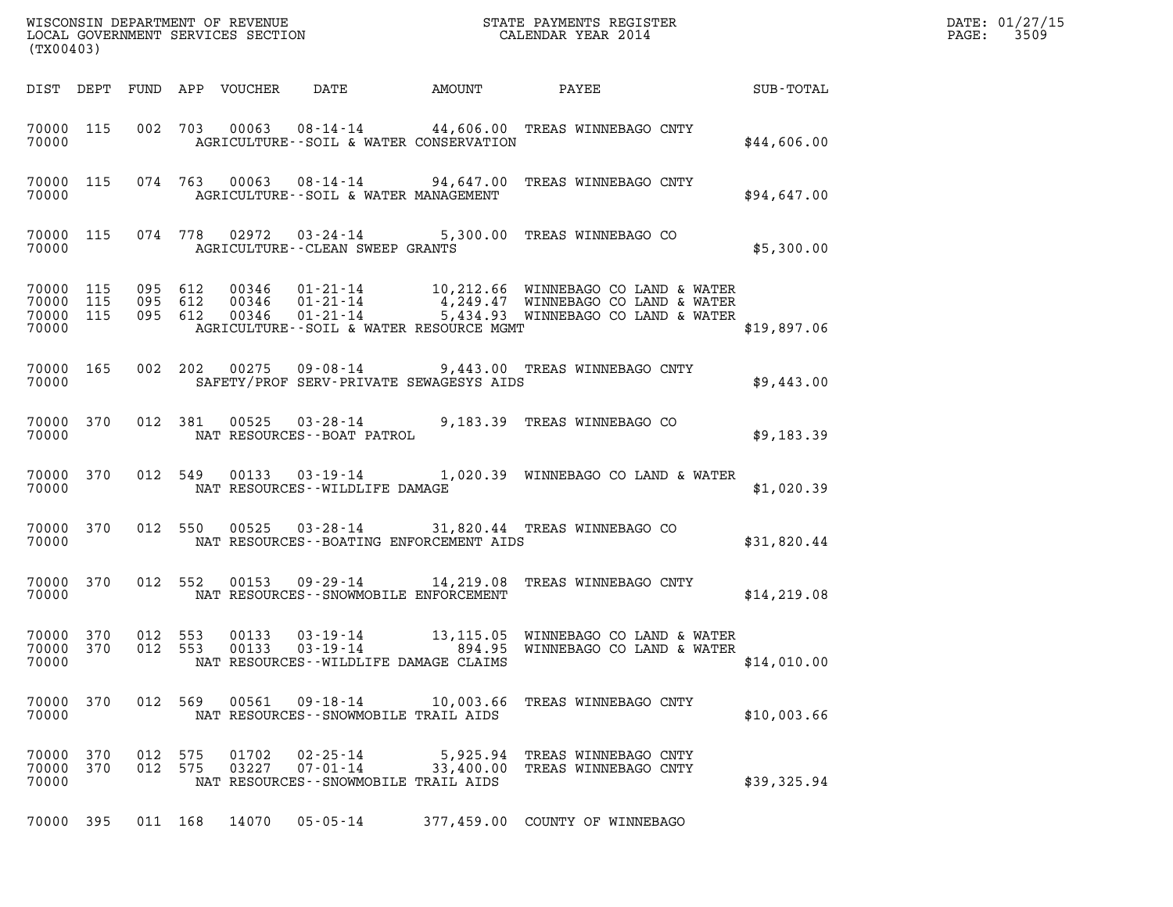| (TX00403)                   |     |                    |                |                                                                       |                                                                                                                                                                                                                                                                                                                         |              | DATE: 01/27/15<br>3509<br>$\mathtt{PAGE:}$ |
|-----------------------------|-----|--------------------|----------------|-----------------------------------------------------------------------|-------------------------------------------------------------------------------------------------------------------------------------------------------------------------------------------------------------------------------------------------------------------------------------------------------------------------|--------------|--------------------------------------------|
|                             |     |                    |                |                                                                       |                                                                                                                                                                                                                                                                                                                         |              |                                            |
| 70000 115<br>70000          |     |                    |                | AGRICULTURE--SOIL & WATER CONSERVATION                                | 002 703 00063 08-14-14 44,606.00 TREAS WINNEBAGO CNTY                                                                                                                                                                                                                                                                   | \$44,606.00  |                                            |
| 70000                       |     |                    |                | AGRICULTURE--SOIL & WATER MANAGEMENT                                  | 70000 115 074 763 00063 08-14-14 94,647.00 TREAS WINNEBAGO CNTY                                                                                                                                                                                                                                                         | \$94,647.00  |                                            |
| 70000                       |     |                    |                | AGRICULTURE--CLEAN SWEEP GRANTS                                       | 70000 115 074 778 02972 03-24-14 5,300.00 TREAS WINNEBAGO CO                                                                                                                                                                                                                                                            | \$5,300.00   |                                            |
| 70000                       |     |                    |                | AGRICULTURE--SOIL & WATER RESOURCE MGMT                               | $\begin{array}{cccccc} 70000& 115& 095& 612& 00346& 01\text{-}21\text{-}14& & 10,212.66& \text{WINNEBAGO CO LAND & k WATER} \\ 70000& 115& 095& 612& 00346& 01\text{-}21\text{-}14& & 4,249.47& \text{WINNEBAGO CO LAND & k WATER} \\ 70000& 115& 095& 612& 00346& 01\text{-}21\text{-}14& & 5,434.93& \text{WINNEBAGO$ | \$19,897.06  |                                            |
| 70000                       |     |                    |                | SAFETY/PROF SERV-PRIVATE SEWAGESYS AIDS                               | 70000 165 002 202 00275 09-08-14 9,443.00 TREAS WINNEBAGO CNTY                                                                                                                                                                                                                                                          | \$9,443.00   |                                            |
|                             |     |                    |                |                                                                       | $\begin{tabular}{lllllll} \bf 70000 & 370 & 012 & 381 & 00525 & 03-28-14 & 9,183.39 \end{tabular} \begin{tabular}{lllll} \bf 9,183.39 & TREAS WINNEBAGO CO \\ \bf 10000 & \bf 10000 & \bf 10000 & 0.0000 & 0.0000 \end{tabular}$                                                                                        | \$9,183.39   |                                            |
| 70000                       |     |                    |                | NAT RESOURCES--WILDLIFE DAMAGE                                        | 70000 370 012 549 00133 03-19-14 1,020.39 WINNEBAGO CO LAND & WATER                                                                                                                                                                                                                                                     | \$1,020.39   |                                            |
| 70000                       |     |                    |                | NAT RESOURCES--BOATING ENFORCEMENT AIDS                               | 70000 370 012 550 00525 03-28-14 31,820.44 TREAS WINNEBAGO CO                                                                                                                                                                                                                                                           | \$31,820.44  |                                            |
| 70000 370<br>70000          |     |                    |                | NAT RESOURCES - - SNOWMOBILE ENFORCEMENT                              | 012 552 00153 09-29-14 14,219.08 TREAS WINNEBAGO CNTY                                                                                                                                                                                                                                                                   | \$14, 219.08 |                                            |
| 70000 370<br>70000          |     | 012 553            |                | $00133003 - 19 - 14$<br>NAT RESOURCES--WILDLIFE DAMAGE CLAIMS         | 70000 370 012 553 00133 03-19-14 13,115.05 WINNEBAGO CO LAND & WATER<br>894.95 WINNEBAGO CO LAND & WATER                                                                                                                                                                                                                | \$14,010.00  |                                            |
| 70000 370<br>70000          |     | 012 569            | 00561          | NAT RESOURCES - - SNOWMOBILE TRAIL AIDS                               | 09-18-14 10,003.66 TREAS WINNEBAGO CNTY                                                                                                                                                                                                                                                                                 | \$10,003.66  |                                            |
| 70000<br>70000 370<br>70000 | 370 | 012 575<br>012 575 | 01702<br>03227 | $02 - 25 - 14$<br>07-01-14<br>NAT RESOURCES - - SNOWMOBILE TRAIL AIDS | 5,925.94 TREAS WINNEBAGO CNTY<br>33,400.00 TREAS WINNEBAGO CNTY                                                                                                                                                                                                                                                         | \$39,325.94  |                                            |
| 70000 395                   |     | 011 168            | 14070          | $05 - 05 - 14$                                                        | 377,459.00 COUNTY OF WINNEBAGO                                                                                                                                                                                                                                                                                          |              |                                            |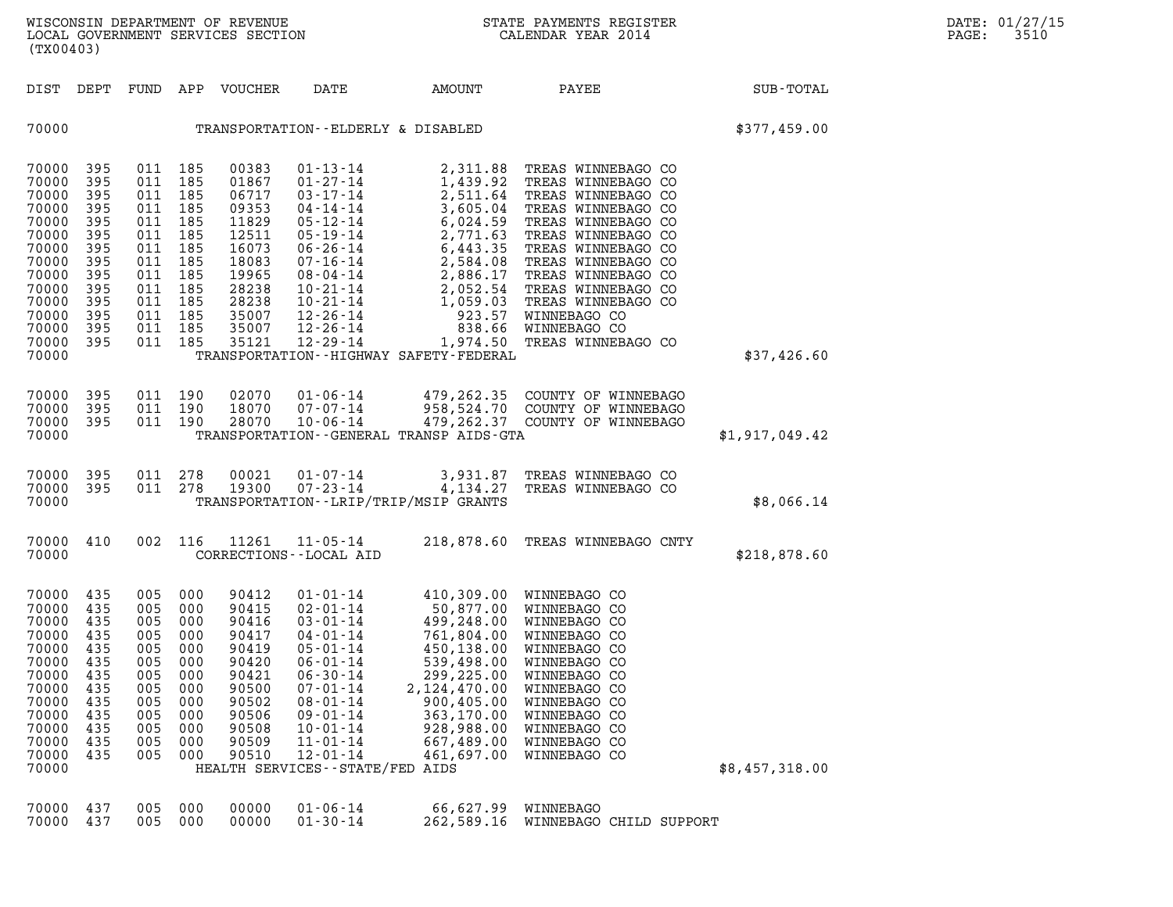| WISCONSIN DEPARTMENT OF REVENUE<br>LOCAL GOVERNMENT SERVICES SECTION<br>. | STATE PAYMENTS REGISTER<br>CALENDAR YEAR 2014 | DATE: 01/27/15<br>3510<br>PAGE: |
|---------------------------------------------------------------------------|-----------------------------------------------|---------------------------------|

| (TX00403)                                                                                                                               |                                                                                         |                                                                                                                                                    |                                                                                         | WISCONSIN DEPARTMENT OF REVENUE<br>LOCAL GOVERNMENT SERVICES SECTION                                                       |                                                                                                                                                                                                                                                                  |                                                                                                                                                                         | STATE PAYMENTS REGISTER<br>CALENDAR YEAR 2014                                                                                                                                                                           |                | DATE: 01/27/15<br>PAGE:<br>3510 |
|-----------------------------------------------------------------------------------------------------------------------------------------|-----------------------------------------------------------------------------------------|----------------------------------------------------------------------------------------------------------------------------------------------------|-----------------------------------------------------------------------------------------|----------------------------------------------------------------------------------------------------------------------------|------------------------------------------------------------------------------------------------------------------------------------------------------------------------------------------------------------------------------------------------------------------|-------------------------------------------------------------------------------------------------------------------------------------------------------------------------|-------------------------------------------------------------------------------------------------------------------------------------------------------------------------------------------------------------------------|----------------|---------------------------------|
| DIST DEPT                                                                                                                               |                                                                                         |                                                                                                                                                    |                                                                                         | FUND APP VOUCHER                                                                                                           | DATE                                                                                                                                                                                                                                                             | AMOUNT PAYEE                                                                                                                                                            |                                                                                                                                                                                                                         | SUB-TOTAL      |                                 |
| 70000                                                                                                                                   |                                                                                         |                                                                                                                                                    |                                                                                         |                                                                                                                            | TRANSPORTATION--ELDERLY & DISABLED                                                                                                                                                                                                                               |                                                                                                                                                                         |                                                                                                                                                                                                                         | \$377,459.00   |                                 |
| 70000 395<br>70000<br>70000<br>70000<br>70000<br>70000<br>70000<br>70000<br>70000<br>70000<br>70000<br>70000<br>70000<br>70000<br>70000 | 395<br>395<br>395<br>395<br>395<br>395<br>395<br>395<br>395<br>395<br>395<br>395<br>395 | 011 185<br>011<br>011 185<br>011 185<br>011 185<br>011 185<br>011 185<br>011 185<br>011 185<br>011 185<br>011 185<br>011 185<br>011 185<br>011 185 | 185                                                                                     | 00383<br>01867<br>06717<br>09353<br>11829<br>12511<br>16073<br>18083<br>19965<br>28238<br>28238<br>35007<br>35007<br>35121 | $12 - 29 - 14$                                                                                                                                                                                                                                                   | TRANSPORTATION - - HIGHWAY SAFETY - FEDERAL                                                                                                                             | 1,974.50 TREAS WINNEBAGO CO                                                                                                                                                                                             | \$37,426.60    |                                 |
| 70000<br>70000<br>70000<br>70000                                                                                                        | 395<br>395<br>395                                                                       | 011 190<br>011 190<br>011 190                                                                                                                      |                                                                                         | 02070<br>18070<br>28070                                                                                                    | 01-06-14<br>07-07-14                                                                                                                                                                                                                                             | TRANSPORTATION--GENERAL TRANSP AIDS-GTA                                                                                                                                 | 479,262.35 COUNTY OF WINNEBAGO<br>958,524.70 COUNTY OF WINNEBAGO<br>10-06-14 479, 262.37 COUNTY OF WINNEBAGO                                                                                                            | \$1,917,049.42 |                                 |
| 70000<br>70000<br>70000                                                                                                                 | 395<br>395                                                                              | 011 278<br>011 278                                                                                                                                 |                                                                                         | 00021<br>19300                                                                                                             | $01 - 07 - 14$<br>$07 - 23 - 14$                                                                                                                                                                                                                                 | TRANSPORTATION - - LRIP/TRIP/MSIP GRANTS                                                                                                                                | 3,931.87 TREAS WINNEBAGO CO<br>4,134.27 TREAS WINNEBAGO CO                                                                                                                                                              | \$8,066.14     |                                 |
| 70000 410<br>70000                                                                                                                      |                                                                                         | 002 116                                                                                                                                            |                                                                                         | 11261                                                                                                                      | 11-05-14<br>CORRECTIONS - - LOCAL AID                                                                                                                                                                                                                            |                                                                                                                                                                         | 218,878.60 TREAS WINNEBAGO CNTY                                                                                                                                                                                         | \$218,878.60   |                                 |
| 70000<br>70000<br>70000<br>70000<br>70000<br>70000<br>70000<br>70000<br>70000<br>70000<br>70000<br>70000<br>70000<br>70000              | 435<br>435<br>435<br>435<br>435<br>435<br>435<br>435<br>435<br>435<br>435<br>435<br>435 | 005<br>005<br>005<br>005<br>005<br>005<br>005<br>005<br>005<br>005<br>005<br>005<br>005                                                            | 000<br>000<br>000<br>000<br>000<br>000<br>000<br>000<br>000<br>000<br>000<br>000<br>000 | 90412<br>90415<br>90416<br>90417<br>90419<br>90420<br>90421<br>90500<br>90502<br>90506<br>90508<br>90509<br>90510          | 01-01-14<br>$02 - 01 - 14$<br>$03 - 01 - 14$<br>04-01-14<br>$05 - 01 - 14$<br>$06 - 01 - 14$<br>$06 - 30 - 14$<br>$07 - 01 - 14$<br>$08 - 01 - 14$<br>$09 - 01 - 14$<br>$10 - 01 - 14$<br>$11 - 01 - 14$<br>$12 - 01 - 14$<br>HEALTH SERVICES - - STATE/FED AIDS | 50,877.00<br>499,248.00<br>761,804.00<br>450,138.00<br>539,498.00<br>299,225.00<br>2, 124, 470.00<br>900,405.00<br>363,170.00<br>928,988.00<br>667,489.00<br>461,697.00 | 410,309.00 WINNEBAGO CO<br>WINNEBAGO CO<br>WINNEBAGO CO<br>WINNEBAGO CO<br>WINNEBAGO CO<br>WINNEBAGO CO<br>WINNEBAGO CO<br>WINNEBAGO CO<br>WINNEBAGO CO<br>WINNEBAGO CO<br>WINNEBAGO CO<br>WINNEBAGO CO<br>WINNEBAGO CO | \$8,457,318.00 |                                 |
| 70000<br>70000                                                                                                                          | 437<br>437                                                                              | 005<br>005                                                                                                                                         | 000<br>000                                                                              | 00000<br>00000                                                                                                             | $01 - 06 - 14$<br>$01 - 30 - 14$                                                                                                                                                                                                                                 | 66,627.99<br>262,589.16                                                                                                                                                 | WINNEBAGO<br>WINNEBAGO CHILD SUPPORT                                                                                                                                                                                    |                |                                 |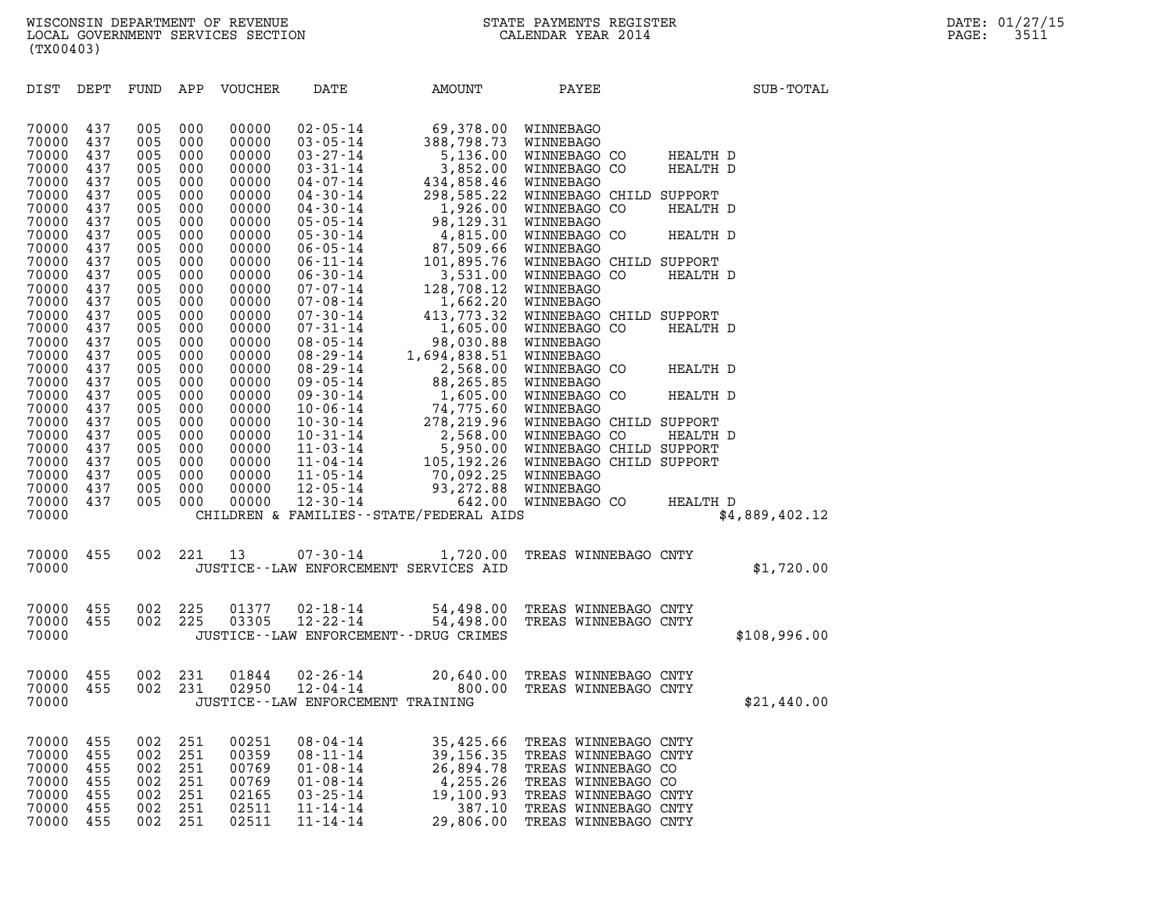| (TX00403)                                          |                                        |                                        |                                        |                                                    |                                                                      |                                                     |                                                                                            |                      |                |
|----------------------------------------------------|----------------------------------------|----------------------------------------|----------------------------------------|----------------------------------------------------|----------------------------------------------------------------------|-----------------------------------------------------|--------------------------------------------------------------------------------------------|----------------------|----------------|
| DIST                                               | DEPT                                   | FUND APP                               |                                        | VOUCHER                                            | DATE                                                                 | AMOUNT                                              | PAYEE                                                                                      |                      | SUB-TOTAL      |
| 70000<br>70000<br>70000<br>70000                   | 437<br>437<br>437<br>437               | 005<br>005<br>005<br>005               | 000<br>000<br>000<br>000               | 00000<br>00000<br>00000<br>00000                   | $02 - 05 - 14$                                                       | 69,378.00                                           | WINNEBAGO                                                                                  | HEALTH D<br>HEALTH D |                |
| 70000<br>70000<br>70000<br>70000                   | 437<br>437<br>437<br>437               | 005<br>005<br>005<br>005               | 000<br>000<br>000<br>000               | 00000<br>00000<br>00000<br>00000                   |                                                                      |                                                     |                                                                                            | HEALTH D             |                |
| 70000<br>70000<br>70000<br>70000                   | 437<br>437<br>437<br>437               | 005<br>005<br>005<br>005               | 000<br>000<br>000<br>000               | 00000<br>00000<br>00000<br>00000                   |                                                                      |                                                     |                                                                                            | HEALTH D<br>HEALTH D |                |
| 70000<br>70000<br>70000                            | 437<br>437<br>437                      | 005<br>005<br>005                      | 000<br>000<br>000                      | 00000<br>00000<br>00000                            |                                                                      |                                                     |                                                                                            |                      |                |
| 70000<br>70000<br>70000<br>70000                   | 437<br>437<br>437<br>437               | 005<br>005<br>005<br>005               | 000<br>000<br>000<br>000               | 00000<br>00000<br>00000<br>00000                   |                                                                      |                                                     |                                                                                            | HEALTH D<br>HEALTH D |                |
| 70000<br>70000<br>70000                            | 437<br>437<br>437                      | 005<br>005<br>005                      | 000<br>000<br>000                      | 00000<br>00000<br>00000                            |                                                                      |                                                     |                                                                                            | HEALTH D             |                |
| 70000<br>70000<br>70000<br>70000<br>70000<br>70000 | 437<br>437<br>437<br>437<br>437<br>437 | 005<br>005<br>005<br>005<br>005<br>005 | 000<br>000<br>000<br>000<br>000<br>000 | 00000<br>00000<br>00000<br>00000<br>00000<br>00000 |                                                                      |                                                     |                                                                                            | HEALTH D             |                |
| 70000<br>70000                                     | 437                                    | 005                                    | 000                                    | 00000                                              |                                                                      | CHILDREN & FAMILIES - - STATE/FEDERAL AIDS          |                                                                                            | HEALTH D             | \$4,889,402.12 |
| 70000<br>70000                                     | 455                                    | 002                                    | 221                                    | 13                                                 | $07 - 30 - 14$                                                       | 1,720.00<br>JUSTICE -- LAW ENFORCEMENT SERVICES AID | TREAS WINNEBAGO CNTY                                                                       |                      | \$1,720.00     |
| 70000<br>70000<br>70000                            | 455<br>455                             | 002<br>002                             | 225<br>225                             | 01377<br>03305                                     | $02 - 18 - 14$<br>$12 - 22 - 14$                                     | JUSTICE - - LAW ENFORCEMENT - - DRUG CRIMES         | 54,498.00 TREAS WINNEBAGO CNTY<br>54,498.00 TREAS WINNEBAGO CNTY                           |                      | \$108,996.00   |
| 70000<br>70000<br>70000                            | 455<br>455                             | 002<br>002                             | 231<br>231                             | 01844<br>02950                                     | 02-26-14<br>12-04-14<br>JUSTICE - - LAW ENFORCEMENT TRAINING         | 20,640.00<br>800.00                                 | TREAS WINNEBAGO CNTY<br>TREAS WINNEBAGO CNTY                                               |                      | \$21,440.00    |
| 70000<br>70000<br>70000                            | 455<br>455<br>455<br>455               | 002<br>002<br>002                      | 251<br>251<br>251<br>251               | 00251<br>00359<br>00769<br>00769                   | $08 - 04 - 14$<br>$08 - 11 - 14$<br>$01 - 08 - 14$<br>$01 - 08 - 14$ | 35,425.66<br>39, 156. 35<br>26,894.78<br>4,255.26   | TREAS WINNEBAGO CNTY<br>TREAS WINNEBAGO CNTY<br>TREAS WINNEBAGO CO                         |                      |                |
| 70000<br>70000<br>70000<br>70000                   | 455<br>455<br>455                      | 002<br>002<br>002<br>002               | 251<br>251<br>251                      | 02165<br>02511<br>02511                            | $03 - 25 - 14$<br>$11 - 14 - 14$<br>$11 - 14 - 14$                   | 19,100.93<br>387.10<br>29,806.00                    | TREAS WINNEBAGO CO<br>TREAS WINNEBAGO CNTY<br>TREAS WINNEBAGO CNTY<br>TREAS WINNEBAGO CNTY |                      |                |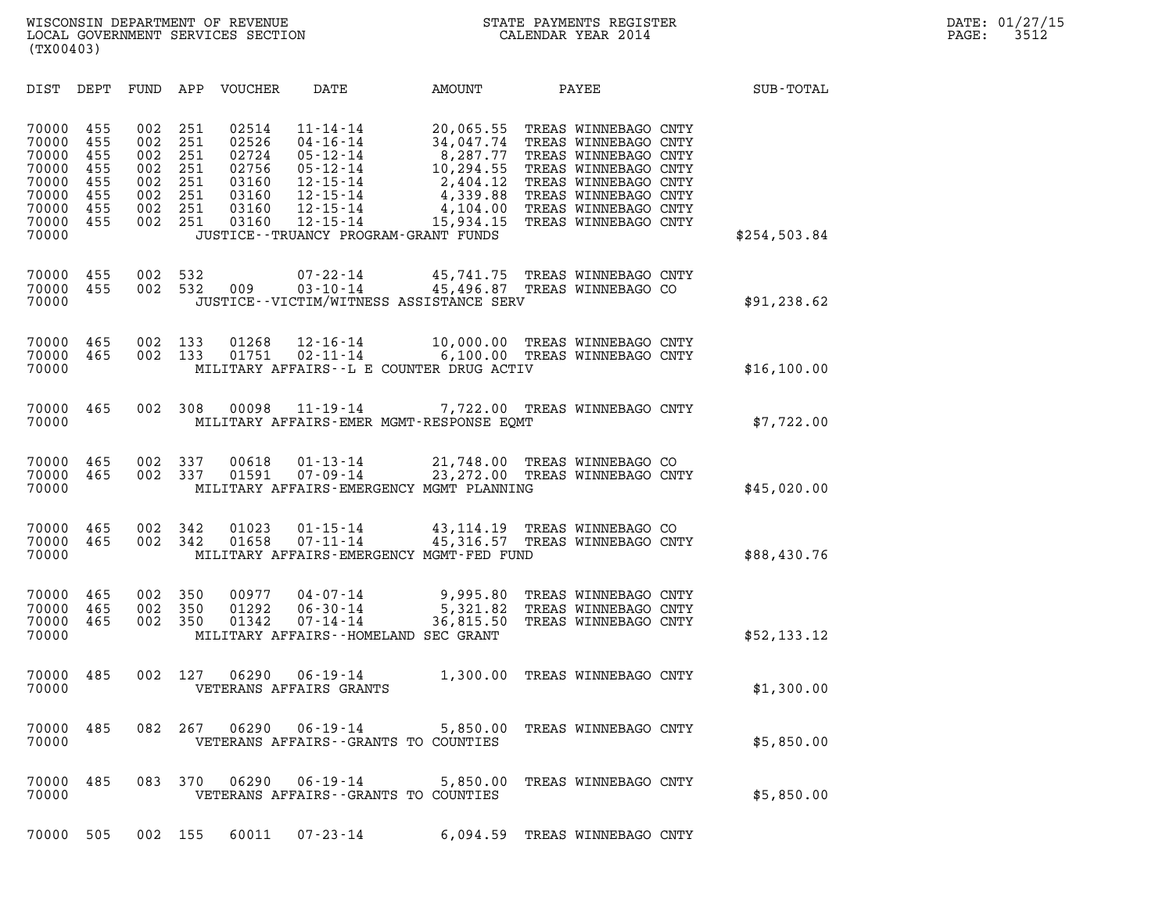| (TX00403)                                                                     |                                                      |                                                      |                                                      |                                                                      |                                                                                                                                                                                           |                                                                                                  |                                                                                                                                                                                              |              |  |
|-------------------------------------------------------------------------------|------------------------------------------------------|------------------------------------------------------|------------------------------------------------------|----------------------------------------------------------------------|-------------------------------------------------------------------------------------------------------------------------------------------------------------------------------------------|--------------------------------------------------------------------------------------------------|----------------------------------------------------------------------------------------------------------------------------------------------------------------------------------------------|--------------|--|
| DIST                                                                          | DEPT                                                 | FUND                                                 | APP                                                  | VOUCHER                                                              | DATE                                                                                                                                                                                      | <b>AMOUNT</b>                                                                                    | PAYEE                                                                                                                                                                                        | SUB-TOTAL    |  |
| 70000<br>70000<br>70000<br>70000<br>70000<br>70000<br>70000<br>70000<br>70000 | 455<br>455<br>455<br>455<br>455<br>455<br>455<br>455 | 002<br>002<br>002<br>002<br>002<br>002<br>002<br>002 | 251<br>251<br>251<br>251<br>251<br>251<br>251<br>251 | 02514<br>02526<br>02724<br>02756<br>03160<br>03160<br>03160<br>03160 | $11 - 14 - 14$<br>$04 - 16 - 14$<br>$05 - 12 - 14$<br>$05 - 12 - 14$<br>$12 - 15 - 14$<br>$12 - 15 - 14$<br>$12 - 15 - 14$<br>$12 - 15 - 14$<br>JUSTICE - - TRUANCY PROGRAM - GRANT FUNDS | 20,065.55<br>34,047.74<br>8,287.77<br>10,294.55<br>2,404.12<br>4,339.88<br>4,104.00<br>15,934.15 | TREAS WINNEBAGO CNTY<br>TREAS WINNEBAGO CNTY<br>TREAS WINNEBAGO CNTY<br>TREAS WINNEBAGO CNTY<br>TREAS WINNEBAGO CNTY<br>TREAS WINNEBAGO CNTY<br>TREAS WINNEBAGO CNTY<br>TREAS WINNEBAGO CNTY | \$254,503.84 |  |
| 70000<br>70000<br>70000                                                       | 455<br>455                                           | 002<br>002                                           | 532<br>532                                           | 009                                                                  | $07 - 22 - 14$<br>$03 - 10 - 14$<br>JUSTICE - - VICTIM/WITNESS ASSISTANCE SERV                                                                                                            | 45,741.75<br>45,496.87                                                                           | TREAS WINNEBAGO CNTY<br>TREAS WINNEBAGO CO                                                                                                                                                   | \$91, 238.62 |  |
| 70000<br>70000<br>70000                                                       | 465<br>465                                           | 002<br>002                                           | 133<br>133                                           | 01268<br>01751                                                       | $12 - 16 - 14$<br>$02 - 11 - 14$<br>MILITARY AFFAIRS--L E COUNTER DRUG ACTIV                                                                                                              | 10,000.00<br>6,100.00                                                                            | TREAS WINNEBAGO CNTY<br>TREAS WINNEBAGO CNTY                                                                                                                                                 | \$16, 100.00 |  |
| 70000<br>70000                                                                | 465                                                  | 002                                                  | 308                                                  | 00098                                                                | $11 - 19 - 14$<br>MILITARY AFFAIRS-EMER MGMT-RESPONSE EOMT                                                                                                                                | 7,722.00                                                                                         | TREAS WINNEBAGO CNTY                                                                                                                                                                         | \$7,722.00   |  |
| 70000<br>70000<br>70000                                                       | 465<br>465                                           | 002<br>002                                           | 337<br>337                                           | 00618<br>01591                                                       | $01 - 13 - 14$<br>$07 - 09 - 14$<br>MILITARY AFFAIRS-EMERGENCY MGMT PLANNING                                                                                                              | 21,748.00<br>23, 272.00                                                                          | TREAS WINNEBAGO CO<br>TREAS WINNEBAGO CNTY                                                                                                                                                   | \$45,020.00  |  |
| 70000<br>70000<br>70000                                                       | 465<br>465                                           | 002<br>002                                           | 342<br>342                                           | 01023<br>01658                                                       | $01 - 15 - 14$<br>$07 - 11 - 14$<br>MILITARY AFFAIRS-EMERGENCY MGMT-FED FUND                                                                                                              | 43,114.19<br>45,316.57                                                                           | TREAS WINNEBAGO CO<br>TREAS WINNEBAGO CNTY                                                                                                                                                   | \$88,430.76  |  |
| 70000<br>70000<br>70000<br>70000                                              | 465<br>465<br>465                                    | 002<br>002<br>002                                    | 350<br>350<br>350                                    | 00977<br>01292<br>01342                                              | $04 - 07 - 14$<br>$06 - 30 - 14$<br>$07 - 14 - 14$<br>MILITARY AFFAIRS--HOMELAND SEC GRANT                                                                                                | 9,995.80<br>5,321.82<br>36,815.50                                                                | TREAS WINNEBAGO CNTY<br>TREAS WINNEBAGO CNTY<br>TREAS WINNEBAGO CNTY                                                                                                                         | \$52,133.12  |  |
| 70000<br>70000                                                                | 485                                                  | 002                                                  | 127                                                  | 06290                                                                | $06 - 19 - 14$<br>VETERANS AFFAIRS GRANTS                                                                                                                                                 | 1,300.00                                                                                         | TREAS WINNEBAGO CNTY                                                                                                                                                                         | \$1,300.00   |  |
| 70000 485<br>70000                                                            |                                                      |                                                      | 082 267                                              | 06290                                                                | $06 - 19 - 14$<br>VETERANS AFFAIRS -- GRANTS TO COUNTIES                                                                                                                                  |                                                                                                  | 5,850.00 TREAS WINNEBAGO CNTY                                                                                                                                                                | \$5,850.00   |  |
| 70000<br>70000                                                                | 485                                                  | 083                                                  | 370                                                  | 06290                                                                | $06 - 19 - 14$<br>VETERANS AFFAIRS -- GRANTS TO COUNTIES                                                                                                                                  |                                                                                                  | 5,850.00 TREAS WINNEBAGO CNTY                                                                                                                                                                | \$5,850.00   |  |
|                                                                               |                                                      |                                                      |                                                      |                                                                      | 70000 505 002 155 60011 07-23-14 6,094.59 TREAS WINNEBAGO CNTY                                                                                                                            |                                                                                                  |                                                                                                                                                                                              |              |  |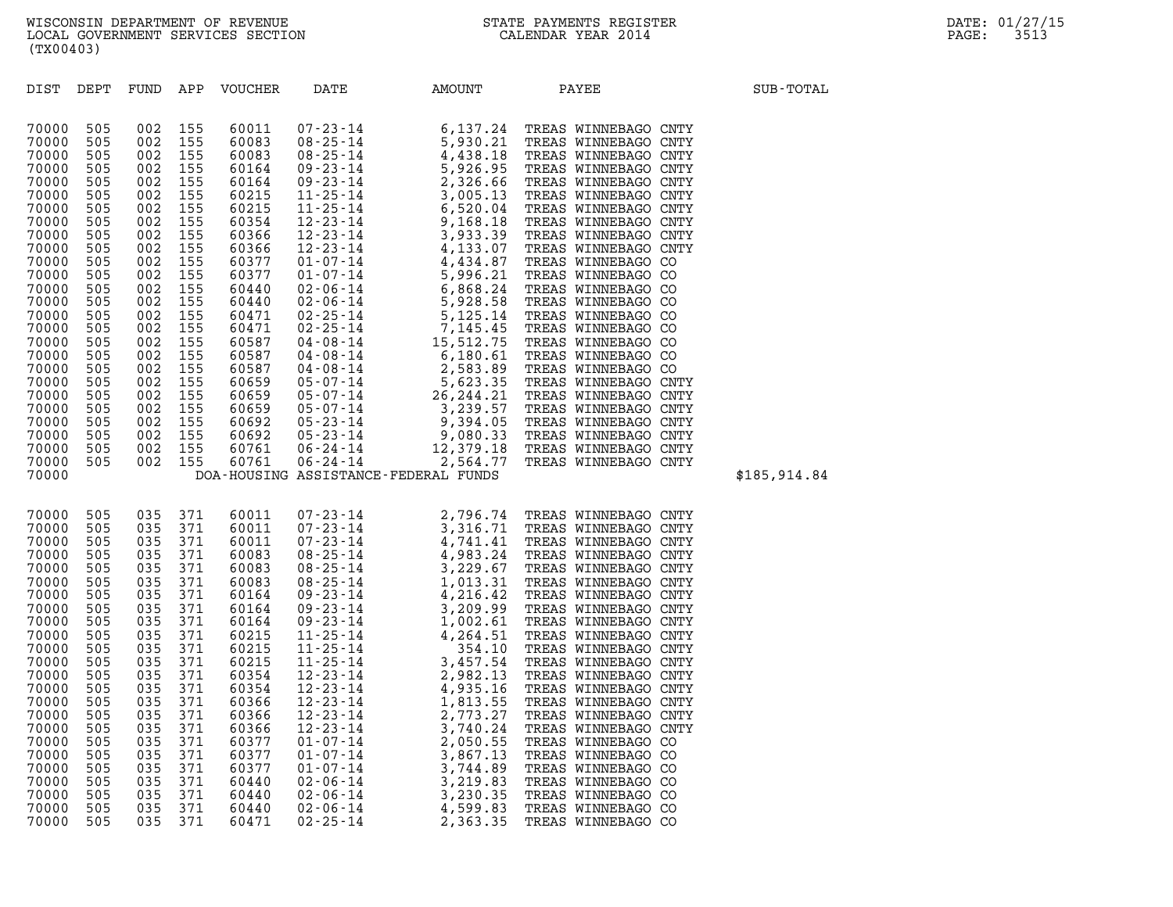| (TX00403)                                                                                                                                                                                                                                       |                                                                                                                                                                                    |                                                                                                                                                                                    |                                                                                                                                                                                    |                                                                                                                                                                                                                                        |                                                                                                                                                                |                                                                                                          |                                                                                                                                                                                                        |              |  |  |
|-------------------------------------------------------------------------------------------------------------------------------------------------------------------------------------------------------------------------------------------------|------------------------------------------------------------------------------------------------------------------------------------------------------------------------------------|------------------------------------------------------------------------------------------------------------------------------------------------------------------------------------|------------------------------------------------------------------------------------------------------------------------------------------------------------------------------------|----------------------------------------------------------------------------------------------------------------------------------------------------------------------------------------------------------------------------------------|----------------------------------------------------------------------------------------------------------------------------------------------------------------|----------------------------------------------------------------------------------------------------------|--------------------------------------------------------------------------------------------------------------------------------------------------------------------------------------------------------|--------------|--|--|
| DIST                                                                                                                                                                                                                                            | DEPT                                                                                                                                                                               | FUND                                                                                                                                                                               | APP                                                                                                                                                                                | VOUCHER                                                                                                                                                                                                                                | DATE                                                                                                                                                           | <b>AMOUNT</b>                                                                                            | PAYEE                                                                                                                                                                                                  | SUB-TOTAL    |  |  |
| 70000<br>70000<br>70000<br>70000<br>70000<br>70000<br>70000<br>70000<br>70000<br>70000<br>70000<br>70000<br>70000<br>70000<br>70000<br>70000<br>70000<br>70000<br>70000<br>70000<br>70000<br>70000<br>70000<br>70000<br>70000<br>70000<br>70000 | 505<br>505<br>505<br>505<br>505<br>505<br>505<br>505<br>505<br>505<br>505<br>505<br>505<br>505<br>505<br>505<br>505<br>505<br>505<br>505<br>505<br>505<br>505<br>505<br>505<br>505 | 002<br>002<br>002<br>002<br>002<br>002<br>002<br>002<br>002<br>002<br>002<br>002<br>002<br>002<br>002<br>002<br>002<br>002<br>002<br>002<br>002<br>002<br>002<br>002<br>002<br>002 | 155<br>155<br>155<br>155<br>155<br>155<br>155<br>155<br>155<br>155<br>155<br>155<br>155<br>155<br>155<br>155<br>155<br>155<br>155<br>155<br>155<br>155<br>155<br>155<br>155<br>155 | 60011<br>60083<br>60083<br>60164<br>60164<br>60215<br>60215<br>60354<br>60366<br>60366<br>60377<br>60377<br>60440<br>60440<br>60471<br>60471<br>60587<br>60587<br>60587<br>60659<br>60659<br>60659<br>60692<br>60692<br>60761<br>60761 |                                                                                                                                                                | DOA-HOUSING ASSISTANCE-FEDERAL FUNDS                                                                     |                                                                                                                                                                                                        | \$185,914.84 |  |  |
| 70000<br>70000<br>70000<br>70000<br>70000<br>70000<br>70000<br>70000<br>70000<br>70000<br>70000<br>70000<br>70000<br>70000<br>70000<br>70000<br>70000<br>70000<br>70000<br>70000<br>70000<br>70000<br>70000<br>70000                            | 505<br>505<br>505<br>505<br>505<br>505<br>505<br>505<br>505<br>505<br>505<br>505<br>505<br>505<br>505<br>505<br>505<br>505<br>505<br>505<br>505<br>505<br>505<br>505               | 035<br>035<br>035<br>035<br>035<br>035<br>035<br>035<br>035<br>035<br>035<br>035<br>035<br>035<br>035<br>035<br>035<br>035<br>035<br>035<br>035<br>035<br>035<br>035               | 371<br>371<br>371<br>371<br>371<br>371<br>371<br>371<br>371<br>371<br>371<br>371<br>371<br>371<br>371<br>371<br>371<br>371<br>371<br>371<br>371<br>371<br>371<br>371               | 60011<br>60011<br>60011<br>60083<br>60083<br>60083<br>60164<br>60164<br>60164<br>60215<br>60215<br>60215<br>60354<br>60354<br>60366<br>60366<br>60366<br>60377<br>60377<br>60377<br>60440<br>60440<br>60440<br>60471                   | $12 - 23 - 14$<br>$12 - 23 - 14$<br>$01 - 07 - 14$<br>$01 - 07 - 14$<br>$01 - 07 - 14$<br>$02 - 06 - 14$<br>$02 - 06 - 14$<br>$02 - 06 - 14$<br>$02 - 25 - 14$ | 2,773.27<br>3,740.24<br>2,050.55<br>3,867.13<br>3,744.89<br>3,219.83<br>3,230.35<br>4,599.83<br>2,363.35 | TREAS WINNEBAGO CNTY<br>TREAS WINNEBAGO CNTY<br>TREAS WINNEBAGO CO<br>TREAS WINNEBAGO CO<br>TREAS WINNEBAGO CO<br>TREAS WINNEBAGO CO<br>TREAS WINNEBAGO CO<br>TREAS WINNEBAGO CO<br>TREAS WINNEBAGO CO |              |  |  |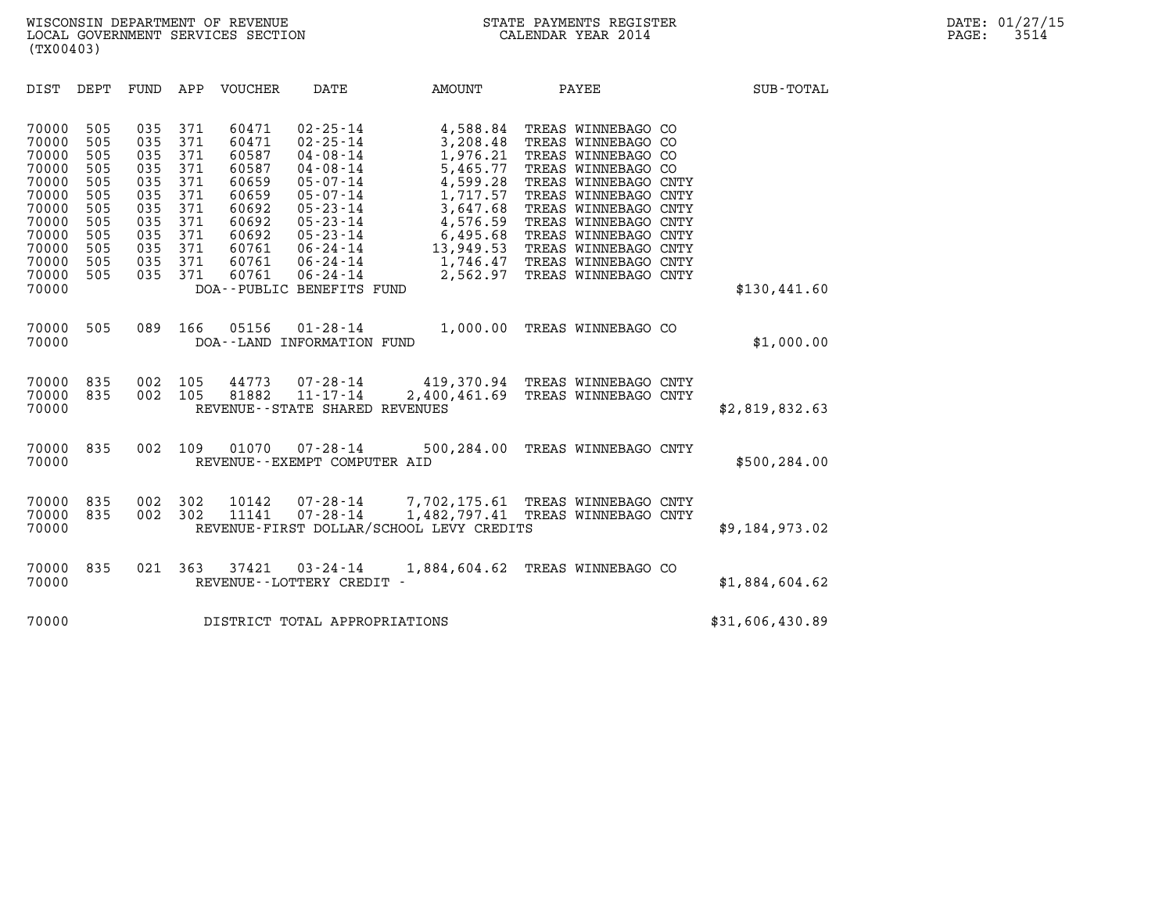| DIST<br>DEPT                                                                                                                                                                                          | VOUCHER<br>FUND<br>APP                                                                                                                                                                                                                                                           | DATE                                                                                                                                                                                                                                              | <b>AMOUNT</b>                                                                                                                                 | PAYEE                                                                                                                                                                                                                                                                                | <b>SUB-TOTAL</b> |
|-------------------------------------------------------------------------------------------------------------------------------------------------------------------------------------------------------|----------------------------------------------------------------------------------------------------------------------------------------------------------------------------------------------------------------------------------------------------------------------------------|---------------------------------------------------------------------------------------------------------------------------------------------------------------------------------------------------------------------------------------------------|-----------------------------------------------------------------------------------------------------------------------------------------------|--------------------------------------------------------------------------------------------------------------------------------------------------------------------------------------------------------------------------------------------------------------------------------------|------------------|
| 70000<br>505<br>70000<br>505<br>70000<br>505<br>70000<br>505<br>70000<br>505<br>70000<br>505<br>70000<br>505<br>70000<br>505<br>70000<br>505<br>70000<br>505<br>70000<br>505<br>70000<br>505<br>70000 | 035<br>371<br>60471<br>371<br>035<br>60471<br>035<br>371<br>60587<br>371<br>035<br>60587<br>035<br>371<br>60659<br>035<br>371<br>60659<br>035<br>371<br>60692<br>035<br>371<br>60692<br>035<br>371<br>60692<br>035<br>371<br>60761<br>035<br>371<br>60761<br>035<br>371<br>60761 | $02 - 25 - 14$<br>$02 - 25 - 14$<br>$04 - 08 - 14$<br>$04 - 08 - 14$<br>$05 - 07 - 14$<br>$05 - 07 - 14$<br>$05 - 23 - 14$<br>$05 - 23 - 14$<br>$05 - 23 - 14$<br>$06 - 24 - 14$<br>$06 - 24 - 14$<br>$06 - 24 - 14$<br>DOA--PUBLIC BENEFITS FUND | 4,588.84<br>3,208.48<br>1,976.21<br>5,465.77<br>4,599.28<br>1,717.57<br>3,647.68<br>4,576.59<br>6,495.68<br>13,949.53<br>1,746.47<br>2,562.97 | TREAS WINNEBAGO CO<br>TREAS WINNEBAGO CO<br>TREAS WINNEBAGO CO<br>TREAS WINNEBAGO CO<br>TREAS WINNEBAGO CNTY<br>TREAS WINNEBAGO CNTY<br>TREAS WINNEBAGO CNTY<br>TREAS WINNEBAGO CNTY<br>TREAS WINNEBAGO CNTY<br>TREAS WINNEBAGO CNTY<br>TREAS WINNEBAGO CNTY<br>TREAS WINNEBAGO CNTY | \$130,441.60     |
| 70000<br>505<br>70000                                                                                                                                                                                 | 089<br>166<br>05156                                                                                                                                                                                                                                                              | $01 - 28 - 14$<br>DOA--LAND INFORMATION FUND                                                                                                                                                                                                      | 1,000.00                                                                                                                                      | TREAS WINNEBAGO CO                                                                                                                                                                                                                                                                   | \$1,000.00       |
| 70000<br>835<br>70000<br>835<br>70000                                                                                                                                                                 | 002<br>105<br>44773<br>002<br>81882<br>105                                                                                                                                                                                                                                       | $07 - 28 - 14$<br>$11 - 17 - 14$<br>REVENUE - - STATE SHARED REVENUES                                                                                                                                                                             | 2,400,461.69                                                                                                                                  | 419,370.94 TREAS WINNEBAGO CNTY<br>TREAS WINNEBAGO CNTY                                                                                                                                                                                                                              | \$2,819,832.63   |
| 835<br>70000<br>70000                                                                                                                                                                                 | 002<br>109<br>01070                                                                                                                                                                                                                                                              | $07 - 28 - 14$<br>REVENUE - - EXEMPT COMPUTER AID                                                                                                                                                                                                 | 500,284.00                                                                                                                                    | TREAS WINNEBAGO CNTY                                                                                                                                                                                                                                                                 | \$500,284.00     |
| 70000<br>835<br>70000<br>835<br>70000                                                                                                                                                                 | 002<br>302<br>10142<br>002<br>11141<br>302                                                                                                                                                                                                                                       | $07 - 28 - 14$                                                                                                                                                                                                                                    | $07 - 28 - 14$ 7, 702, 175.61<br>1,482,797.41<br>REVENUE-FIRST DOLLAR/SCHOOL LEVY CREDITS                                                     | TREAS WINNEBAGO CNTY<br>TREAS WINNEBAGO CNTY                                                                                                                                                                                                                                         | \$9,184,973.02   |
| 70000<br>835<br>70000                                                                                                                                                                                 | 021<br>363<br>37421                                                                                                                                                                                                                                                              | $03 - 24 - 14$<br>REVENUE - - LOTTERY CREDIT -                                                                                                                                                                                                    | 1,884,604.62                                                                                                                                  | TREAS WINNEBAGO CO                                                                                                                                                                                                                                                                   | \$1,884,604.62   |
| 70000                                                                                                                                                                                                 |                                                                                                                                                                                                                                                                                  | DISTRICT TOTAL APPROPRIATIONS                                                                                                                                                                                                                     |                                                                                                                                               |                                                                                                                                                                                                                                                                                      | \$31,606,430.89  |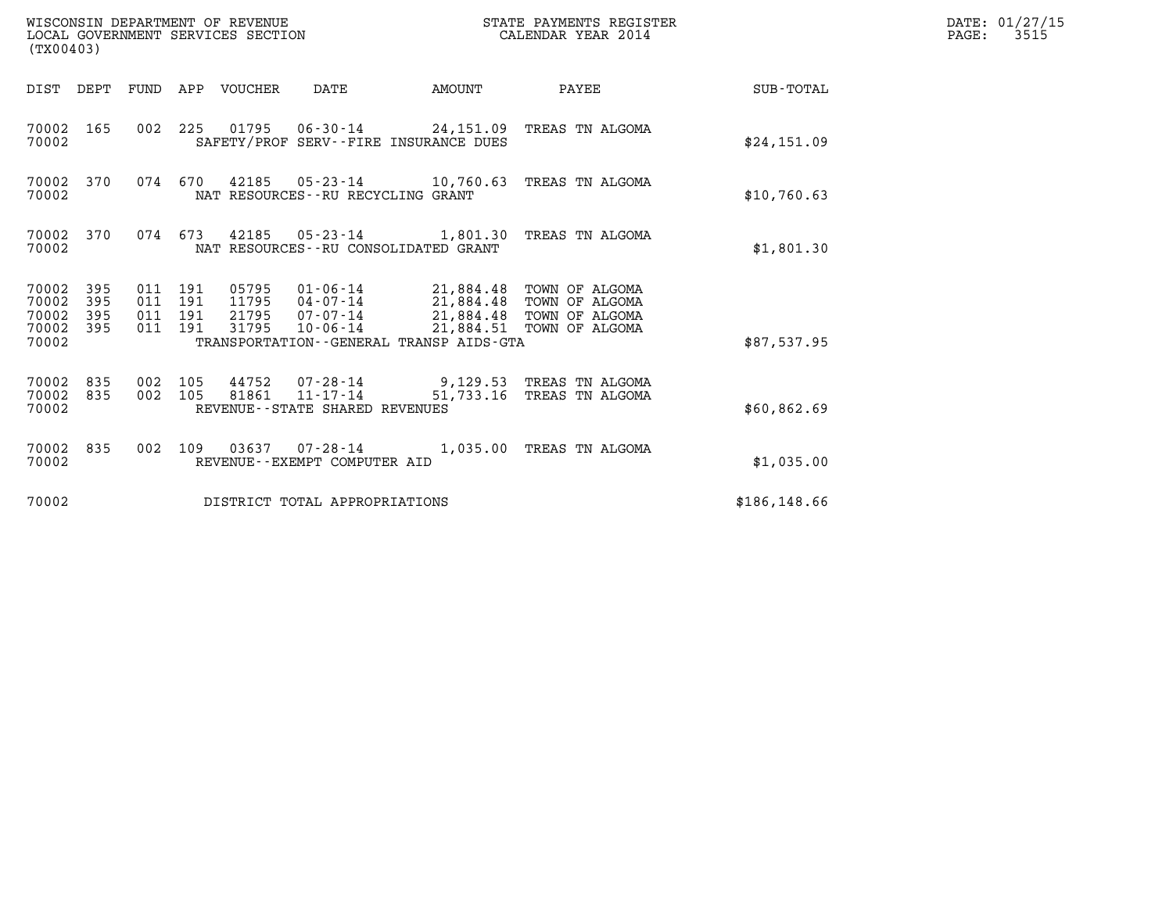| (TX00403)                                 |                          |                                          |         | WISCONSIN DEPARTMENT OF REVENUE<br>LOCAL GOVERNMENT SERVICES SECTION |                                                                                                                              |           | STATE PAYMENTS REGISTER<br>CALENDAR YEAR 2014                                    |               | DATE: 01/27/15<br>$\mathtt{PAGE}$ :<br>3515 |
|-------------------------------------------|--------------------------|------------------------------------------|---------|----------------------------------------------------------------------|------------------------------------------------------------------------------------------------------------------------------|-----------|----------------------------------------------------------------------------------|---------------|---------------------------------------------|
| DIST DEPT                                 |                          |                                          |         | FUND APP VOUCHER                                                     | DATE                                                                                                                         | AMOUNT    | PAYEE                                                                            | SUB-TOTAL     |                                             |
| 70002 165<br>70002                        |                          |                                          |         |                                                                      | SAFETY/PROF SERV--FIRE INSURANCE DUES                                                                                        |           | 002 225 01795 06-30-14 24,151.09 TREAS TN ALGOMA                                 | \$24,151.09   |                                             |
| 70002 370<br>70002                        |                          | 074                                      | 670     |                                                                      | 42185 05-23-14 10,760.63<br>NAT RESOURCES--RU RECYCLING GRANT                                                                |           | TREAS TN ALGOMA                                                                  | \$10,760.63   |                                             |
| 70002 370<br>70002                        |                          | 074 673                                  |         | 42185                                                                | $05 - 23 - 14$<br>NAT RESOURCES - - RU CONSOLIDATED GRANT                                                                    |           | 1,801.30 TREAS TN ALGOMA                                                         | \$1,801.30    |                                             |
| 70002<br>70002<br>70002<br>70002<br>70002 | 395<br>395<br>395<br>395 | 011 191<br>011 191<br>011 191<br>011 191 |         | 05795<br>11795<br>21795<br>31795                                     | 01-06-14 21,884.48 TOWN OF ALGOMA<br>04-07-14<br>$07 - 07 - 14$<br>$10 - 06 - 14$<br>TRANSPORTATION--GENERAL TRANSP AIDS-GTA |           | 21,884.48 TOWN OF ALGOMA<br>21,884.48 TOWN OF ALGOMA<br>21,884.51 TOWN OF ALGOMA | \$87,537.95   |                                             |
| 70002<br>70002<br>70002                   | 835<br>835               | 002 105<br>002 105                       |         | 44752<br>81861                                                       | 07-28-14<br>11-17-14<br>REVENUE - - STATE SHARED REVENUES                                                                    | 51,733.16 | 9,129.53 TREAS TN ALGOMA<br>TREAS TN ALGOMA                                      | \$60,862.69   |                                             |
| 70002 835<br>70002                        |                          |                                          | 002 109 |                                                                      | REVENUE - - EXEMPT COMPUTER AID                                                                                              |           | 03637  07-28-14  1,035.00 TREAS TN ALGOMA                                        | \$1,035.00    |                                             |
| 70002                                     |                          |                                          |         |                                                                      | DISTRICT TOTAL APPROPRIATIONS                                                                                                |           |                                                                                  | \$186, 148.66 |                                             |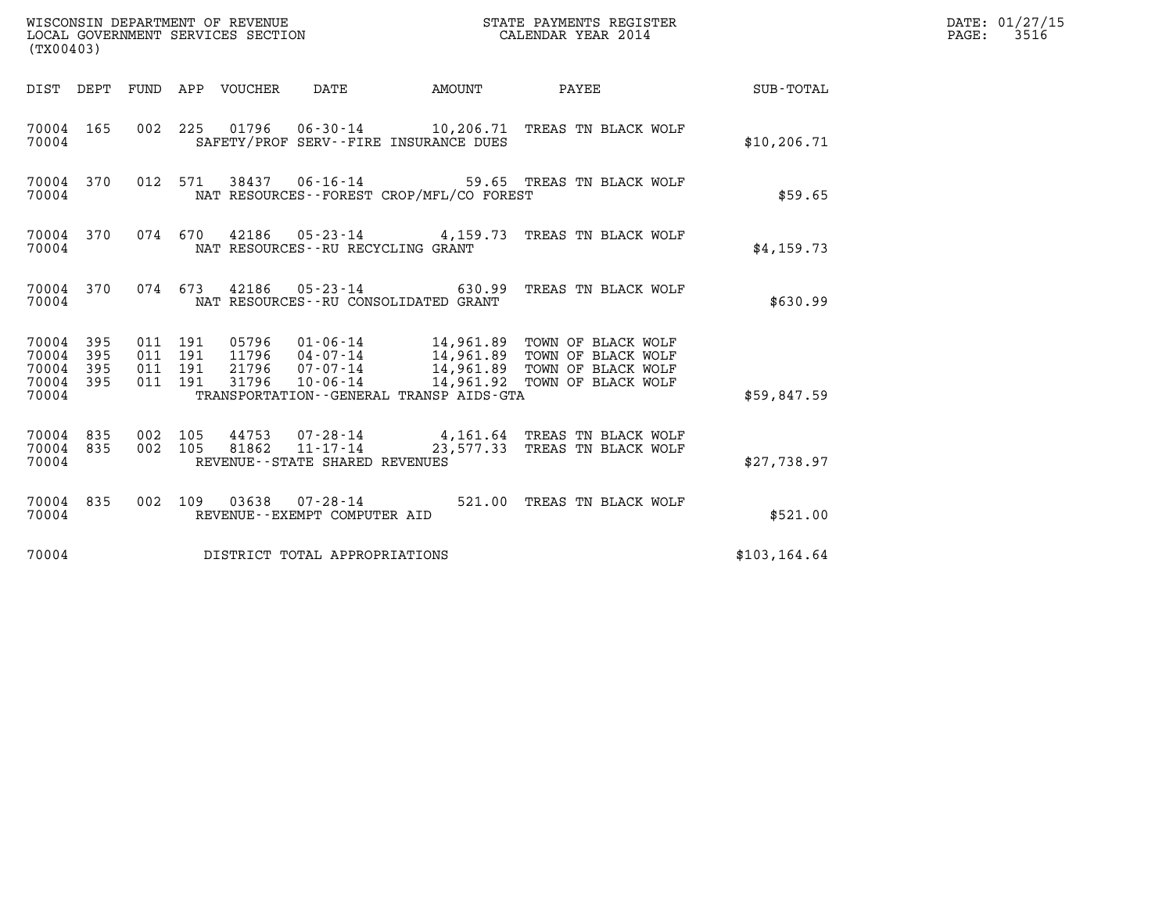| WISCONSIN DEPARTMENT OF REVENUE<br>LOCAL GOVERNMENT SERVICES SECTION<br>(TX00403)                              |                                                                                                                 | STATE PAYMENTS REGISTER<br>CALENDAR YEAR 2014                                                |               | DATE: 01/27/15<br>$\mathtt{PAGE:}$<br>3516 |
|----------------------------------------------------------------------------------------------------------------|-----------------------------------------------------------------------------------------------------------------|----------------------------------------------------------------------------------------------|---------------|--------------------------------------------|
| DIST DEPT FUND APP VOUCHER DATE                                                                                | <b>AMOUNT</b>                                                                                                   | <b>PAYEE</b>                                                                                 | SUB-TOTAL     |                                            |
| 70004 165<br>70004                                                                                             | 002 225 01796 06-30-14 10,206.71 TREAS TN BLACK WOLF<br>SAFETY/PROF SERV--FIRE INSURANCE DUES                   |                                                                                              | \$10, 206.71  |                                            |
| 70004 370<br>012 571<br>70004                                                                                  | 38437<br>06-16-14 59.65 TREAS TN BLACK WOLF<br>NAT RESOURCES--FOREST CROP/MFL/CO FOREST                         |                                                                                              | \$59.65       |                                            |
| 70004 370<br>074 670<br>70004                                                                                  | 42186  05-23-14  4,159.73  TREAS TN BLACK WOLF<br>NAT RESOURCES - - RU RECYCLING GRANT                          |                                                                                              | \$4,159.73    |                                            |
| 70004 370<br>074 673<br>70004                                                                                  | 42186  05-23-14  630.99  TREAS TN BLACK WOLF<br>NAT RESOURCES -- RU CONSOLIDATED GRANT                          |                                                                                              | \$630.99      |                                            |
| 70004 395<br>011 191<br>395<br>011 191<br>70004<br>395<br>011 191<br>70004<br>395<br>011 191<br>70004<br>70004 | 05796<br>11796<br>04-07-14<br>21796<br>07-07-14<br>31796<br>10-06-14<br>TRANSPORTATION--GENERAL TRANSP AIDS-GTA | 14,961.89 TOWN OF BLACK WOLF<br>14,961.89 TOWN OF BLACK WOLF<br>14,961.92 TOWN OF BLACK WOLF | \$59,847.59   |                                            |
| 70004 835<br>002 105<br>002 105<br>835<br>70004<br>70004                                                       | 07-28-14  4,161.64 TREAS TN BLACK WOLF<br>44753<br>81862<br>11-17-14<br>REVENUE - - STATE SHARED REVENUES       | 23,577.33 TREAS TN BLACK WOLF                                                                | \$27,738.97   |                                            |
| 70004 835<br>70004                                                                                             | 002 109 03638 07-28-14<br>REVENUE--EXEMPT COMPUTER AID                                                          | 521.00 TREAS TN BLACK WOLF                                                                   | \$521.00      |                                            |
| 70004                                                                                                          | DISTRICT TOTAL APPROPRIATIONS                                                                                   |                                                                                              | \$103, 164.64 |                                            |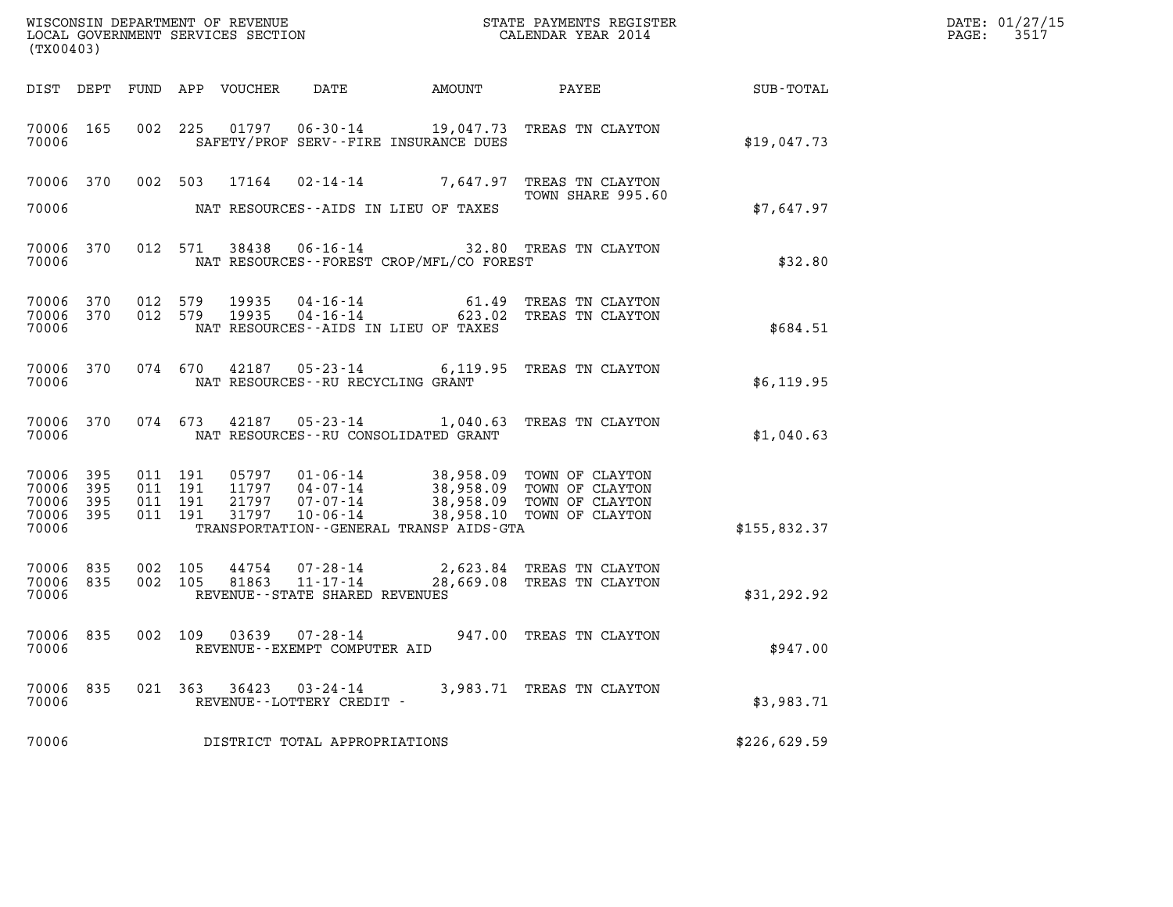| WISCONSIN DEPARTMENT OF REVENUE   | STATE PAYMENTS REGISTER | DATE: 01/27/15 |
|-----------------------------------|-------------------------|----------------|
| LOCAL GOVERNMENT SERVICES SECTION | CALENDAR YEAR 2014      | 3517<br>PAGE:  |

| (TX00403)                                         |            |                                          |                               |                                       | WISCONSIN DEPARTMENT OF REVENUE                               STATE PAYMENTS REGISTER LOCAL GOVERNMENT SERVICES SECTION                               CALENDAR YEAR 2014 |                                                                                                                                                      | DATE: 01/27/15<br>$\mathtt{PAGE:}$<br>3517 |  |
|---------------------------------------------------|------------|------------------------------------------|-------------------------------|---------------------------------------|--------------------------------------------------------------------------------------------------------------------------------------------------------------------------|------------------------------------------------------------------------------------------------------------------------------------------------------|--------------------------------------------|--|
|                                                   |            |                                          | DIST DEPT FUND APP VOUCHER    | DATE                                  | <b>AMOUNT</b>                                                                                                                                                            | PAYEE                                                                                                                                                | SUB-TOTAL                                  |  |
| 70006 165<br>70006                                |            | 002 225                                  |                               |                                       | SAFETY/PROF SERV--FIRE INSURANCE DUES                                                                                                                                    | 01797   06-30-14   19,047.73   TREAS TN CLAYTON                                                                                                      | \$19,047.73                                |  |
| 70006 370<br>70006                                |            | 002 503                                  | 17164                         | NAT RESOURCES--AIDS IN LIEU OF TAXES  |                                                                                                                                                                          | 02-14-14 7,647.97 TREAS TN CLAYTON<br>TOWN SHARE 995.60                                                                                              | \$7,647.97                                 |  |
| 70006 370<br>70006                                |            |                                          | 012 571 38438                 |                                       | NAT RESOURCES--FOREST CROP/MFL/CO FOREST                                                                                                                                 | 06-16-14 32.80 TREAS TN CLAYTON                                                                                                                      | \$32.80                                    |  |
| 70006 370<br>70006<br>70006                       | 370        | 012 579<br>012 579                       | 19935<br>19935                | NAT RESOURCES - AIDS IN LIEU OF TAXES |                                                                                                                                                                          | 04-16-14 61.49 TREAS TN CLAYTON<br>04-16-14 623.02 TREAS TN CLAYTON                                                                                  | \$684.51                                   |  |
| 70006 370<br>70006                                |            |                                          | 074 670                       | NAT RESOURCES -- RU RECYCLING GRANT   |                                                                                                                                                                          | 42187 05-23-14 6,119.95 TREAS TN CLAYTON                                                                                                             | \$6,119.95                                 |  |
| 70006 370<br>70006                                |            |                                          |                               | NAT RESOURCES--RU CONSOLIDATED GRANT  |                                                                                                                                                                          | 074  673  42187  05-23-14  1,040.63  TREAS TN CLAYTON                                                                                                | \$1,040.63                                 |  |
| 70006 395<br>70006<br>70006 395<br>70006<br>70006 | 395<br>395 | 011 191<br>011 191<br>011 191<br>011 191 | 31797                         | 21797 07-07-14<br>10-06-14            | TRANSPORTATION--GENERAL TRANSP AIDS-GTA                                                                                                                                  | 05797  01-06-14  38,958.09  TOWN OF CLAYTON<br>11797  04-07-14  38,958.09  TOWN OF CLAYTON<br>38,958.09 TOWN OF CLAYTON<br>38,958.10 TOWN OF CLAYTON | \$155,832.37                               |  |
| 70006<br>70006<br>70006                           | 835<br>835 | 002 105<br>002 105                       | 44754<br>81863                | REVENUE - - STATE SHARED REVENUES     |                                                                                                                                                                          | 07-28-14 2,623.84 TREAS TN CLAYTON<br>11-17-14 28,669.08 TREAS TN CLAYTON                                                                            | \$31,292.92                                |  |
| 70006 835<br>70006                                |            |                                          |                               | REVENUE--EXEMPT COMPUTER AID          |                                                                                                                                                                          | 002 109 03639 07-28-14 947.00 TREAS TN CLAYTON                                                                                                       | \$947.00                                   |  |
| 70006 835<br>70006                                |            |                                          | 021 363 36423 03-24-14        | REVENUE--LOTTERY CREDIT -             |                                                                                                                                                                          | 3,983.71 TREAS TN CLAYTON                                                                                                                            | \$3,983.71                                 |  |
| 70006                                             |            |                                          | DISTRICT TOTAL APPROPRIATIONS |                                       |                                                                                                                                                                          |                                                                                                                                                      | \$226,629.59                               |  |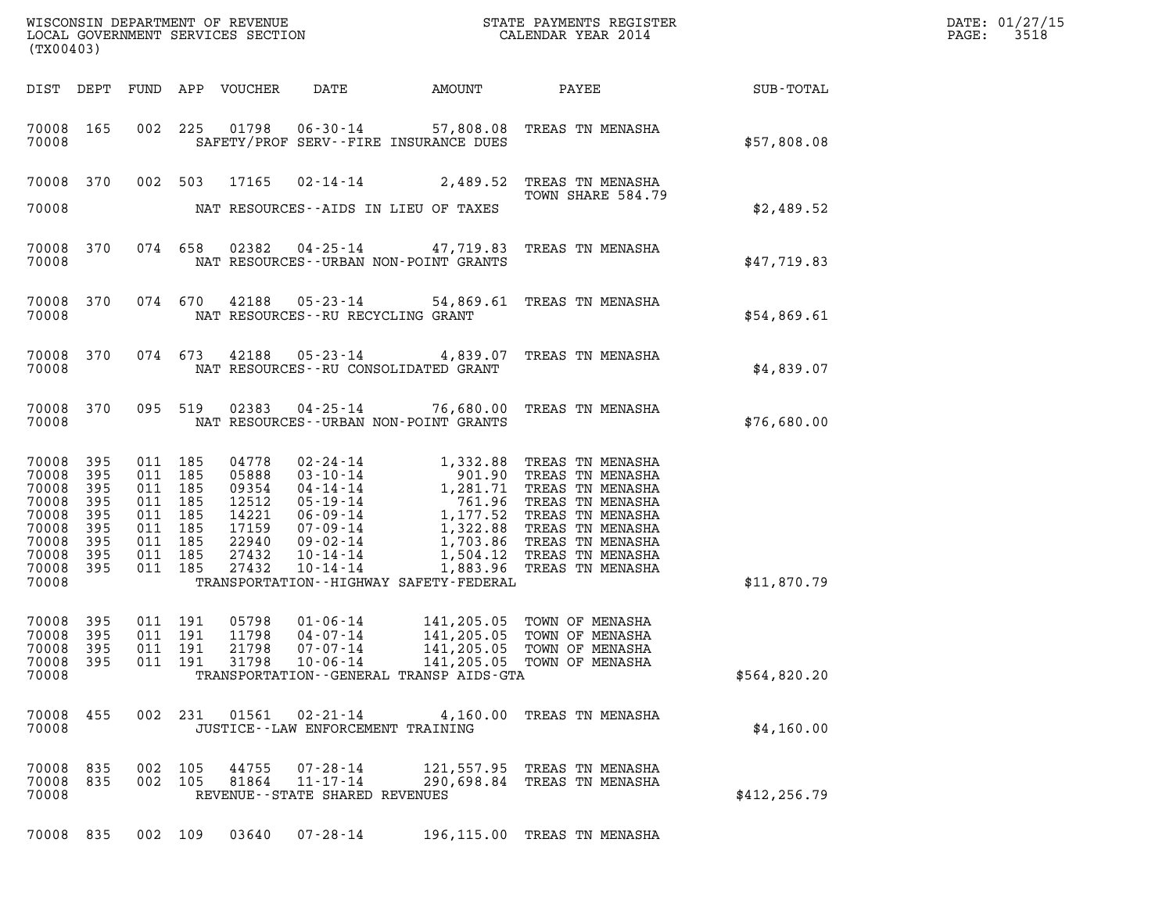| (TX00403)                                                                         |                                                      |                                                                                                 |                    |                                                                               |                                                                |                                             |                                                                                                                                                                                                                                            |               | DATE: 01/27/15<br>3518<br>$\mathtt{PAGE:}$ |
|-----------------------------------------------------------------------------------|------------------------------------------------------|-------------------------------------------------------------------------------------------------|--------------------|-------------------------------------------------------------------------------|----------------------------------------------------------------|---------------------------------------------|--------------------------------------------------------------------------------------------------------------------------------------------------------------------------------------------------------------------------------------------|---------------|--------------------------------------------|
|                                                                                   |                                                      |                                                                                                 |                    | DIST DEPT FUND APP VOUCHER                                                    | DATE                                                           | AMOUNT                                      | PAYEE SUB-TOTAL                                                                                                                                                                                                                            |               |                                            |
| 70008                                                                             | 70008 165                                            |                                                                                                 |                    |                                                                               |                                                                | SAFETY/PROF SERV--FIRE INSURANCE DUES       | 002 225 01798 06-30-14 57,808.08 TREAS TN MENASHA                                                                                                                                                                                          | \$57,808.08   |                                            |
|                                                                                   |                                                      |                                                                                                 |                    |                                                                               |                                                                |                                             | 70008 370 002 503 17165 02-14-14 2,489.52 TREAS TN MENASHA<br>TOWN SHARE 584.79                                                                                                                                                            |               |                                            |
| 70008                                                                             |                                                      |                                                                                                 |                    |                                                                               |                                                                | NAT RESOURCES--AIDS IN LIEU OF TAXES        |                                                                                                                                                                                                                                            | \$2,489.52    |                                            |
| 70008                                                                             | 70008 370                                            |                                                                                                 |                    |                                                                               |                                                                | NAT RESOURCES - - URBAN NON-POINT GRANTS    | 074 658 02382 04-25-14 47,719.83 TREAS TN MENASHA                                                                                                                                                                                          | \$47,719.83   |                                            |
| 70008                                                                             | 70008 370                                            |                                                                                                 |                    |                                                                               | NAT RESOURCES--RU RECYCLING GRANT                              |                                             | 074 670 42188 05-23-14 54,869.61 TREAS TN MENASHA                                                                                                                                                                                          | \$54,869.61   |                                            |
| 70008                                                                             | 70008 370                                            |                                                                                                 |                    |                                                                               |                                                                | NAT RESOURCES - - RU CONSOLIDATED GRANT     | 074 673 42188 05-23-14 4,839.07 TREAS TN MENASHA                                                                                                                                                                                           | \$4,839.07    |                                            |
| 70008                                                                             | 70008 370                                            |                                                                                                 | 095 519            |                                                                               |                                                                | NAT RESOURCES - - URBAN NON-POINT GRANTS    | 02383  04-25-14  76,680.00  TREAS TN MENASHA                                                                                                                                                                                               | \$76,680.00   |                                            |
| 70008<br>70008<br>70008<br>70008<br>70008<br>70008<br>70008<br>70008<br>70008 395 | 395<br>395<br>395<br>395<br>395<br>395<br>395<br>395 | 011 185<br>011 185<br>011 185<br>011 185<br>011 185<br>011 185<br>011 185<br>011 185<br>011 185 |                    | 04778<br>05888<br>09354<br>12512<br>14221<br>17159<br>22940<br>27432<br>27432 |                                                                |                                             | 02-24-14 1,332.88 TREAS TN MENASHA<br>03-10-14 901.90 TREAS TN MENASHA<br>04-14-14 1,281.71 TREAS TN MENASHA<br>05-19-14 761.96 TREAS TN MENASHA<br>07-09-14 1,177.52 TREAS TN MENASHA<br>07-09-14 1,322.88 TREAS TN MENASHA<br>09-02-14 1 |               |                                            |
| 70008                                                                             |                                                      |                                                                                                 |                    |                                                                               |                                                                | TRANSPORTATION - - HIGHWAY SAFETY - FEDERAL |                                                                                                                                                                                                                                            | \$11,870.79   |                                            |
| 70008 395<br>70008 395<br>70008 395<br>70008 395<br>70008                         |                                                      | 011 191<br>011 191                                                                              | 011 191<br>011 191 | 05798<br>11798<br>21798<br>31798                                              | 01-06-14<br>$04 - 07 - 14$<br>$07 - 07 - 14$<br>$10 - 06 - 14$ | TRANSPORTATION--GENERAL TRANSP AIDS-GTA     | 141,205.05 TOWN OF MENASHA<br>141,205.05 TOWN OF MENASHA<br>141,205.05 TOWN OF MENASHA<br>141,205.05 TOWN OF MENASHA                                                                                                                       | \$564,820.20  |                                            |
| 70008 455<br>70008                                                                |                                                      |                                                                                                 | 002 231            |                                                                               | $01561$ $02 - 21 - 14$<br>JUSTICE -- LAW ENFORCEMENT TRAINING  |                                             | 4,160.00 TREAS TN MENASHA                                                                                                                                                                                                                  | \$4,160.00    |                                            |
| 70008 835<br>70008 835<br>70008                                                   |                                                      | 002 105<br>002 105                                                                              |                    | 44755<br>81864                                                                | 07-28-14<br>$11 - 17 - 14$<br>REVENUE--STATE SHARED REVENUES   |                                             | 121,557.95 TREAS TN MENASHA<br>290,698.84 TREAS TN MENASHA                                                                                                                                                                                 | \$412, 256.79 |                                            |
| 70008 835                                                                         |                                                      |                                                                                                 |                    |                                                                               | 002 109 03640 07-28-14                                         |                                             | 196,115.00 TREAS TN MENASHA                                                                                                                                                                                                                |               |                                            |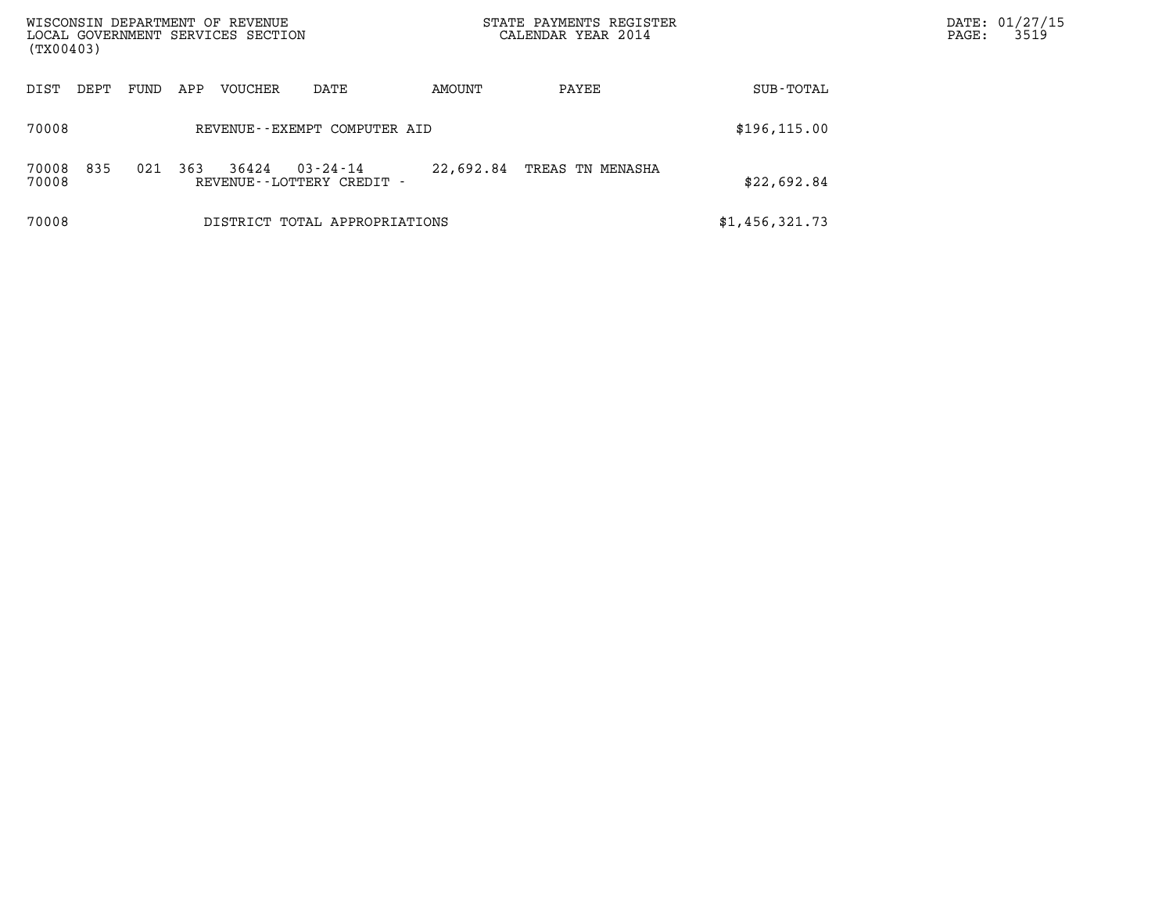| (TX00403)      |      |      |     | WISCONSIN DEPARTMENT OF REVENUE<br>LOCAL GOVERNMENT SERVICES SECTION |                                          |           | STATE PAYMENTS REGISTER<br>CALENDAR YEAR 2014 |                | DATE: 01/27/15<br>3519<br>$\mathtt{PAGE}$ : |
|----------------|------|------|-----|----------------------------------------------------------------------|------------------------------------------|-----------|-----------------------------------------------|----------------|---------------------------------------------|
| DIST           | DEPT | FUND | APP | VOUCHER                                                              | DATE                                     | AMOUNT    | PAYEE                                         | SUB-TOTAL      |                                             |
| 70008          |      |      |     |                                                                      | REVENUE--EXEMPT COMPUTER AID             |           |                                               | \$196, 115.00  |                                             |
| 70008<br>70008 | 835  | 021  | 363 | 36424                                                                | 03-24-14<br>REVENUE - - LOTTERY CREDIT - | 22,692.84 | TREAS TN MENASHA                              | \$22,692.84    |                                             |
| 70008          |      |      |     |                                                                      | DISTRICT TOTAL APPROPRIATIONS            |           |                                               | \$1,456,321.73 |                                             |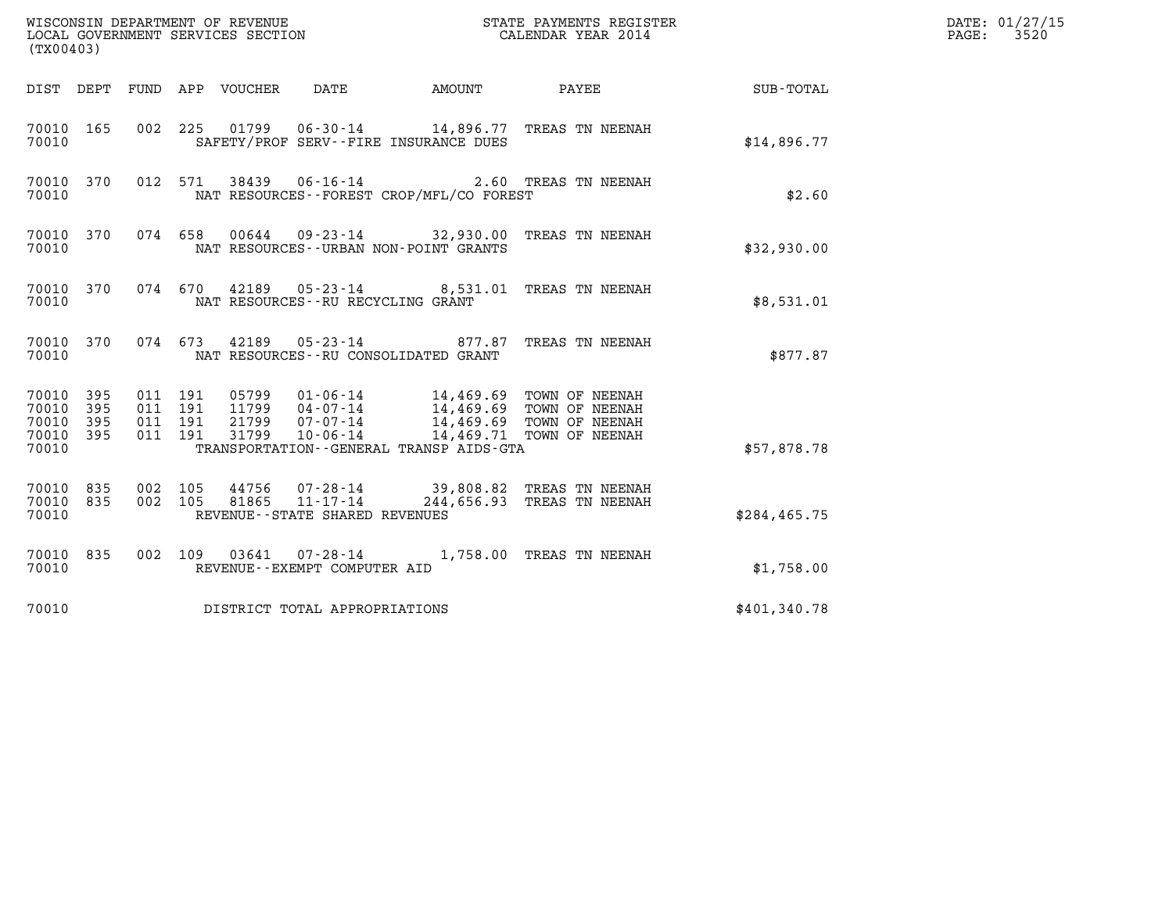| (TX00403)                                                            | WISCONSIN DEPARTMENT OF REVENUE<br>LOCAL GOVERNMENT SERVICES SECTION                                                                | STATE PAYMENTS REGISTER<br>CALENDAR YEAR 2014                                                                                                    |               | DATE: 01/27/15<br>$\mathtt{PAGE:}$<br>3520 |
|----------------------------------------------------------------------|-------------------------------------------------------------------------------------------------------------------------------------|--------------------------------------------------------------------------------------------------------------------------------------------------|---------------|--------------------------------------------|
| DIST DEPT                                                            | FUND APP VOUCHER<br>DATE                                                                                                            | AMOUNT PAYEE SUB-TOTAL                                                                                                                           |               |                                            |
| 70010 165<br>70010                                                   | 002 225<br>SAFETY/PROF SERV--FIRE INSURANCE DUES                                                                                    | 01799   06-30-14   14,896.77   TREAS TN NEENAH                                                                                                   | \$14,896.77   |                                            |
| 70010 370<br>70010                                                   | 012 571<br>38439 06-16-14<br>NAT RESOURCES--FOREST CROP/MFL/CO FOREST                                                               | 2.60 TREAS TN NEENAH                                                                                                                             | \$2.60        |                                            |
| 70010 370<br>70010                                                   | 074 658<br>NAT RESOURCES - - URBAN NON-POINT GRANTS                                                                                 | 00644 09-23-14 32,930.00 TREAS TN NEENAH                                                                                                         | \$32,930.00   |                                            |
| 70010 370<br>70010                                                   | 074 670 42189 05-23-14 8,531.01 TREAS TN NEENAH<br>NAT RESOURCES -- RU RECYCLING GRANT                                              |                                                                                                                                                  | \$8,531.01    |                                            |
| 70010 370<br>70010                                                   | 074 673 42189 05-23-14 877.87<br>NAT RESOURCES - - RU CONSOLIDATED GRANT                                                            | TREAS TN NEENAH                                                                                                                                  | \$877.87      |                                            |
| 70010 395<br>395<br>70010<br>70010<br>395<br>70010<br>- 395<br>70010 | 011 191<br>011 191<br>$07 - 07 - 14$<br>21799<br>011 191<br>011 191<br>31799<br>10-06-14<br>TRANSPORTATION--GENERAL TRANSP AIDS-GTA | 05799  01-06-14  14,469.69  TOWN OF NEENAH<br>11799  04-07-14  14,469.69  TOWN OF NEENAH<br>14,469.69 TOWN OF NEENAH<br>14,469.71 TOWN OF NEENAH | \$57,878.78   |                                            |
| 70010 835<br>70010<br>835<br>70010                                   | 002 105<br>002 105<br>REVENUE - - STATE SHARED REVENUES                                                                             | 44756  07-28-14  39,808.82  TREAS TN NEENAH<br>81865  11-17-14  244,656.93  TREAS TN NEENAH                                                      | \$284, 465.75 |                                            |
| 70010 835<br>70010                                                   | 002 109<br>REVENUE--EXEMPT COMPUTER AID                                                                                             | 03641  07-28-14  1,758.00 TREAS TN NEENAH                                                                                                        | \$1,758.00    |                                            |
| 70010                                                                | DISTRICT TOTAL APPROPRIATIONS                                                                                                       |                                                                                                                                                  | \$401,340.78  |                                            |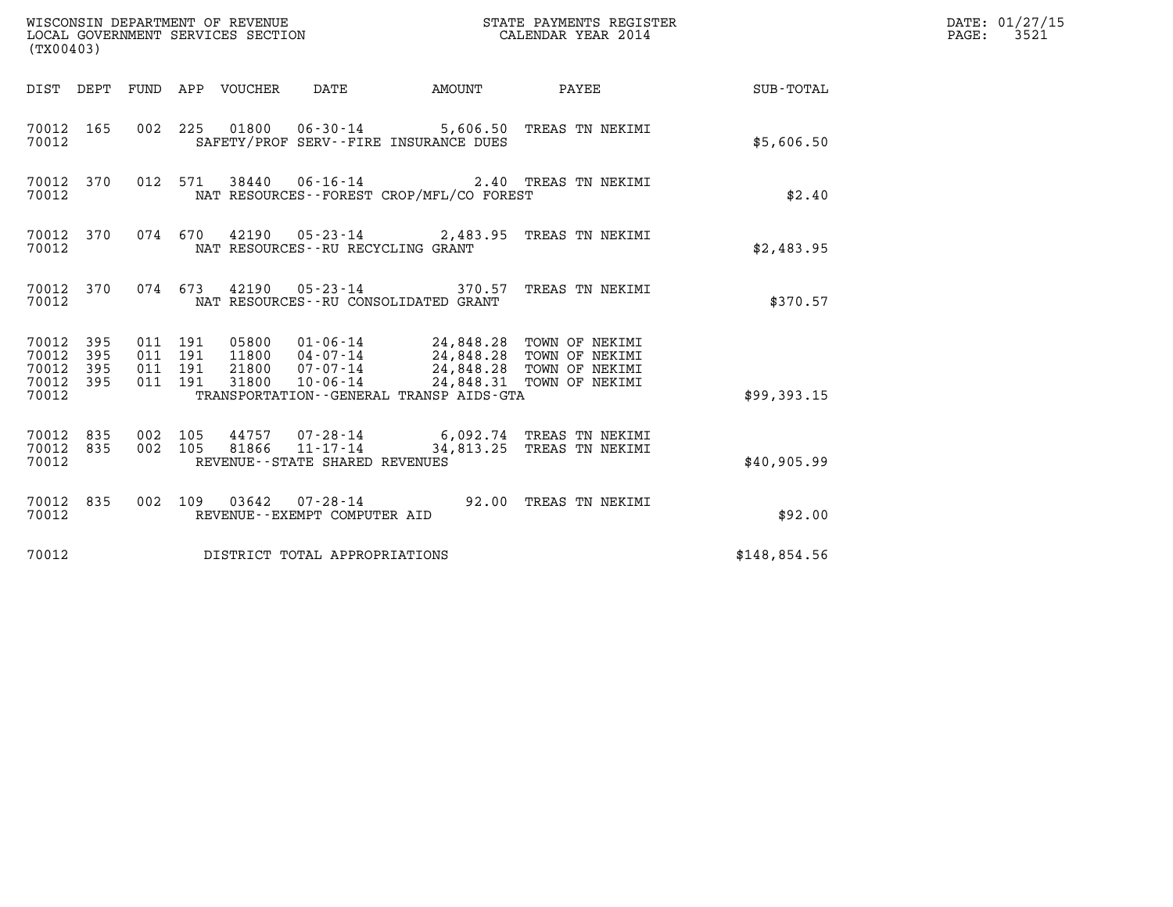| (TX00403)                                         |            |                                          |                                  | WISCONSIN DEPARTMENT OF REVENUE<br>LOCAL GOVERNMENT SERVICES SECTION |                                          | STATE PAYMENTS REGISTER<br>CALENDAR YEAR 2014                                                                         |              | DATE: 01/27/15<br>$\mathtt{PAGE}$ :<br>3521 |
|---------------------------------------------------|------------|------------------------------------------|----------------------------------|----------------------------------------------------------------------|------------------------------------------|-----------------------------------------------------------------------------------------------------------------------|--------------|---------------------------------------------|
|                                                   |            |                                          | DIST DEPT FUND APP VOUCHER       | DATE                                                                 | <b>AMOUNT</b>                            | PAYEE                                                                                                                 | SUB-TOTAL    |                                             |
| 70012 165<br>70012                                |            |                                          |                                  |                                                                      | SAFETY/PROF SERV--FIRE INSURANCE DUES    | 002 225 01800 06-30-14 5,606.50 TREAS TN NEKIMI                                                                       | \$5,606.50   |                                             |
| 70012 370<br>70012                                |            |                                          |                                  |                                                                      | NAT RESOURCES--FOREST CROP/MFL/CO FOREST | 012 571 38440 06-16-14 2.40 TREAS TN NEKIMI                                                                           | \$2.40       |                                             |
| 70012 370<br>70012                                |            |                                          | 074 670                          | NAT RESOURCES--RU RECYCLING GRANT                                    |                                          | 42190  05-23-14  2,483.95  TREAS TN NEKIMI                                                                            | \$2,483.95   |                                             |
| 70012 370<br>70012                                |            |                                          |                                  | NAT RESOURCES - - RU CONSOLIDATED GRANT                              |                                          | 074 673 42190 05-23-14 370.57 TREAS TN NEKIMI                                                                         | \$370.57     |                                             |
| 70012 395<br>70012<br>70012<br>70012 395<br>70012 | 395<br>395 | 011 191<br>011 191<br>011 191<br>011 191 | 05800<br>11800<br>21800<br>31800 | 04-07-14<br>07-07-14<br>$10 - 06 - 14$                               | TRANSPORTATION--GENERAL TRANSP AIDS-GTA  | 01-06-14 24,848.28 TOWN OF NEKIMI<br>24,848.28 TOWN OF NEKIMI<br>24,848.28 TOWN OF NEKIMI<br>24,848.31 TOWN OF NEKIMI | \$99,393.15  |                                             |
| 70012 835<br>70012<br>70012                       | 835        | 002 105<br>002 105                       | 81866                            | 44757 07-28-14<br>11-17-14<br>REVENUE--STATE SHARED REVENUES         |                                          | 6,092.74 TREAS TN NEKIMI<br>34,813.25 TREAS TN NEKIMI                                                                 | \$40,905.99  |                                             |
| 70012 835<br>70012                                |            |                                          |                                  | REVENUE--EXEMPT COMPUTER AID                                         |                                          | 002 109 03642 07-28-14 92.00 TREAS TN NEKIMI                                                                          | \$92.00      |                                             |
| 70012                                             |            |                                          |                                  | DISTRICT TOTAL APPROPRIATIONS                                        |                                          |                                                                                                                       | \$148,854.56 |                                             |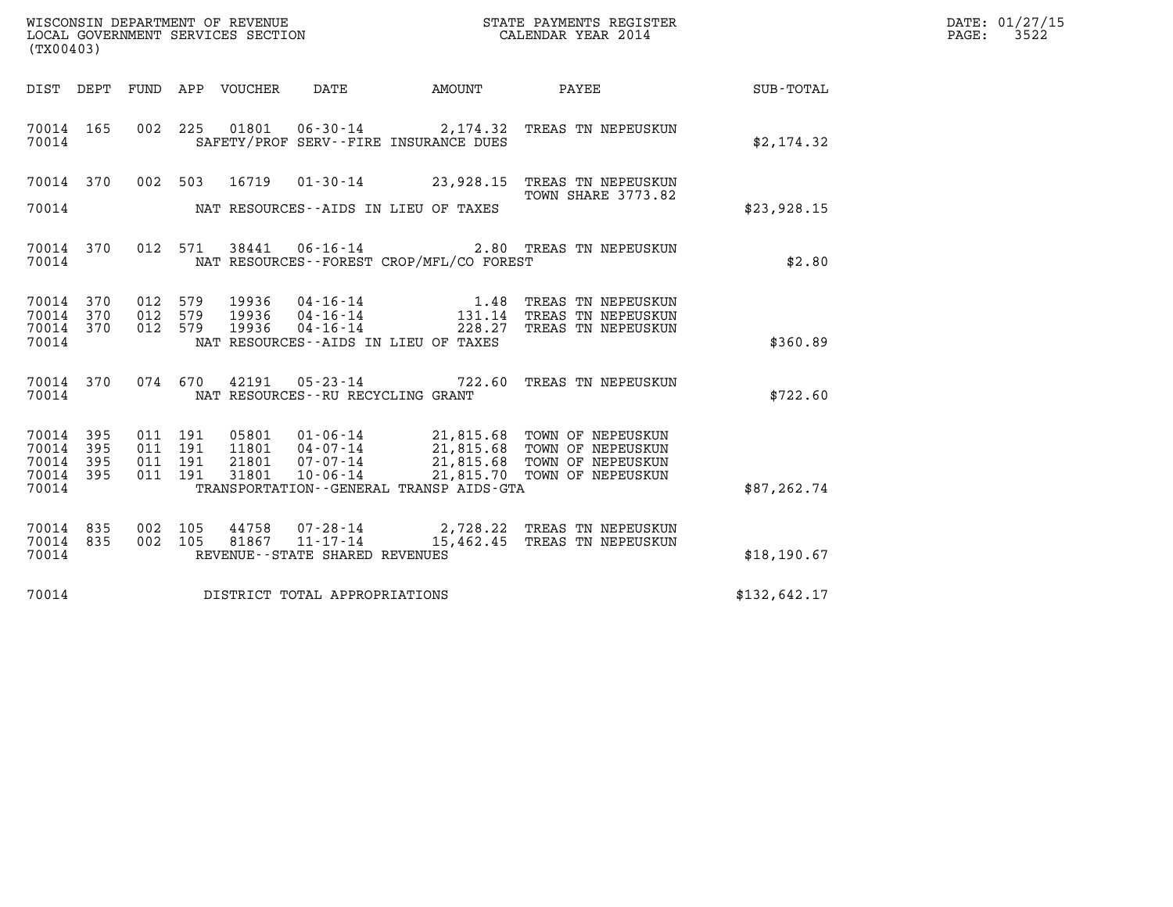| WISCONSIN DEPARTMENT OF REVENUE   | STATE PAYMENTS REGISTER | DATE: 01/27/15 |
|-----------------------------------|-------------------------|----------------|
| LOCAL GOVERNMENT SERVICES SECTION | CALENDAR YEAR 2014      | 3522<br>PAGE:  |

| (TX00403)                       |     |                    |  |                                          | WISCONSIN DEPARTMENT OF REVENUE<br>LOCAL GOVERNMENT SERVICES SECTION<br>CALENDAR YEAR 2014                                                                                                   |              | DATE: 01/27/15<br>$\mathtt{PAGE}$ :<br>3522 |
|---------------------------------|-----|--------------------|--|------------------------------------------|----------------------------------------------------------------------------------------------------------------------------------------------------------------------------------------------|--------------|---------------------------------------------|
|                                 |     |                    |  |                                          | DIST DEPT FUND APP VOUCHER DATE AMOUNT PAYEE                                                                                                                                                 | SUB-TOTAL    |                                             |
| 70014 165<br>70014              |     |                    |  | SAFETY/PROF SERV--FIRE INSURANCE DUES    | 002 225 01801 06-30-14 2,174.32 TREAS TN NEPEUSKUN                                                                                                                                           | \$2,174.32   |                                             |
|                                 |     |                    |  |                                          | 70014 370 002 503 16719 01-30-14 23,928.15 TREAS TN NEPEUSKUN<br>TOWN SHARE 3773.82                                                                                                          |              |                                             |
| 70014                           |     |                    |  | NAT RESOURCES--AIDS IN LIEU OF TAXES     |                                                                                                                                                                                              | \$23,928.15  |                                             |
| 70014                           |     |                    |  | NAT RESOURCES--FOREST CROP/MFL/CO FOREST | 70014 370 012 571 38441 06-16-14 2.80 TREAS TN NEPEUSKUN                                                                                                                                     | \$2.80       |                                             |
| 70014 370<br>70014 370          |     |                    |  |                                          | 012 579 19936 04-16-14 1.48 TREAS TN NEPEUSKUN<br>012 579 19936 04-16-14 131.14 TREAS TN NEPEUSKUN<br>012 579 19936 04-16-14 228.27 TREAS TN NEPEUSKUN                                       |              |                                             |
| 70014 370<br>70014              |     |                    |  | NAT RESOURCES--AIDS IN LIEU OF TAXES     |                                                                                                                                                                                              | \$360.89     |                                             |
| 70014                           |     |                    |  | NAT RESOURCES - - RU RECYCLING GRANT     | 70014 370 074 670 42191 05-23-14 722.60 TREAS TN NEPEUSKUN                                                                                                                                   | \$722.60     |                                             |
| 70014 395<br>70014 395          |     | 011 191<br>011 191 |  |                                          |                                                                                                                                                                                              |              |                                             |
| 70014<br>70014 395              | 395 | 011 191<br>011 191 |  |                                          | 05801  01-06-14  21,815.68 TOWN OF NEPEUSKUN<br>11801  04-07-14  21,815.68 TOWN OF NEPEUSKUN<br>21801  07-07-14  21,815.68 TOWN OF NEPEUSKUN<br>31801  10-06-14  21,815.70 TOWN OF NEPEUSKUN |              |                                             |
| 70014                           |     |                    |  | TRANSPORTATION--GENERAL TRANSP AIDS-GTA  |                                                                                                                                                                                              | \$87, 262.74 |                                             |
| 70014 835<br>70014 835<br>70014 |     |                    |  | REVENUE--STATE SHARED REVENUES           | 002 105 44758 07-28-14 2,728.22 TREAS TN NEPEUSKUN<br>002 105 81867 11-17-14 15,462.45 TREAS TN NEPEUSKUN                                                                                    | \$18, 190.67 |                                             |
|                                 |     |                    |  |                                          |                                                                                                                                                                                              |              |                                             |
| 70014                           |     |                    |  | DISTRICT TOTAL APPROPRIATIONS            |                                                                                                                                                                                              | \$132,642.17 |                                             |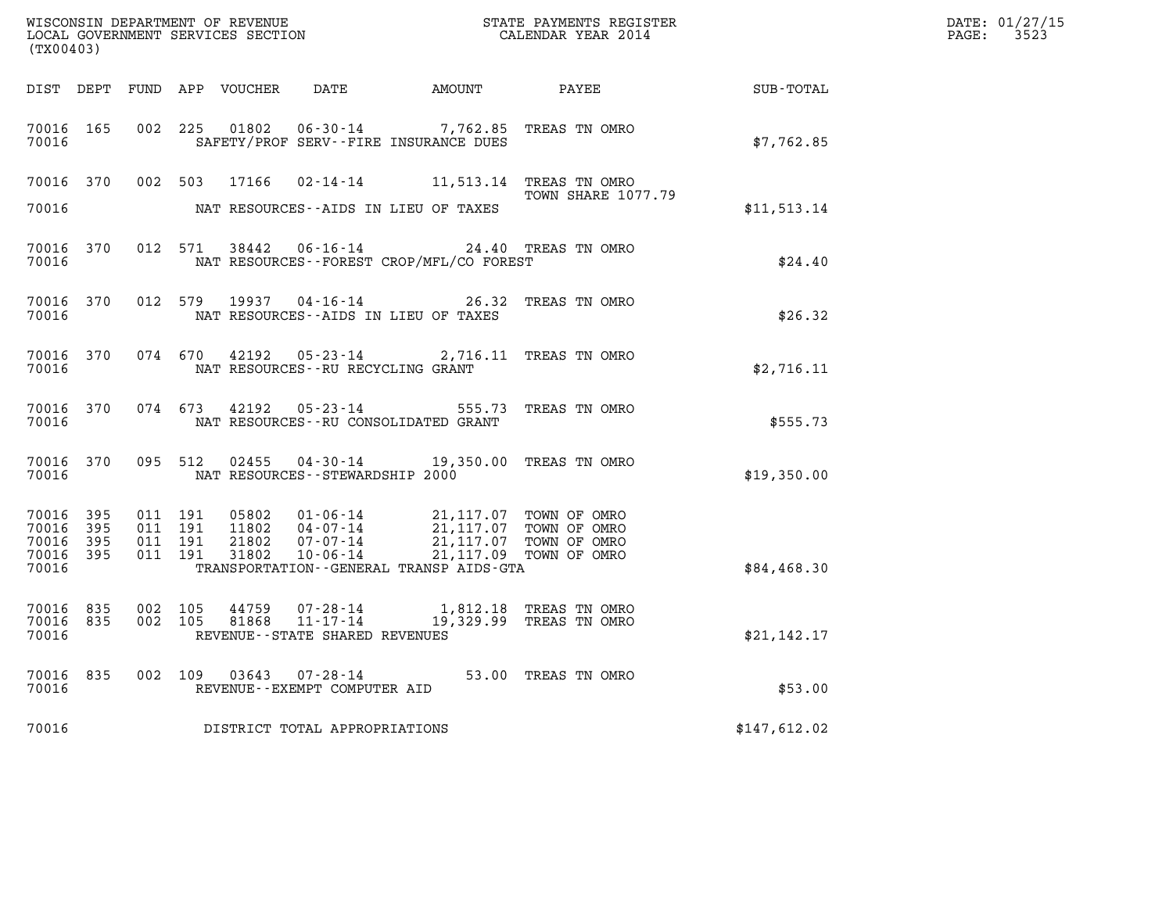| (TX00403)                                         |              |                                          | WISCONSIN DEPARTMENT OF REVENUE<br>LOCAL GOVERNMENT SERVICES SECTION |                                                                                                                                                                                     | STATE PAYMENTS REGISTER<br>CALENDAR YEAR 2014              |              | DATE: 01/27/15<br>$\mathtt{PAGE:}$<br>3523 |
|---------------------------------------------------|--------------|------------------------------------------|----------------------------------------------------------------------|-------------------------------------------------------------------------------------------------------------------------------------------------------------------------------------|------------------------------------------------------------|--------------|--------------------------------------------|
|                                                   |              |                                          | DIST DEPT FUND APP VOUCHER                                           |                                                                                                                                                                                     |                                                            |              |                                            |
| 70016 165<br>70016                                |              | 002 225                                  | 01802                                                                | SAFETY/PROF SERV--FIRE INSURANCE DUES                                                                                                                                               | 06-30-14 7,762.85 TREAS TN OMRO                            | \$7,762.85   |                                            |
| 70016 370                                         |              |                                          |                                                                      |                                                                                                                                                                                     | 002 503 17166 02-14-14 11,513.14 TREAS TN OMRO             |              |                                            |
| 70016                                             |              |                                          |                                                                      | NAT RESOURCES--AIDS IN LIEU OF TAXES                                                                                                                                                | <b>TOWN SHARE 1077.79</b>                                  | \$11,513.14  |                                            |
| 70016 370<br>70016                                |              |                                          |                                                                      | NAT RESOURCES--FOREST CROP/MFL/CO FOREST                                                                                                                                            | 012 571 38442 06-16-14 24.40 TREAS TN OMRO                 | \$24.40      |                                            |
| 70016 370<br>70016                                |              | 012 579                                  | 19937                                                                | $04 - 16 - 14$<br>NAT RESOURCES--AIDS IN LIEU OF TAXES                                                                                                                              | 26.32 TREAS TN OMRO                                        | \$26.32      |                                            |
| 70016 370<br>70016                                |              | 074 670                                  |                                                                      | NAT RESOURCES -- RU RECYCLING GRANT                                                                                                                                                 | 42192  05-23-14  2,716.11  TREAS TN OMRO                   | \$2,716.11   |                                            |
| 70016 370<br>70016                                |              |                                          |                                                                      | NAT RESOURCES--RU CONSOLIDATED GRANT                                                                                                                                                | 074  673  42192  05-23-14  555.73  TREAS TN OMRO           | \$555.73     |                                            |
| 70016 370<br>70016                                |              | 095 512                                  |                                                                      | NAT RESOURCES - - STEWARDSHIP 2000                                                                                                                                                  | 02455  04-30-14  19,350.00  TREAS  TN   OMRO               | \$19,350.00  |                                            |
| 70016<br>70016 395<br>70016<br>70016 395<br>70016 | 395<br>- 395 | 011 191<br>011 191<br>011 191<br>011 191 | 05802<br>11802<br>21802<br>31802                                     | 01-06-14 21,117.07 TOWN OF OMRO<br>04-07-14 21,117.07 TOWN OF OMRO<br>07-07-14 21,117.07 TOWN OF OMRO<br>10-06-14 21,117.09 TOWN OF OMRO<br>TRANSPORTATION--GENERAL TRANSP AIDS-GTA |                                                            | \$84,468.30  |                                            |
| 70016 835<br>70016 835<br>70016                   |              | 002 105<br>002 105                       | 44759<br>81868                                                       | 11-17-14<br>REVENUE - - STATE SHARED REVENUES                                                                                                                                       | 07-28-14 1,812.18 TREAS TN OMRO<br>19,329.99 TREAS TN OMRO | \$21,142.17  |                                            |
| 70016 835<br>70016                                |              |                                          |                                                                      | REVENUE--EXEMPT COMPUTER AID                                                                                                                                                        | 002 109 03643 07-28-14 53.00 TREAS TN OMRO                 | \$53.00      |                                            |
| 70016                                             |              |                                          |                                                                      | DISTRICT TOTAL APPROPRIATIONS                                                                                                                                                       |                                                            | \$147,612.02 |                                            |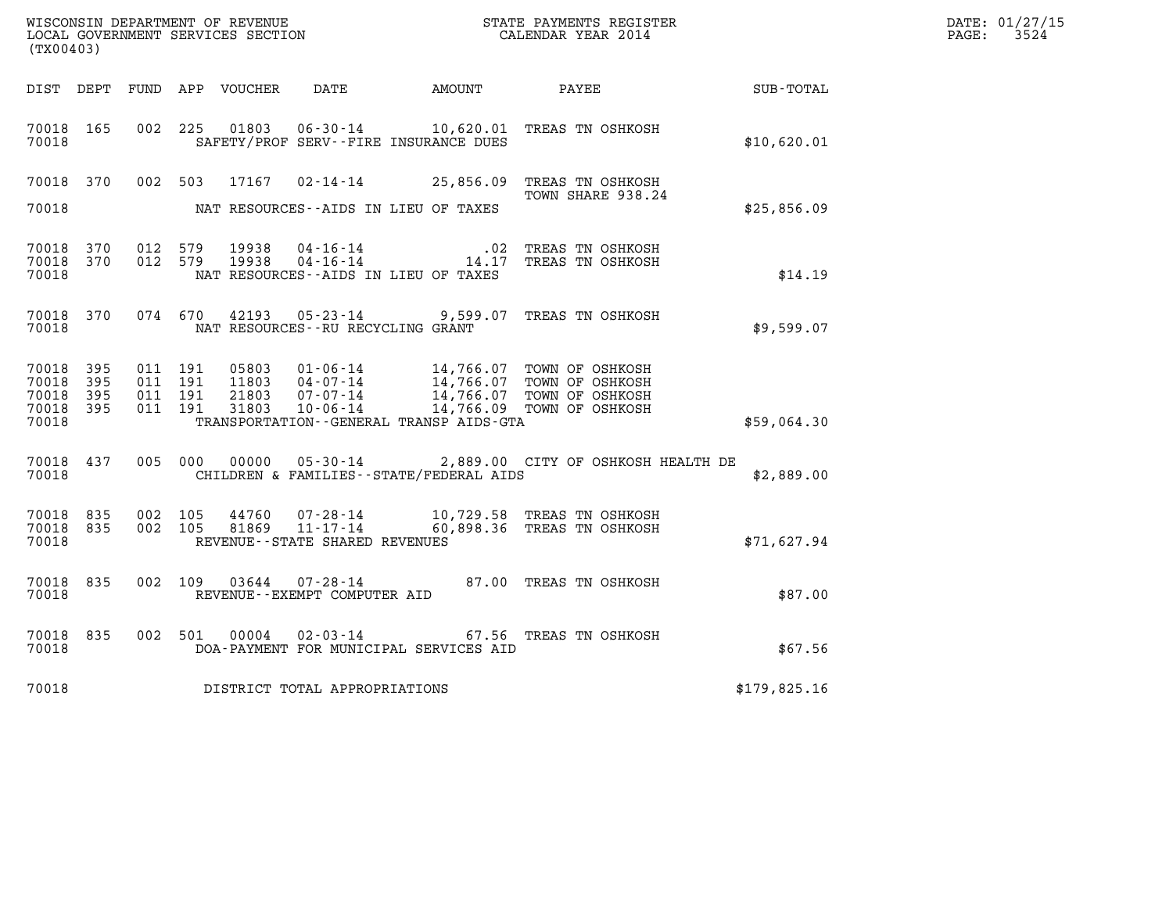| (TX00403)                                                 |           |                                          |         |                                 |                                                                 |                                              |                                                                                                                                                                                                                                                                                                                                                                                                       |                  | DATE: 01/27/15<br>$\mathtt{PAGE:}$<br>3524 |
|-----------------------------------------------------------|-----------|------------------------------------------|---------|---------------------------------|-----------------------------------------------------------------|----------------------------------------------|-------------------------------------------------------------------------------------------------------------------------------------------------------------------------------------------------------------------------------------------------------------------------------------------------------------------------------------------------------------------------------------------------------|------------------|--------------------------------------------|
|                                                           |           |                                          |         | DIST DEPT FUND APP VOUCHER DATE |                                                                 | AMOUNT PAYEE                                 |                                                                                                                                                                                                                                                                                                                                                                                                       | <b>SUB-TOTAL</b> |                                            |
| 70018 165<br>70018                                        |           | 002 225                                  |         | 01803                           | $06 - 30 - 14$                                                  | SAFETY/PROF SERV--FIRE INSURANCE DUES        | 10,620.01 TREAS TN OSHKOSH                                                                                                                                                                                                                                                                                                                                                                            | \$10,620.01      |                                            |
| 70018                                                     |           |                                          |         |                                 |                                                                 | NAT RESOURCES--AIDS IN LIEU OF TAXES         | 70018 370 002 503 17167 02-14-14 25,856.09 TREAS TN OSHKOSH<br>TOWN SHARE 938.24                                                                                                                                                                                                                                                                                                                      | \$25,856.09      |                                            |
| 70018 370<br>70018                                        | 70018 370 | 012 579<br>012 579                       |         | 19938<br>19938                  |                                                                 | NAT RESOURCES - AIDS IN LIEU OF TAXES        | 04-16-14   02 TREAS TN OSHKOSH   04-16-14   02 TREAS TN OSHKOSH                                                                                                                                                                                                                                                                                                                                       | \$14.19          |                                            |
| 70018                                                     | 70018 370 |                                          | 074 670 |                                 | NAT RESOURCES--RU RECYCLING GRANT                               |                                              | 42193  05-23-14  9,599.07  TREAS TN OSHKOSH                                                                                                                                                                                                                                                                                                                                                           | \$9,599.07       |                                            |
| 70018 395<br>70018 395<br>70018 395<br>70018 395<br>70018 |           | 011 191<br>011 191<br>011 191<br>011 191 |         |                                 |                                                                 | TRANSPORTATION - - GENERAL TRANSP AIDS - GTA | $\begin{array}{cccc} 05803 & 01\textnormal{-}06\textnormal{-}14 & 14,766.07 & \textnormal{TOWN OF OSHKOSH} \\ 11803 & 04\textnormal{-}07\textnormal{-}14 & 14,766.07 & \textnormal{TOWN OF OSHKOSH} \\ 21803 & 07\textnormal{-}07\textnormal{-}14 & 14,766.07 & \textnormal{TOWN OF OSHKOSH} \\ 31803 & 10\textnormal{-}06\textnormal{-}14 & 14,766.09 & \textnormal{TOWN OF OSHKOSH} \\ \end{array}$ | \$59,064.30      |                                            |
| 70018                                                     | 70018 437 |                                          |         | 005 000 00000                   |                                                                 | CHILDREN & FAMILIES -- STATE/FEDERAL AIDS    | 05-30-14 2,889.00 CITY OF OSHKOSH HEALTH DE                                                                                                                                                                                                                                                                                                                                                           | \$2,889.00       |                                            |
| 70018 835<br>70018 835<br>70018                           |           | 002 105<br>002 105                       |         | 44760<br>81869                  | 07-28-14<br>$11 - 17 - 14$<br>REVENUE - - STATE SHARED REVENUES |                                              | 10,729.58 TREAS TN OSHKOSH<br>60,898.36 TREAS TN OSHKOSH                                                                                                                                                                                                                                                                                                                                              | \$71,627.94      |                                            |
| 70018                                                     | 70018 835 |                                          |         | 002 109 03644                   | REVENUE--EXEMPT COMPUTER AID                                    |                                              | 07-28-14 87.00 TREAS TN OSHKOSH                                                                                                                                                                                                                                                                                                                                                                       | \$87.00          |                                            |
| 70018 835<br>70018                                        |           |                                          |         | 002 501 00004                   |                                                                 | DOA-PAYMENT FOR MUNICIPAL SERVICES AID       | 02-03-14 67.56 TREAS TN OSHKOSH                                                                                                                                                                                                                                                                                                                                                                       | \$67.56          |                                            |
| 70018                                                     |           |                                          |         |                                 | DISTRICT TOTAL APPROPRIATIONS                                   |                                              |                                                                                                                                                                                                                                                                                                                                                                                                       | \$179,825.16     |                                            |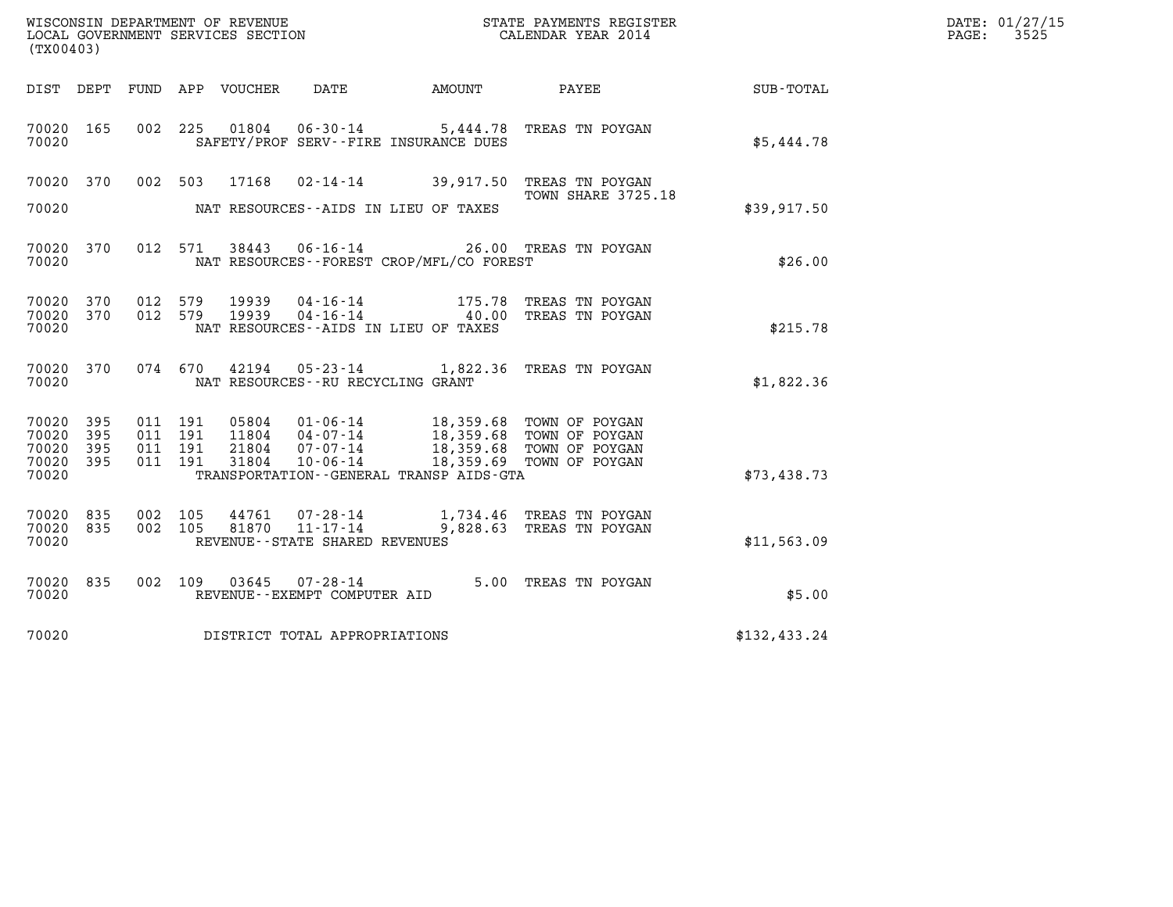| (TX00403)                                 |                          |                                      |         |                         |                                                                 |                                                                   |                                                                                                                  |              | DATE: 01/27/15<br>$\mathtt{PAGE:}$<br>3525 |
|-------------------------------------------|--------------------------|--------------------------------------|---------|-------------------------|-----------------------------------------------------------------|-------------------------------------------------------------------|------------------------------------------------------------------------------------------------------------------|--------------|--------------------------------------------|
| DIST DEPT                                 |                          |                                      |         | FUND APP VOUCHER        | DATE                                                            | AMOUNT                                                            | PAYEE                                                                                                            | SUB-TOTAL    |                                            |
| 70020 165<br>70020                        |                          | 002 225                              |         | 01804                   |                                                                 | $06 - 30 - 14$ 5, 444.78<br>SAFETY/PROF SERV--FIRE INSURANCE DUES | TREAS TN POYGAN                                                                                                  | \$5,444.78   |                                            |
| 70020 370<br>70020                        |                          | 002 503                              |         | 17168                   |                                                                 | NAT RESOURCES -- AIDS IN LIEU OF TAXES                            | 02-14-14 39,917.50 TREAS TN POYGAN<br>TOWN SHARE 3725.18                                                         | \$39,917.50  |                                            |
| 70020 370<br>70020                        |                          |                                      | 012 571 |                         | 38443 06-16-14                                                  | NAT RESOURCES--FOREST CROP/MFL/CO FOREST                          | 26.00 TREAS TN POYGAN                                                                                            | \$26.00      |                                            |
| 70020 370<br>70020<br>70020               | 370                      | 012 579<br>012 579                   |         | 19939<br>19939          | 04-16-14<br>$04 - 16 - 14$                                      | 40.00<br>NAT RESOURCES - AIDS IN LIEU OF TAXES                    | 175.78 TREAS TN POYGAN<br>TREAS TN POYGAN                                                                        | \$215.78     |                                            |
| 70020 370<br>70020                        |                          |                                      | 074 670 | 42194                   | NAT RESOURCES - - RU RECYCLING GRANT                            |                                                                   | 05-23-14 1,822.36 TREAS TN POYGAN                                                                                | \$1,822.36   |                                            |
| 70020<br>70020<br>70020<br>70020<br>70020 | 395<br>395<br>395<br>395 | 011 191<br>011 191<br>011<br>011 191 | 191     | 05804<br>21804<br>31804 | 01-06-14<br>11804  04-07-14<br>07-07-14<br>$10 - 06 - 14$       | TRANSPORTATION - - GENERAL TRANSP AIDS - GTA                      | 18,359.68   TOWN OF POYGAN<br>18,359.68   TOWN OF POYGAN<br>18,359.68 TOWN OF POYGAN<br>18,359.69 TOWN OF POYGAN | \$73,438.73  |                                            |
| 70020<br>70020<br>70020                   | 835<br>835               | 002 105<br>002 105                   |         | 44761<br>81870          | 07-28-14<br>$11 - 17 - 14$<br>REVENUE - - STATE SHARED REVENUES |                                                                   | 1,734.46 TREAS TN POYGAN<br>9,828.63 TREAS TN POYGAN                                                             | \$11,563.09  |                                            |
| 70020<br>70020                            | 835                      |                                      | 002 109 | 03645                   | 07-28-14<br>REVENUE--EXEMPT COMPUTER AID                        |                                                                   | 5.00 TREAS TN POYGAN                                                                                             | \$5.00       |                                            |
| 70020                                     |                          |                                      |         |                         | DISTRICT TOTAL APPROPRIATIONS                                   |                                                                   |                                                                                                                  | \$132,433.24 |                                            |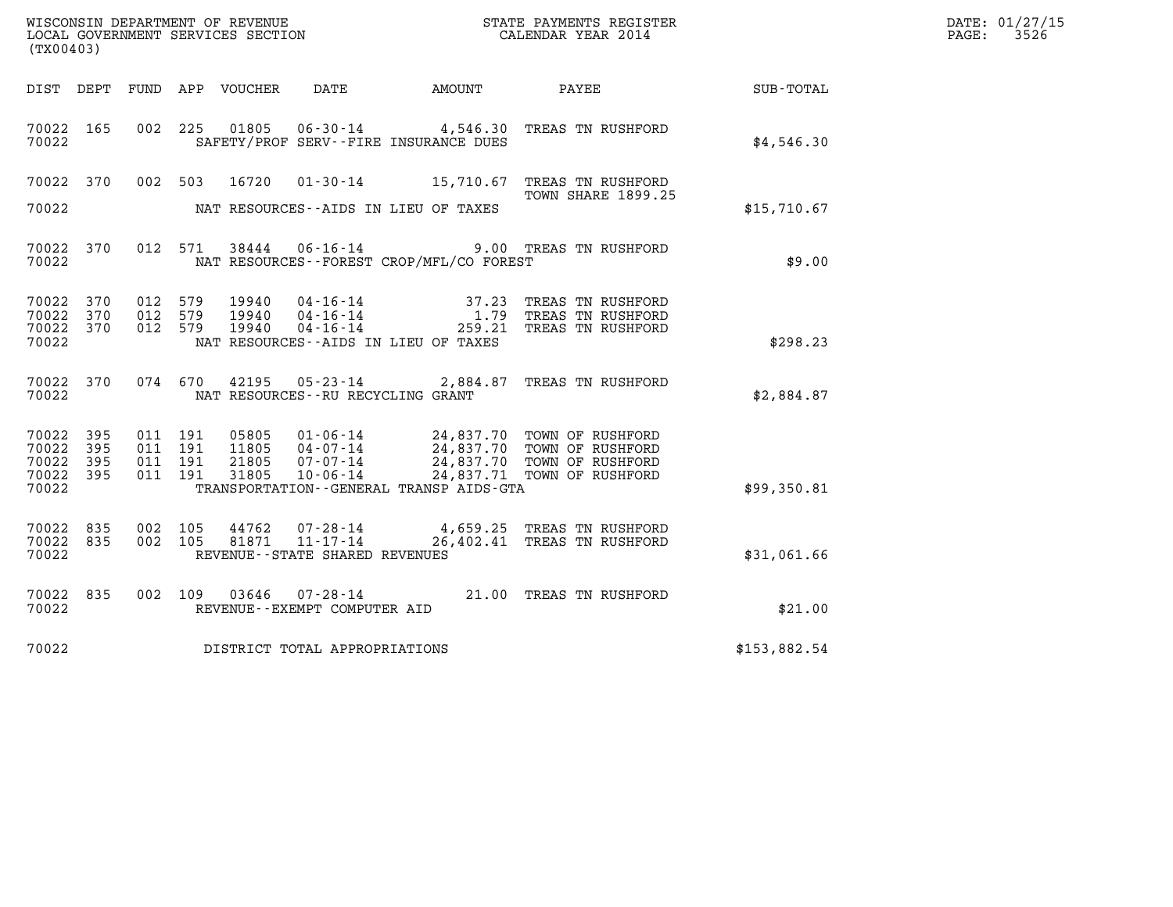| (TX00403)          |            |                    |         |                  |                                              |                                             |                                                                   |              | DATE: 01/27/15<br>$\mathtt{PAGE}$ :<br>3526 |
|--------------------|------------|--------------------|---------|------------------|----------------------------------------------|---------------------------------------------|-------------------------------------------------------------------|--------------|---------------------------------------------|
| DIST DEPT          |            |                    |         | FUND APP VOUCHER | DATE                                         | AMOUNT PAYEE                                |                                                                   | SUB-TOTAL    |                                             |
| 70022 165<br>70022 |            | 002 225            |         | 01805            |                                              | SAFETY/PROF SERV--FIRE INSURANCE DUES       | 06-30-14 4,546.30 TREAS TN RUSHFORD                               | \$4,546.30   |                                             |
| 70022 370          |            |                    | 002 503 | 16720            |                                              |                                             | 01-30-14 15,710.67 TREAS TN RUSHFORD<br>TOWN SHARE 1899.25        |              |                                             |
| 70022              |            |                    |         |                  |                                              | NAT RESOURCES - AIDS IN LIEU OF TAXES       |                                                                   | \$15,710.67  |                                             |
| 70022 370<br>70022 |            |                    | 012 571 | 38444            | $06 - 16 - 14$                               | NAT RESOURCES - - FOREST CROP/MFL/CO FOREST | 9.00 TREAS TN RUSHFORD                                            | \$9.00       |                                             |
| 70022 370<br>70022 | 370        | 012 579<br>012 579 |         | 19940<br>19940   | 04 - 16 - 14<br>04 - 16 - 14<br>04 - 16 - 14 |                                             | 37.23 TREAS TN RUSHFORD<br>1.79 TREAS TN RUSHFORD                 |              |                                             |
| 70022 370<br>70022 |            | 012 579            |         | 19940            |                                              | NAT RESOURCES--AIDS IN LIEU OF TAXES        | 259.21 TREAS TN RUSHFORD                                          | \$298.23     |                                             |
| 70022 370<br>70022 |            |                    | 074 670 | 42195            | NAT RESOURCES--RU RECYCLING GRANT            |                                             | 05-23-14 2,884.87 TREAS TN RUSHFORD                               | \$2,884.87   |                                             |
| 70022 395<br>70022 | 395        | 011 191<br>011 191 |         | 05805<br>11805   | 04-07-14                                     |                                             | 01-06-14 24,837.70 TOWN OF RUSHFORD<br>24,837.70 TOWN OF RUSHFORD |              |                                             |
| 70022<br>70022     | 395<br>395 | 011 191<br>011 191 |         | 21805<br>31805   | 07-07-14<br>10-06-14                         |                                             | 24,837.70 TOWN OF RUSHFORD<br>24,837.71 TOWN OF RUSHFORD          |              |                                             |
| 70022              |            |                    |         |                  |                                              | TRANSPORTATION--GENERAL TRANSP AIDS-GTA     |                                                                   | \$99,350.81  |                                             |
| 70022 835<br>70022 | 835        | 002 105            | 002 105 | 44762<br>81871   | 07-28-14<br>11-17-14                         |                                             | 4,659.25 TREAS TN RUSHFORD<br>26,402.41 TREAS TN RUSHFORD         |              |                                             |
| 70022              |            |                    |         |                  | REVENUE--STATE SHARED REVENUES               |                                             |                                                                   | \$31,061.66  |                                             |
| 70022 835<br>70022 |            |                    | 002 109 | 03646            | REVENUE--EXEMPT COMPUTER AID                 |                                             | 07-28-14 21.00 TREAS TN RUSHFORD                                  | \$21.00      |                                             |
| 70022              |            |                    |         |                  | DISTRICT TOTAL APPROPRIATIONS                |                                             |                                                                   | \$153,882.54 |                                             |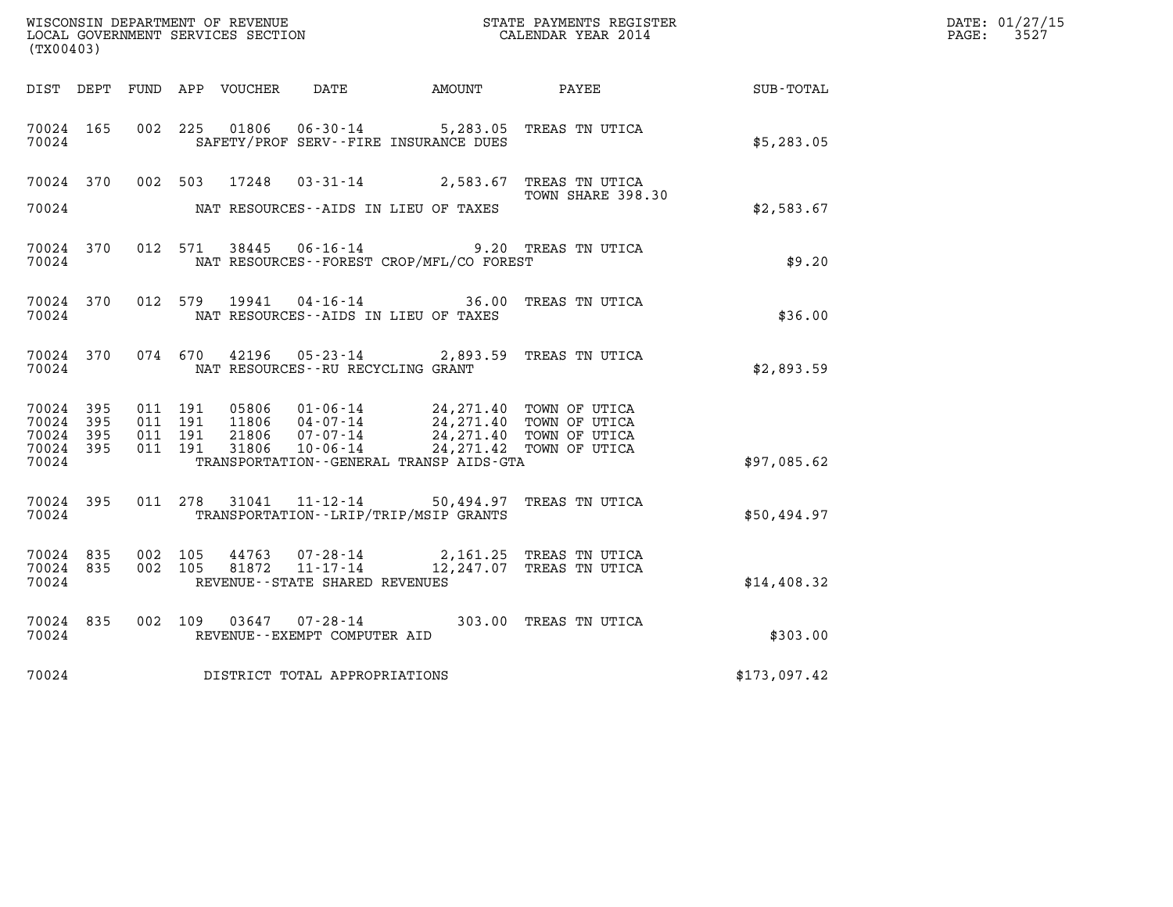|                                               |                    |                               |         | WISCONSIN DEPARTMENT OF REVENUE<br>LOCAL GOVERNMENT SERVICES SECTION |                                      |                                                                                                                                                                                                                 | STATE PAYMENTS REGISTER<br>CALENDAR YEAR 2014                               |              | DATE: 01/27/15<br>PAGE: 3527 |
|-----------------------------------------------|--------------------|-------------------------------|---------|----------------------------------------------------------------------|--------------------------------------|-----------------------------------------------------------------------------------------------------------------------------------------------------------------------------------------------------------------|-----------------------------------------------------------------------------|--------------|------------------------------|
| (TX00403)                                     |                    |                               |         |                                                                      |                                      |                                                                                                                                                                                                                 |                                                                             |              |                              |
|                                               |                    |                               |         |                                                                      |                                      | DIST DEPT FUND APP VOUCHER DATE AMOUNT PAYEE                                                                                                                                                                    |                                                                             | SUB-TOTAL    |                              |
| 70024 165<br>70024                            |                    |                               |         |                                                                      |                                      | SAFETY/PROF SERV--FIRE INSURANCE DUES                                                                                                                                                                           | 002 225 01806 06-30-14 5,283.05 TREAS TN UTICA                              | \$5,283.05   |                              |
|                                               |                    |                               |         |                                                                      |                                      |                                                                                                                                                                                                                 | 70024 370 002 503 17248 03-31-14 2,583.67 TREAS TN UTICA                    |              |                              |
| 70024                                         |                    |                               |         |                                                                      |                                      | NAT RESOURCES--AIDS IN LIEU OF TAXES                                                                                                                                                                            | TOWN SHARE 398.30                                                           | \$2,583.67   |                              |
| 70024 370<br>70024                            |                    |                               |         |                                                                      |                                      | NAT RESOURCES - - FOREST CROP/MFL/CO FOREST                                                                                                                                                                     | 012 571 38445 06-16-14 9.20 TREAS TN UTICA                                  | \$9.20       |                              |
| 70024                                         |                    |                               |         |                                                                      |                                      | NAT RESOURCES--AIDS IN LIEU OF TAXES                                                                                                                                                                            | 70024 370 012 579 19941 04-16-14 36.00 TREAS TN UTICA                       | \$36.00      |                              |
| 70024 370<br>70024                            |                    |                               |         |                                                                      | NAT RESOURCES - - RU RECYCLING GRANT |                                                                                                                                                                                                                 | 074 670 42196 05-23-14 2,893.59 TREAS TN UTICA                              | \$2,893.59   |                              |
| 70024 395<br>70024<br>70024<br>70024<br>70024 | -395<br>395<br>395 | 011 191<br>011 191<br>011 191 | 011 191 |                                                                      |                                      | 05806 01-06-14 24,271.40 TOWN OF UTICA<br>11806 04-07-14 24,271.40 TOWN OF UTICA<br>21806 07-07-14 24,271.40 TOWN OF UTICA<br>31806 10-06-14 24,271.42 TOWN OF UTICA<br>TRANSPORTATION--GENERAL TRANSP AIDS-GTA |                                                                             | \$97,085.62  |                              |
| 70024 395<br>70024                            |                    |                               |         |                                                                      |                                      | TRANSPORTATION - - LRIP/TRIP/MSIP GRANTS                                                                                                                                                                        | 011 278 31041 11-12-14 50,494.97 TREAS TN UTICA                             | \$50,494.97  |                              |
| 70024 835<br>70024 835<br>70024               |                    |                               | 002 105 | 002 105 81872                                                        | REVENUE - - STATE SHARED REVENUES    |                                                                                                                                                                                                                 | 44763 07-28-14 2,161.25 TREAS TN UTICA<br>11-17-14 12,247.07 TREAS TN UTICA | \$14,408.32  |                              |
| 70024 835<br>70024                            |                    |                               |         |                                                                      | REVENUE--EXEMPT COMPUTER AID         |                                                                                                                                                                                                                 | 002 109 03647 07-28-14 303.00 TREAS TN UTICA                                | \$303.00     |                              |
| 70024                                         |                    |                               |         |                                                                      | DISTRICT TOTAL APPROPRIATIONS        |                                                                                                                                                                                                                 |                                                                             | \$173,097.42 |                              |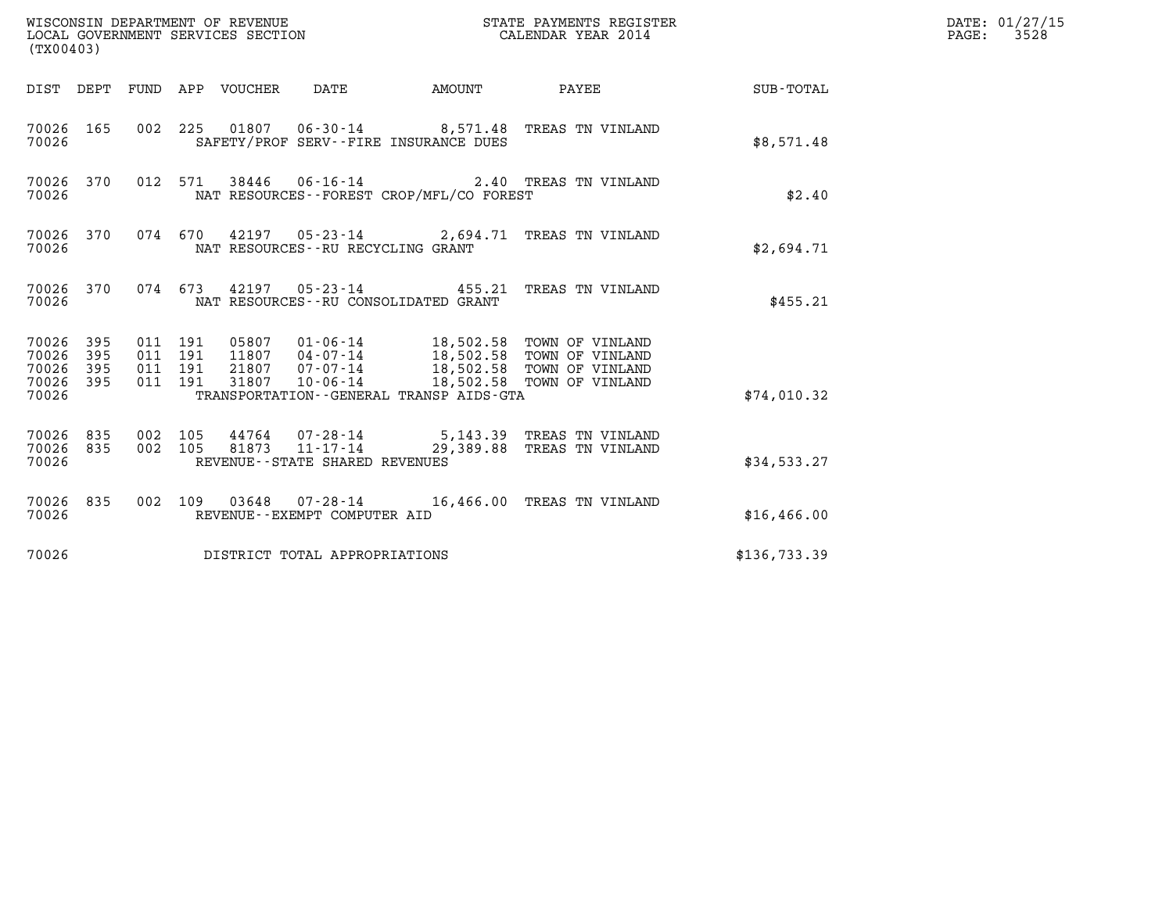| (TX00403)                                                       |                                                                                                                                  | STATE PAYMENTS REGISTER                                                                                                                              |              | DATE: 01/27/15<br>$\mathtt{PAGE:}$<br>3528 |
|-----------------------------------------------------------------|----------------------------------------------------------------------------------------------------------------------------------|------------------------------------------------------------------------------------------------------------------------------------------------------|--------------|--------------------------------------------|
|                                                                 | DIST DEPT FUND APP VOUCHER DATE                                                                                                  | <b>EXAMPLE THE AMOUNT</b><br>PAYEE                                                                                                                   | SUB-TOTAL    |                                            |
| 70026 165<br>70026                                              | 002 225 01807 06-30-14 8,571.48 TREAS TN VINLAND<br>SAFETY/PROF SERV--FIRE INSURANCE DUES                                        |                                                                                                                                                      | \$8,571.48   |                                            |
| 70026 370<br>70026                                              | 012 571 38446 06-16-14 2.40 TREAS TN VINLAND<br>NAT RESOURCES--FOREST CROP/MFL/CO FOREST                                         |                                                                                                                                                      | \$2.40       |                                            |
| 70026 370<br>70026                                              | 074 670 42197 05-23-14 2,694.71 TREAS TN VINLAND<br>NAT RESOURCES--RU RECYCLING GRANT                                            |                                                                                                                                                      | \$2,694.71   |                                            |
| 70026 370<br>70026                                              | 074 673 42197 05-23-14 455.21 TREAS TN VINLAND<br>NAT RESOURCES -- RU CONSOLIDATED GRANT                                         |                                                                                                                                                      | \$455.21     |                                            |
| 70026 395<br>70026<br>395<br>70026<br>395<br>70026 395<br>70026 | 011 191<br>011 191<br>21807 07-07-14<br>011 191<br>$10 - 06 - 14$<br>011 191<br>31807<br>TRANSPORTATION--GENERAL TRANSP AIDS-GTA | 05807  01-06-14  18,502.58  TOWN OF VINLAND<br>11807  04-07-14  18,502.58  TOWN OF VINLAND<br>18,502.58 TOWN OF VINLAND<br>18,502.58 TOWN OF VINLAND | \$74,010.32  |                                            |
| 70026 835<br>835<br>70026<br>70026                              | 002 105<br>44764 07-28-14<br>002 105<br>81873<br>11-17-14<br>REVENUE--STATE SHARED REVENUES                                      | 5,143.39 TREAS TN VINLAND<br>29,389.88 TREAS TN VINLAND                                                                                              | \$34,533.27  |                                            |
| 70026 835<br>70026                                              | 002 109 03648 07-28-14 16,466.00 TREAS TN VINLAND<br>REVENUE--EXEMPT COMPUTER AID                                                |                                                                                                                                                      | \$16,466.00  |                                            |
| 70026                                                           | DISTRICT TOTAL APPROPRIATIONS                                                                                                    |                                                                                                                                                      | \$136,733.39 |                                            |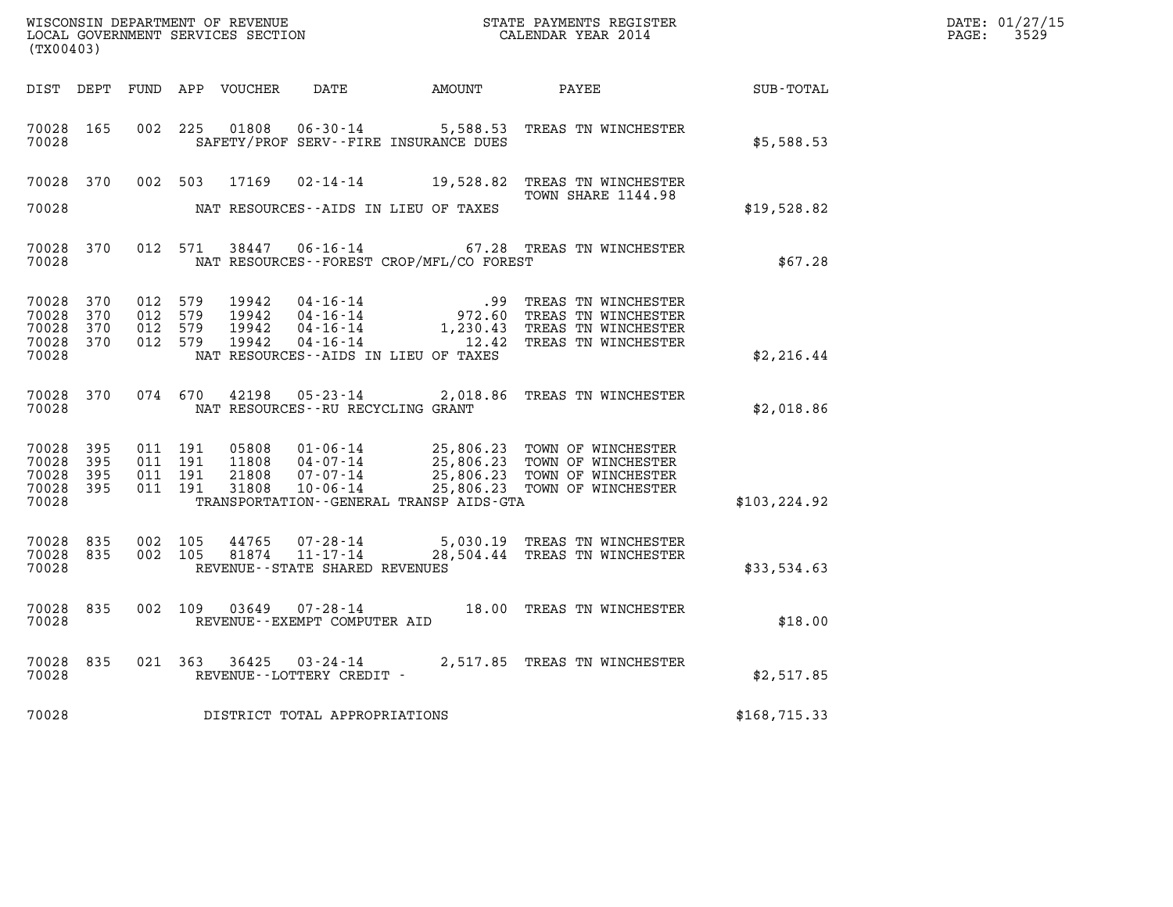| (TX00403)                                     |                            |                                          |         |                                  |                                      |                                              |                                                                                                                                                                                                      |                  | DATE: 01/27/15<br>PAGE: 3529 |
|-----------------------------------------------|----------------------------|------------------------------------------|---------|----------------------------------|--------------------------------------|----------------------------------------------|------------------------------------------------------------------------------------------------------------------------------------------------------------------------------------------------------|------------------|------------------------------|
|                                               |                            |                                          |         |                                  |                                      | DIST DEPT FUND APP VOUCHER DATE AMOUNT PAYEE |                                                                                                                                                                                                      | <b>SUB-TOTAL</b> |                              |
| 70028 165<br>70028                            |                            |                                          |         |                                  |                                      | SAFETY/PROF SERV--FIRE INSURANCE DUES        | 002 225 01808 06-30-14 5,588.53 TREAS TN WINCHESTER                                                                                                                                                  | \$5,588.53       |                              |
| 70028 370                                     |                            |                                          |         |                                  |                                      |                                              | 002 503 17169 02-14-14 19,528.82 TREAS TN WINCHESTER                                                                                                                                                 |                  |                              |
| 70028                                         |                            |                                          |         |                                  |                                      | NAT RESOURCES--AIDS IN LIEU OF TAXES         | TOWN SHARE 1144.98                                                                                                                                                                                   | \$19,528.82      |                              |
| 70028 370<br>70028                            |                            |                                          |         |                                  |                                      | NAT RESOURCES--FOREST CROP/MFL/CO FOREST     | 012 571 38447 06-16-14 67.28 TREAS TN WINCHESTER                                                                                                                                                     | \$67.28          |                              |
| 70028 370<br>70028<br>70028<br>70028<br>70028 | 370<br>370<br>370          | 012 579<br>012 579<br>012 579<br>012 579 |         | 19942<br>19942<br>19942<br>19942 |                                      | NAT RESOURCES--AIDS IN LIEU OF TAXES         | 04-16-14 99 TREAS TN WINCHESTER<br>04-16-14 972.60 TREAS TN WINCHESTER<br>04-16-14 1,230.43 TREAS TN WINCHESTER<br>04-16-14 12.42 TREAS TN WINCHESTER                                                | \$2,216.44       |                              |
| 70028 370<br>70028                            |                            | 074 670                                  |         | 42198                            | NAT RESOURCES - - RU RECYCLING GRANT |                                              | 05-23-14 2,018.86 TREAS TN WINCHESTER                                                                                                                                                                | \$2,018.86       |                              |
| 70028<br>70028<br>70028<br>70028<br>70028     | 395<br>395<br>395<br>- 395 | 011 191<br>011 191<br>011 191<br>011 191 |         |                                  |                                      | TRANSPORTATION - - GENERAL TRANSP AIDS - GTA | 05808  01-06-14  25,806.23  TOWN OF WINCHESTER<br>11808  04-07-14  25,806.23  TOWN OF WINCHESTER<br>21808  07-07-14  25,806.23  TOWN OF WINCHESTER<br>31808  10-06-14  25,806.23  TOWN OF WINCHESTER | \$103, 224.92    |                              |
| 70028 835<br>70028 835<br>70028               |                            | 002 105<br>002 105                       |         |                                  | REVENUE--STATE SHARED REVENUES       |                                              | $44765$ 07-28-14 5,030.19 TREAS TN WINCHESTER<br>81874 11-17-14 28,504.44 TREAS TN WINCHESTER                                                                                                        | \$33,534.63      |                              |
| 70028 835<br>70028                            |                            |                                          |         |                                  | REVENUE--EXEMPT COMPUTER AID         |                                              | 002 109 03649 07-28-14 18.00 TREAS TN WINCHESTER                                                                                                                                                     | \$18.00          |                              |
| 70028 835<br>70028                            |                            |                                          | 021 363 | 36425                            | REVENUE--LOTTERY CREDIT -            |                                              | 03-24-14 2,517.85 TREAS TN WINCHESTER                                                                                                                                                                | \$2,517.85       |                              |

70028 REVENUE - LOTTERY CREDIT -<br>
70028 DISTRICT TOTAL APPROPRIATIONS \$168,715.33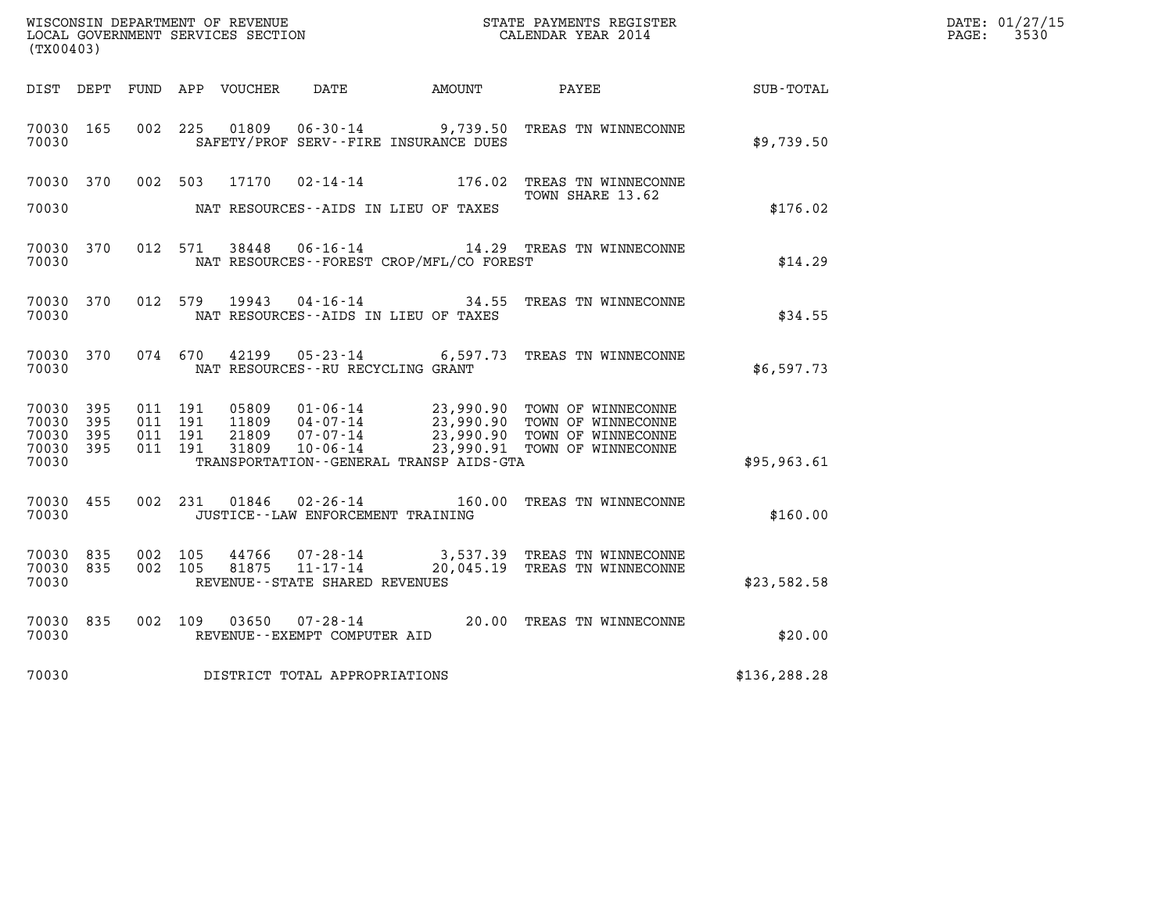|                                 |              |                               |                                                                                                                                                                |                  | DATE: 01/27/15                                            |                                                                                   |                                                               |               |                          |
|---------------------------------|--------------|-------------------------------|----------------------------------------------------------------------------------------------------------------------------------------------------------------|------------------|-----------------------------------------------------------|-----------------------------------------------------------------------------------|---------------------------------------------------------------|---------------|--------------------------|
| (TX00403)                       |              |                               |                                                                                                                                                                |                  |                                                           |                                                                                   |                                                               |               | $\mathtt{PAGE:}$<br>3530 |
| DIST DEPT                       |              |                               |                                                                                                                                                                | FUND APP VOUCHER | DATE                                                      | AMOUNT                                                                            | PAYEE                                                         | SUB-TOTAL     |                          |
| 70030 165<br>70030              |              | 002 225                       |                                                                                                                                                                | 01809            | $06 - 30 - 14$                                            | SAFETY/PROF SERV--FIRE INSURANCE DUES                                             | 9,739.50 TREAS TN WINNECONNE                                  | \$9,739.50    |                          |
| 70030 370                       |              | 002 503                       |                                                                                                                                                                | 17170            |                                                           | $02 - 14 - 14$ 176.02                                                             | TREAS TN WINNECONNE<br>TOWN SHARE 13.62                       |               |                          |
| 70030                           |              |                               |                                                                                                                                                                |                  |                                                           | NAT RESOURCES--AIDS IN LIEU OF TAXES                                              | \$176.02                                                      |               |                          |
| 70030 370<br>70030              |              | 012 571                       |                                                                                                                                                                | 38448            |                                                           | 06-16-14 14.29 TREAS TN WINNECONNE<br>NAT RESOURCES - - FOREST CROP/MFL/CO FOREST | \$14.29                                                       |               |                          |
| 70030 370<br>70030              |              |                               |                                                                                                                                                                | 012 579 19943    |                                                           | NAT RESOURCES - AIDS IN LIEU OF TAXES                                             | 04-16-14 34.55 TREAS TN WINNECONNE                            | \$34.55       |                          |
| 70030 370<br>70030              |              | 074 670                       |                                                                                                                                                                | 42199            | NAT RESOURCES - - RU RECYCLING GRANT                      |                                                                                   | 05-23-14 6,597.73 TREAS TN WINNECONNE                         | \$6,597.73    |                          |
| 70030 395<br>70030<br>70030     | 395<br>- 395 | 011 191<br>011 191<br>011 191 | 01-06-14 23,990.90 TOWN OF WINNECONNE<br>05809<br>23,990.90 TOWN OF WINNECONNE<br>11809<br>04-07-14<br>23,990.90 TOWN OF WINNECONNE<br>21809<br>$07 - 07 - 14$ |                  |                                                           |                                                                                   |                                                               |               |                          |
| 70030 395<br>70030              |              | 011 191                       |                                                                                                                                                                | 31809            | 10-06-14                                                  | TRANSPORTATION--GENERAL TRANSP AIDS-GTA                                           | 23,990.91 TOWN OF WINNECONNE                                  | \$95,963.61   |                          |
| 70030 455<br>70030              |              | 002 231                       |                                                                                                                                                                |                  | JUSTICE - - LAW ENFORCEMENT TRAINING                      |                                                                                   | 01846  02-26-14  160.00 TREAS TN WINNECONNE                   | \$160.00      |                          |
| 70030 835<br>70030 835<br>70030 |              | 002<br>002 105                | 105                                                                                                                                                            | 44766<br>81875   | 07-28-14<br>11-17-14<br>REVENUE - - STATE SHARED REVENUES |                                                                                   | 3,537.39 TREAS TN WINNECONNE<br>20,045.19 TREAS TN WINNECONNE | \$23,582.58   |                          |
| 70030 835<br>70030              |              | 002 109                       |                                                                                                                                                                | 03650            | REVENUE--EXEMPT COMPUTER AID                              |                                                                                   | 07-28-14 20.00 TREAS TN WINNECONNE                            | \$20.00       |                          |
| 70030                           |              |                               |                                                                                                                                                                |                  | DISTRICT TOTAL APPROPRIATIONS                             |                                                                                   |                                                               | \$136, 288.28 |                          |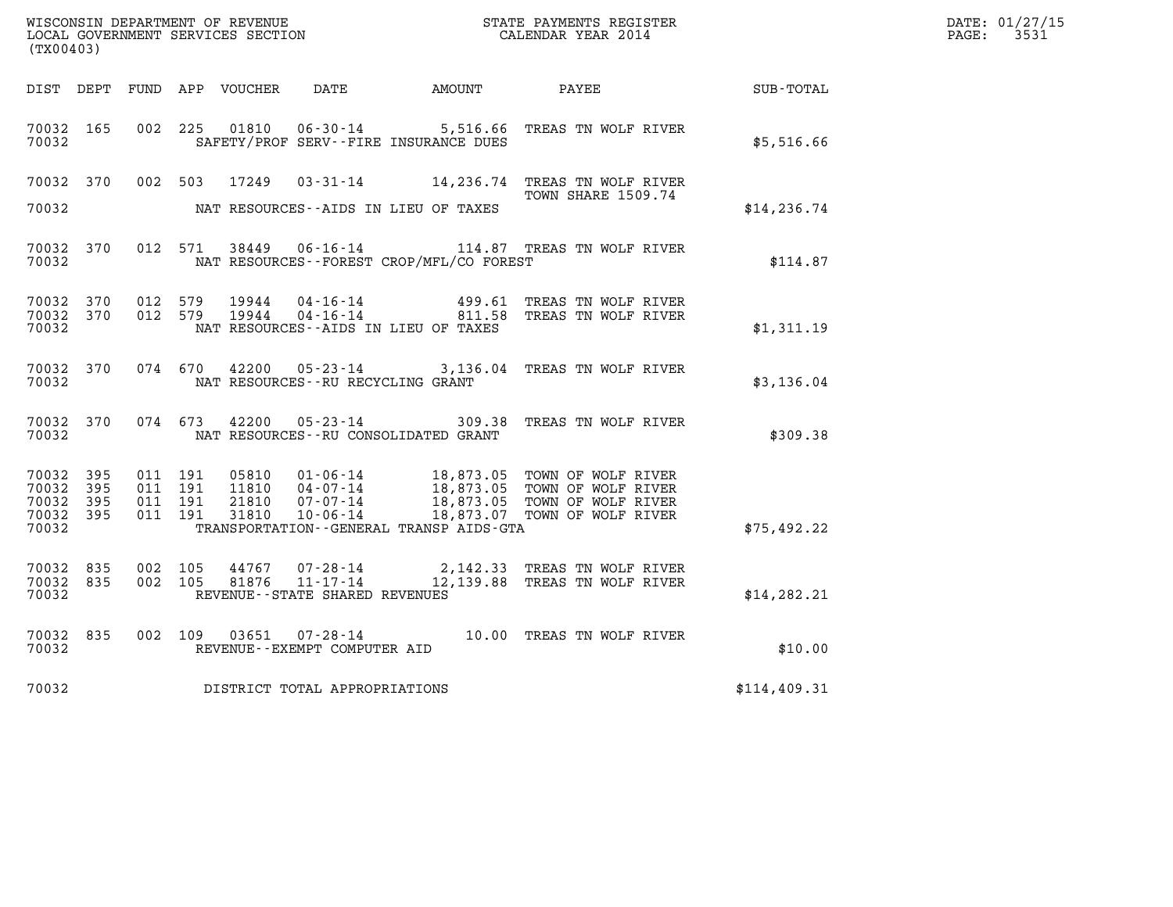| (TX00403)                                         |              |                                          |         |                                  |                                               |                                                                                      |                                                                                                                                                |              | DATE: 01/27/15<br>$\mathtt{PAGE:}$<br>3531 |
|---------------------------------------------------|--------------|------------------------------------------|---------|----------------------------------|-----------------------------------------------|--------------------------------------------------------------------------------------|------------------------------------------------------------------------------------------------------------------------------------------------|--------------|--------------------------------------------|
|                                                   |              |                                          |         | DIST DEPT FUND APP VOUCHER       |                                               | DATE AMOUNT PAYEE                                                                    |                                                                                                                                                | SUB-TOTAL    |                                            |
| 70032 165<br>70032                                |              | 002 225                                  |         | 01810                            | $06 - 30 - 14$                                | SAFETY/PROF SERV--FIRE INSURANCE DUES                                                | 5,516.66 TREAS TN WOLF RIVER                                                                                                                   | \$5,516.66   |                                            |
| 70032 370<br>70032                                |              |                                          | 002 503 | 17249                            |                                               | NAT RESOURCES--AIDS IN LIEU OF TAXES                                                 | <b>TOWN SHARE 1509.74</b>                                                                                                                      | \$14, 236.74 |                                            |
| 70032 370<br>70032                                |              |                                          | 012 571 |                                  |                                               | NAT RESOURCES - - FOREST CROP/MFL/CO FOREST                                          | 38449   06-16-14   114.87   TREAS TN WOLF RIVER                                                                                                | \$114.87     |                                            |
| 70032 370<br>70032 370<br>70032                   |              | 012 579<br>012 579                       |         | 19944<br>19944                   |                                               | 04 - 16 - 14 499.61<br>04 - 16 - 14 811.58<br>NAT RESOURCES -- AIDS IN LIEU OF TAXES | TREAS TN WOLF RIVER<br>TREAS TN WOLF RIVER                                                                                                     | \$1,311.19   |                                            |
| 70032 370<br>70032                                |              |                                          |         |                                  | NAT RESOURCES - - RU RECYCLING GRANT          |                                                                                      | 074 670 42200 05-23-14 3,136.04 TREAS TN WOLF RIVER                                                                                            | \$3,136.04   |                                            |
| 70032 370<br>70032                                |              | 074 673                                  |         | 42200                            | $05 - 23 - 14$                                | NAT RESOURCES - - RU CONSOLIDATED GRANT                                              | 309.38 TREAS TN WOLF RIVER                                                                                                                     | \$309.38     |                                            |
| 70032 395<br>70032<br>70032<br>70032 395<br>70032 | 395<br>- 395 | 011 191<br>011 191<br>011 191<br>011 191 |         | 05810<br>11810<br>21810<br>31810 | 07-07-14<br>10-06-14                          | TRANSPORTATION - - GENERAL TRANSP AIDS - GTA                                         | 01-06-14 18,873.05 TOWN OF WOLF RIVER<br>04-07-14 18,873.05 TOWN OF WOLF RIVER<br>18,873.05 TOWN OF WOLF RIVER<br>18,873.07 TOWN OF WOLF RIVER | \$75,492.22  |                                            |
| 70032 835<br>70032 835<br>70032                   |              | 002 105<br>002 105                       |         | 44767<br>81876                   | 07-28-14<br>REVENUE - - STATE SHARED REVENUES |                                                                                      | 2,142.33 TREAS TN WOLF RIVER<br>11-17-14 12,139.88 TREAS TN WOLF RIVER                                                                         | \$14, 282.21 |                                            |
| 70032 835<br>70032                                |              | 002 109                                  |         | 03651                            | REVENUE--EXEMPT COMPUTER AID                  |                                                                                      | 07-28-14 10.00 TREAS TN WOLF RIVER                                                                                                             | \$10.00      |                                            |
| 70032                                             |              |                                          |         |                                  | DISTRICT TOTAL APPROPRIATIONS                 |                                                                                      |                                                                                                                                                | \$114,409.31 |                                            |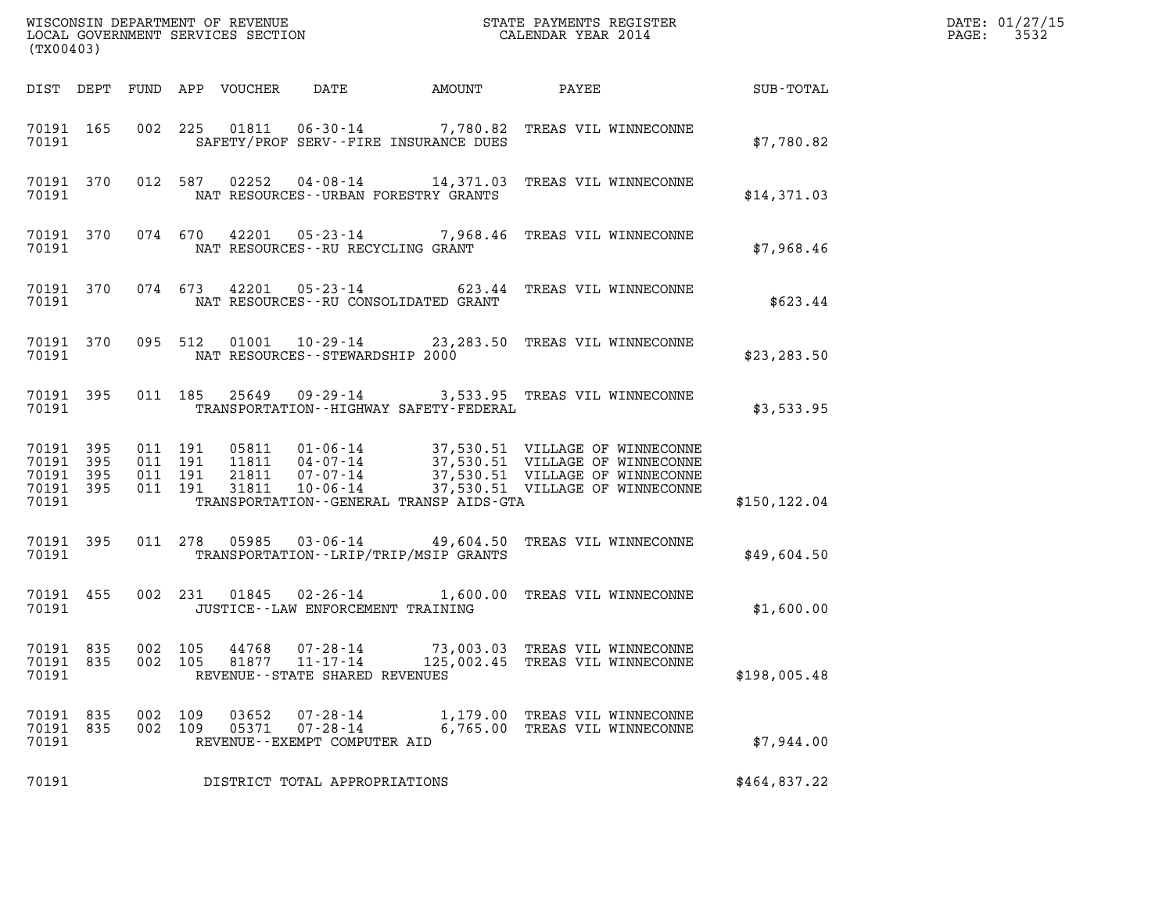| (TX00403)                                    |           |                                          |                            |                                                                       |                                          |                                                                                                                                                                                                                  |               | DATE: 01/27/15<br>3532<br>$\mathtt{PAGE:}$ |
|----------------------------------------------|-----------|------------------------------------------|----------------------------|-----------------------------------------------------------------------|------------------------------------------|------------------------------------------------------------------------------------------------------------------------------------------------------------------------------------------------------------------|---------------|--------------------------------------------|
|                                              |           |                                          | DIST DEPT FUND APP VOUCHER | DATE                                                                  | AMOUNT                                   | PAYEE                                                                                                                                                                                                            | SUB-TOTAL     |                                            |
| 70191                                        | 70191 165 |                                          |                            |                                                                       | SAFETY/PROF SERV--FIRE INSURANCE DUES    | 002 225 01811 06-30-14 7,780.82 TREAS VIL WINNECONNE                                                                                                                                                             | \$7,780.82    |                                            |
| 70191                                        |           |                                          |                            |                                                                       | NAT RESOURCES--URBAN FORESTRY GRANTS     | 70191 370 012 587 02252 04-08-14 14,371.03 TREAS VIL WINNECONNE                                                                                                                                                  | \$14,371.03   |                                            |
| 70191                                        |           |                                          |                            |                                                                       | NAT RESOURCES -- RU RECYCLING GRANT      | 70191 370 074 670 42201 05-23-14 7,968.46 TREAS VIL WINNECONNE                                                                                                                                                   | \$7,968.46    |                                            |
| 70191                                        |           |                                          |                            |                                                                       | NAT RESOURCES--RU CONSOLIDATED GRANT     | 70191 370 074 673 42201 05-23-14 623.44 TREAS VIL WINNECONNE                                                                                                                                                     | \$623.44      |                                            |
| 70191                                        |           |                                          |                            | NAT RESOURCES--STEWARDSHIP 2000                                       |                                          | 70191 370 095 512 01001 10-29-14 23,283.50 TREAS VIL WINNECONNE                                                                                                                                                  | \$23, 283.50  |                                            |
| 70191                                        | 70191 395 |                                          |                            |                                                                       | TRANSPORTATION--HIGHWAY SAFETY-FEDERAL   | 011 185 25649 09-29-14 3,533.95 TREAS VIL WINNECONNE                                                                                                                                                             | \$3,533.95    |                                            |
| 70191 395<br>70191 395<br>70191 395<br>70191 | 70191 395 | 011 191<br>011 191<br>011 191<br>011 191 |                            |                                                                       | TRANSPORTATION--GENERAL TRANSP AIDS-GTA  | 05811  01-06-14  37,530.51  VILLAGE OF WINNECONNE<br>11811  04-07-14  37,530.51  VILLAGE OF WINNECONNE<br>21811  07-07-14  37,530.51  VILLAGE OF WINNECONNE<br>31811  10-06-14  37,530.51  VILLAGE OF WINNECONNE | \$150, 122.04 |                                            |
| 70191                                        | 70191 395 |                                          |                            |                                                                       | TRANSPORTATION - - LRIP/TRIP/MSIP GRANTS | 011 278  05985  03-06-14  49,604.50  TREAS VIL WINNECONNE                                                                                                                                                        | \$49,604.50   |                                            |
| 70191                                        | 70191 455 |                                          |                            |                                                                       | JUSTICE -- LAW ENFORCEMENT TRAINING      | 002 231 01845 02-26-14 1,600.00 TREAS VIL WINNECONNE                                                                                                                                                             | \$1,600.00    |                                            |
| 70191 835<br>70191 835<br>70191              |           | 002 105<br>002 105                       | 44768<br>81877             | $07 - 28 - 14$<br>$11 - 17 - 14$<br>REVENUE - - STATE SHARED REVENUES |                                          | 73,003.03 TREAS VIL WINNECONNE<br>125,002.45 TREAS VIL WINNECONNE                                                                                                                                                | \$198,005.48  |                                            |
| 70191 835<br>70191 835<br>70191              |           | 002 109<br>002 109                       | 03652<br>05371             | $07 - 28 - 14$<br>$07 - 28 - 14$<br>REVENUE--EXEMPT COMPUTER AID      |                                          | 1,179.00 TREAS VIL WINNECONNE<br>6,765.00 TREAS VIL WINNECONNE                                                                                                                                                   | \$7,944.00    |                                            |
| 70191                                        |           |                                          |                            | DISTRICT TOTAL APPROPRIATIONS                                         |                                          |                                                                                                                                                                                                                  | \$464,837.22  |                                            |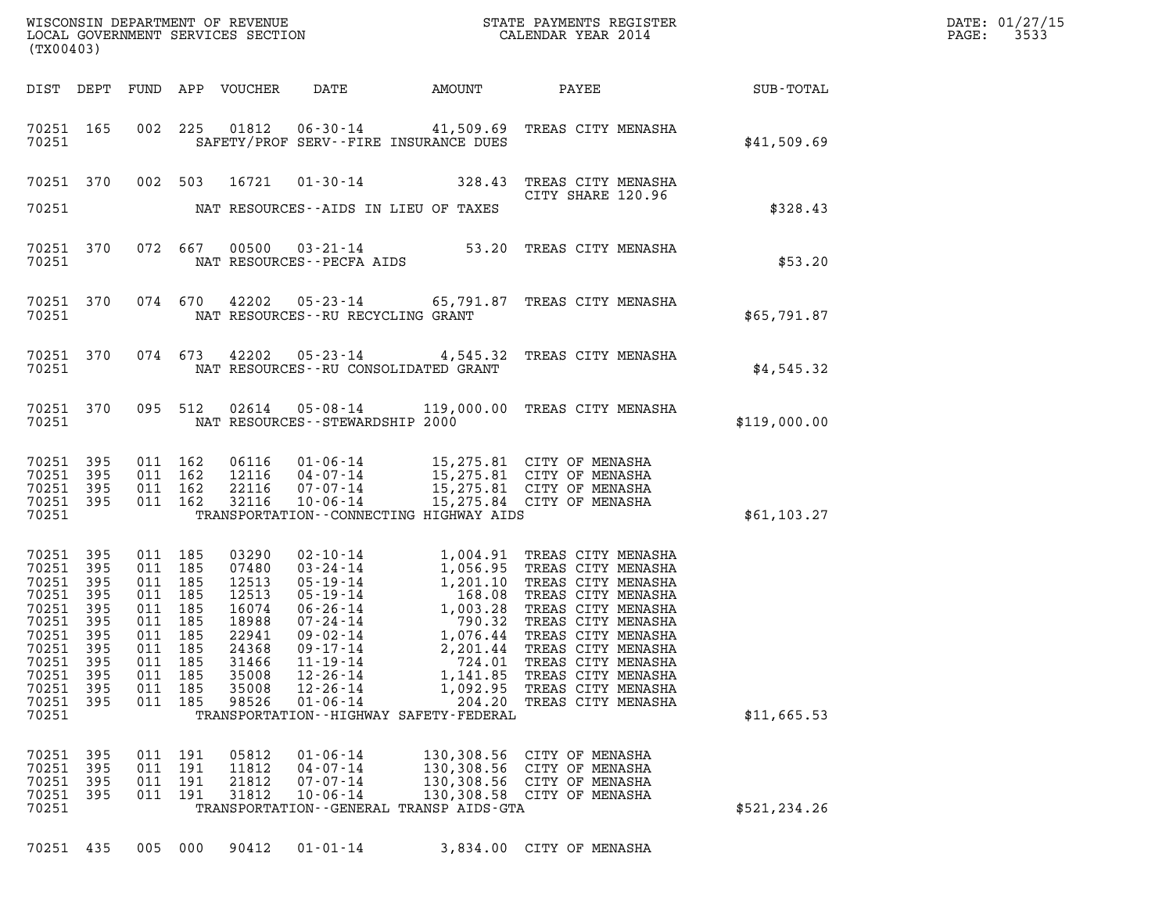| (TX00403)                                                                                                                     |                                                             |                                 |                                                                                                              |                                                                                                          |                                                                                                          |                                                                                                     | WISCONSIN DEPARTMENT OF REVENUE<br>LOCAL GOVERNMENT SERVICES SECTION CALENDAR YEAR 2014                                                                                                                                                                                                                                                                                               |              | DATE: 01/27/15<br>3533<br>$\mathtt{PAGE:}$ |
|-------------------------------------------------------------------------------------------------------------------------------|-------------------------------------------------------------|---------------------------------|--------------------------------------------------------------------------------------------------------------|----------------------------------------------------------------------------------------------------------|----------------------------------------------------------------------------------------------------------|-----------------------------------------------------------------------------------------------------|---------------------------------------------------------------------------------------------------------------------------------------------------------------------------------------------------------------------------------------------------------------------------------------------------------------------------------------------------------------------------------------|--------------|--------------------------------------------|
|                                                                                                                               |                                                             |                                 |                                                                                                              | DIST DEPT FUND APP VOUCHER                                                                               |                                                                                                          |                                                                                                     | DATE AMOUNT PAYEE SUB-TOTAL                                                                                                                                                                                                                                                                                                                                                           |              |                                            |
| 70251                                                                                                                         | 70251 165                                                   |                                 |                                                                                                              |                                                                                                          |                                                                                                          | SAFETY/PROF SERV--FIRE INSURANCE DUES                                                               | 002 225 01812 06-30-14 41,509.69 TREAS CITY MENASHA                                                                                                                                                                                                                                                                                                                                   | \$41,509.69  |                                            |
|                                                                                                                               |                                                             |                                 |                                                                                                              |                                                                                                          |                                                                                                          |                                                                                                     | 70251 370 002 503 16721 01-30-14 328.43 TREAS CITY MENASHA<br>CITY SHARE 120.96                                                                                                                                                                                                                                                                                                       |              |                                            |
| 70251                                                                                                                         |                                                             |                                 |                                                                                                              |                                                                                                          |                                                                                                          | NAT RESOURCES--AIDS IN LIEU OF TAXES                                                                |                                                                                                                                                                                                                                                                                                                                                                                       | \$328.43     |                                            |
| 70251                                                                                                                         | 70251 370                                                   |                                 |                                                                                                              |                                                                                                          | NAT RESOURCES - - PECFA AIDS                                                                             |                                                                                                     | 072 667 00500 03-21-14 53.20 TREAS CITY MENASHA                                                                                                                                                                                                                                                                                                                                       | \$53.20      |                                            |
| 70251                                                                                                                         | 70251 370                                                   |                                 |                                                                                                              |                                                                                                          | NAT RESOURCES--RU RECYCLING GRANT                                                                        |                                                                                                     | 074 670 42202 05-23-14 65,791.87 TREAS CITY MENASHA                                                                                                                                                                                                                                                                                                                                   | \$65,791.87  |                                            |
|                                                                                                                               | 70251 370<br>70251                                          |                                 |                                                                                                              |                                                                                                          |                                                                                                          | NAT RESOURCES--RU CONSOLIDATED GRANT                                                                | 074 673 42202 05-23-14 4,545.32 TREAS CITY MENASHA                                                                                                                                                                                                                                                                                                                                    | \$4,545.32   |                                            |
|                                                                                                                               | 70251 370                                                   |                                 |                                                                                                              |                                                                                                          | 70251 NAT RESOURCES--STEWARDSHIP 2000                                                                    |                                                                                                     | 095 512 02614 05-08-14 119,000.00 TREAS CITY MENASHA                                                                                                                                                                                                                                                                                                                                  | \$119,000.00 |                                            |
| 70251 395<br>70251 395<br>70251 395<br>70251 395<br>70251                                                                     |                                                             |                                 | 011 162<br>011 162<br>011 162<br>011 162                                                                     |                                                                                                          |                                                                                                          | TRANSPORTATION--CONNECTING HIGHWAY AIDS                                                             | 06116  01-06-14  15,275.81  CITY OF MENASHA<br>12116  04-07-14  15,275.81  CITY OF MENASHA<br>22116  07-07-14  15,275.81  CITY OF MENASHA<br>32116  10-06-14  15,275.84  CITY OF MENASHA                                                                                                                                                                                              | \$61,103.27  |                                            |
| 70251 395<br>70251<br>70251 395<br>70251<br>70251<br>70251<br>70251 395<br>70251<br>70251<br>70251<br>70251<br>70251<br>70251 | 395<br>395<br>395<br>395<br>395<br>395<br>395<br>395<br>395 | 011<br>011<br>011<br>011<br>011 | 011 185<br>011 185<br>011 185<br>011 185<br>011 185<br>011 185<br>011 185<br>185<br>185<br>185<br>185<br>185 | 03290<br>07480<br>12513<br>12513<br>16074<br>18988<br>22941<br>24368<br>31466<br>35008<br>35008<br>98526 | $09 - 02 - 14$<br>$09 - 17 - 14$<br>$11 - 19 - 14$<br>$12 - 26 - 14$<br>$12 - 26 - 14$<br>$01 - 06 - 14$ | 2,201.44<br>724.01<br>1,141.85<br>1,092.95<br>204.20<br>TRANSPORTATION - - HIGHWAY SAFETY - FEDERAL | 02-10-14 1,004.91 TREAS CITY MENASHA<br>03-24-14 1,056.95 TREAS CITY MENASHA<br>05-19-14 1,201.10 TREAS CITY MENASHA<br>06-26-14 1,003.28 TREAS CITY MENASHA<br>07-24-14 79.03.28 TREAS CITY MENASHA<br>07-44 79.03.28 TREAS CITY MENASH<br>1,076.44 TREAS CITY MENASHA<br>TREAS CITY MENASHA<br>TREAS CITY MENASHA<br>TREAS CITY MENASHA<br>TREAS CITY MENASHA<br>TREAS CITY MENASHA | \$11,665.53  |                                            |
| 70251<br>70251<br>70251<br>70251 395<br>70251                                                                                 | 395<br>395<br>395                                           | 011<br>011<br>011<br>011        | 191<br>191<br>191<br>191                                                                                     | 05812<br>11812<br>21812<br>31812                                                                         | $01 - 06 - 14$<br>$04 - 07 - 14$<br>$07 - 07 - 14$<br>$10 - 06 - 14$                                     | TRANSPORTATION - - GENERAL TRANSP AIDS - GTA                                                        | 130,308.56 CITY OF MENASHA<br>130,308.56 CITY OF MENASHA<br>130,308.56 CITY OF MENASHA<br>130,308.58 CITY OF MENASHA                                                                                                                                                                                                                                                                  | \$521,234.26 |                                            |
| 70251 435                                                                                                                     |                                                             |                                 | 005 000                                                                                                      | 90412                                                                                                    | $01 - 01 - 14$                                                                                           |                                                                                                     | 3,834.00 CITY OF MENASHA                                                                                                                                                                                                                                                                                                                                                              |              |                                            |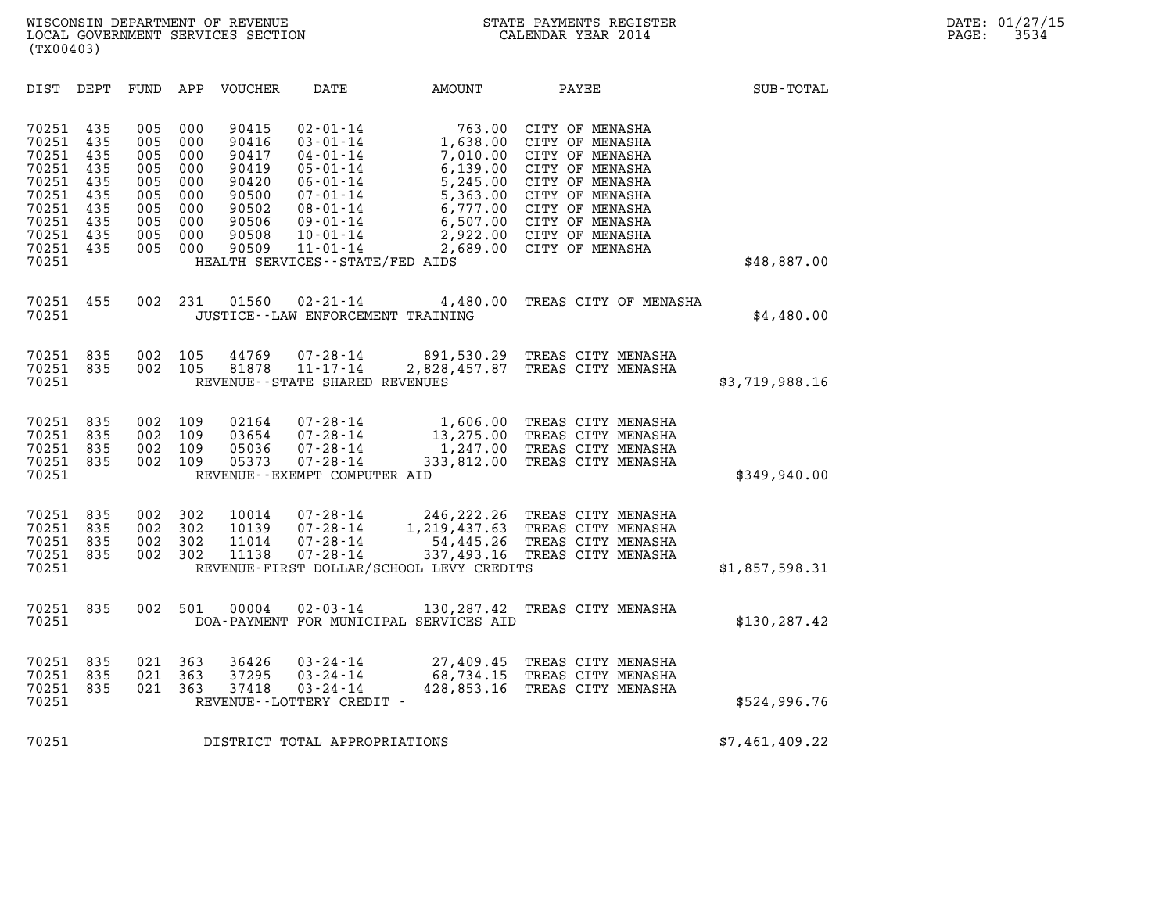| (TX00403)                                                                                       |                                                                    |                                                                    |                                                                    |                                                                                        |                                                                                                                                                                                                                     |                                                                                                        |                                                                                                                                                                                                     |                  |  |
|-------------------------------------------------------------------------------------------------|--------------------------------------------------------------------|--------------------------------------------------------------------|--------------------------------------------------------------------|----------------------------------------------------------------------------------------|---------------------------------------------------------------------------------------------------------------------------------------------------------------------------------------------------------------------|--------------------------------------------------------------------------------------------------------|-----------------------------------------------------------------------------------------------------------------------------------------------------------------------------------------------------|------------------|--|
| DIST                                                                                            | DEPT                                                               | FUND                                                               | APP                                                                | <b>VOUCHER</b>                                                                         | <b>DATE</b>                                                                                                                                                                                                         | <b>AMOUNT</b>                                                                                          | PAYEE                                                                                                                                                                                               | <b>SUB-TOTAL</b> |  |
| 70251<br>70251<br>70251<br>70251<br>70251<br>70251<br>70251<br>70251<br>70251<br>70251<br>70251 | 435<br>435<br>435<br>435<br>435<br>435<br>435<br>435<br>435<br>435 | 005<br>005<br>005<br>005<br>005<br>005<br>005<br>005<br>005<br>005 | 000<br>000<br>000<br>000<br>000<br>000<br>000<br>000<br>000<br>000 | 90415<br>90416<br>90417<br>90419<br>90420<br>90500<br>90502<br>90506<br>90508<br>90509 | $02 - 01 - 14$<br>$03 - 01 - 14$<br>$04 - 01 - 14$<br>$05 - 01 - 14$<br>$06 - 01 - 14$<br>$07 - 01 - 14$<br>$08 - 01 - 14$<br>$09 - 01 - 14$<br>$10 - 01 - 14$<br>$11 - 01 - 14$<br>HEALTH SERVICES--STATE/FED AIDS | 763.00<br>1,638.00<br>7,010.00<br>6,139.00<br>5,245.00<br>5,363.00<br>6,777.00<br>6,507.00<br>2,689.00 | CITY OF MENASHA<br>CITY OF MENASHA<br>CITY OF MENASHA<br>CITY OF MENASHA<br>CITY OF MENASHA<br>CITY OF MENASHA<br>CITY OF MENASHA<br>CITY OF MENASHA<br>2,922.00 CITY OF MENASHA<br>CITY OF MENASHA | \$48,887.00      |  |
| 70251<br>70251                                                                                  | 455                                                                | 002                                                                | 231                                                                | 01560                                                                                  | $02 - 21 - 14$<br>JUSTICE -- LAW ENFORCEMENT TRAINING                                                                                                                                                               | 4,480.00                                                                                               | TREAS CITY OF MENASHA                                                                                                                                                                               | \$4,480.00       |  |
| 70251<br>70251<br>70251                                                                         | 835<br>835                                                         | 002<br>002                                                         | 105<br>105                                                         | 44769<br>81878                                                                         | $07 - 28 - 14$<br>$11 - 17 - 14$<br>REVENUE - - STATE SHARED REVENUES                                                                                                                                               | 2,828,457.87                                                                                           | 891,530.29 TREAS CITY MENASHA<br>TREAS CITY MENASHA                                                                                                                                                 | \$3,719,988.16   |  |
| 70251<br>70251<br>70251<br>70251<br>70251                                                       | 835<br>835<br>835<br>835                                           | 002<br>002<br>002<br>002                                           | 109<br>109<br>109<br>109                                           | 02164<br>03654<br>05036<br>05373                                                       | $07 - 28 - 14$<br>$07 - 28 - 14$<br>$07 - 28 - 14$<br>$07 - 28 - 14$<br>REVENUE--EXEMPT COMPUTER AID                                                                                                                | 13, 275.00<br>333,812.00                                                                               | 1,606.00 TREAS CITY MENASHA<br>TREAS CITY MENASHA<br>1,247.00 TREAS CITY MENASHA<br>TREAS CITY MENASHA                                                                                              | \$349,940.00     |  |
| 70251<br>70251<br>70251<br>70251<br>70251                                                       | 835<br>835<br>835<br>835                                           | 002<br>002<br>002<br>002                                           | 302<br>302<br>302<br>302                                           | 10014<br>10139<br>11014<br>11138                                                       | $07 - 28 - 14$<br>$07 - 28 - 14$<br>$07 - 28 - 14$<br>$07 - 28 - 14$                                                                                                                                                | 246,222.26<br>1,219,437.63<br>54,445.26<br>337,493.16<br>REVENUE-FIRST DOLLAR/SCHOOL LEVY CREDITS      | TREAS CITY MENASHA<br>TREAS CITY MENASHA<br>TREAS CITY MENASHA<br>TREAS CITY MENASHA                                                                                                                | \$1,857,598.31   |  |
| 70251<br>70251                                                                                  | 835                                                                | 002                                                                | 501                                                                | 00004                                                                                  | $02 - 03 - 14$                                                                                                                                                                                                      | 130,287.42<br>DOA-PAYMENT FOR MUNICIPAL SERVICES AID                                                   | TREAS CITY MENASHA                                                                                                                                                                                  | \$130,287.42     |  |
| 70251<br>70251<br>70251<br>70251                                                                | 835<br>835<br>835                                                  | 021<br>021<br>021                                                  | 363<br>363<br>363                                                  | 36426<br>37295<br>37418                                                                | $03 - 24 - 14$<br>$03 - 24 - 14$<br>$03 - 24 - 14$<br>REVENUE--LOTTERY CREDIT -                                                                                                                                     | 27,409.45<br>68,734.15<br>428,853.16                                                                   | TREAS CITY MENASHA<br>TREAS CITY MENASHA<br>TREAS CITY MENASHA                                                                                                                                      | \$524,996.76     |  |
| 70251                                                                                           |                                                                    |                                                                    |                                                                    |                                                                                        | DISTRICT TOTAL APPROPRIATIONS                                                                                                                                                                                       |                                                                                                        |                                                                                                                                                                                                     | \$7,461,409.22   |  |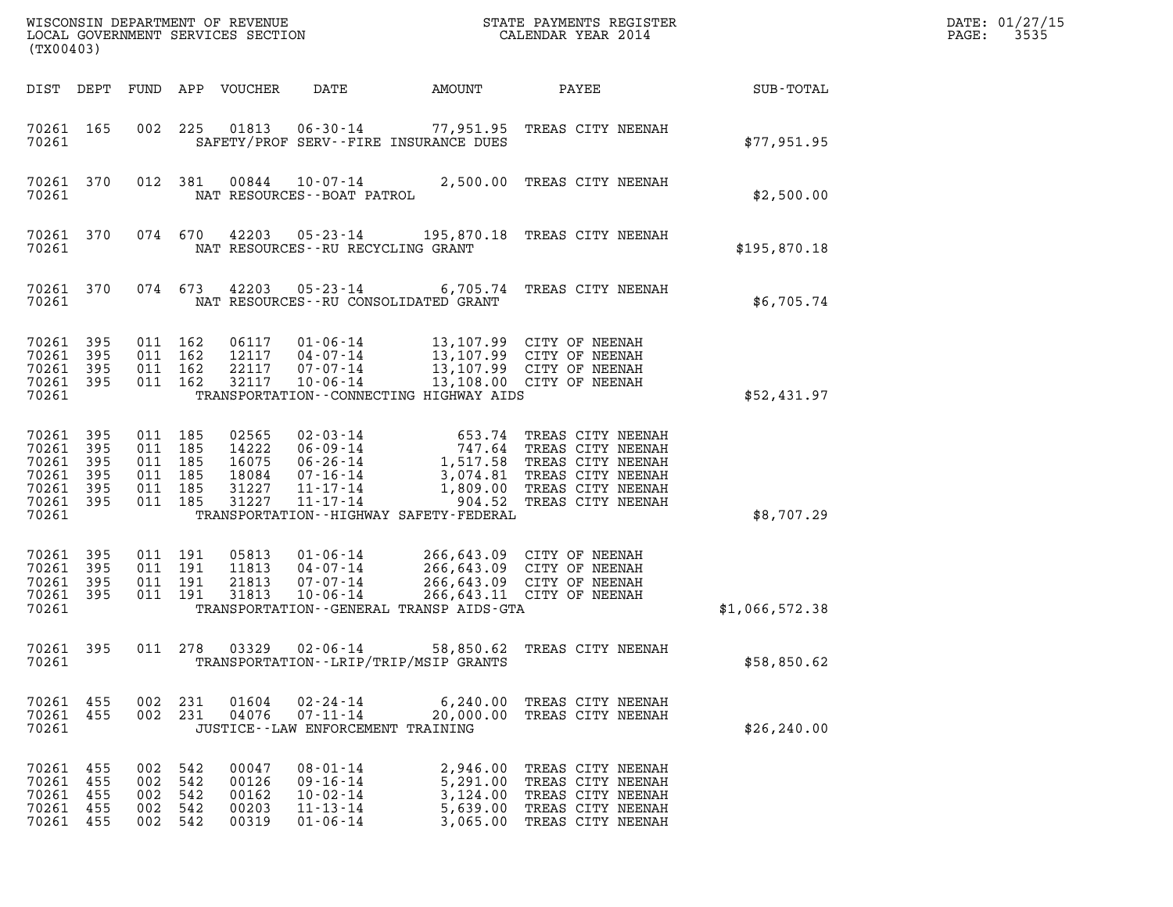| (TX00403)                                                           |                          |                                                            |            | LOCAL GOVERNMENT SERVICES SECTION                  |                                                                                        |                                                         |                                                                                                                                                                   |                | DATE: 01/27/15<br>3535<br>PAGE: |
|---------------------------------------------------------------------|--------------------------|------------------------------------------------------------|------------|----------------------------------------------------|----------------------------------------------------------------------------------------|---------------------------------------------------------|-------------------------------------------------------------------------------------------------------------------------------------------------------------------|----------------|---------------------------------|
| DIST DEPT                                                           |                          | FUND                                                       |            | APP VOUCHER                                        | DATE                                                                                   | AMOUNT                                                  | PAYEE                                                                                                                                                             | SUB-TOTAL      |                                 |
| 70261 165<br>70261                                                  |                          | 002                                                        | 225        | 01813                                              | $06 - 30 - 14$                                                                         | SAFETY/PROF SERV--FIRE INSURANCE DUES                   | 77,951.95 TREAS CITY NEENAH                                                                                                                                       | \$77,951.95    |                                 |
| 70261 370<br>70261                                                  |                          |                                                            | 012 381    | 00844                                              | $10 - 07 - 14$<br>NAT RESOURCES - - BOAT PATROL                                        |                                                         | 2,500.00 TREAS CITY NEENAH                                                                                                                                        | \$2,500.00     |                                 |
| 70261 370<br>70261                                                  |                          |                                                            | 074 670    | 42203                                              | $05 - 23 - 14$<br>NAT RESOURCES - - RU RECYCLING GRANT                                 |                                                         | 195,870.18 TREAS CITY NEENAH                                                                                                                                      | \$195,870.18   |                                 |
| 70261 370<br>70261                                                  |                          |                                                            | 074 673    | 42203                                              | $05 - 23 - 14$                                                                         | NAT RESOURCES - - RU CONSOLIDATED GRANT                 | 6,705.74 TREAS CITY NEENAH                                                                                                                                        | \$6,705.74     |                                 |
| 70261 395<br>70261<br>70261 395<br>70261 395<br>70261               | 395                      | 011 162<br>011<br>011 162<br>011 162                       | 162        | 06117<br>12117<br>22117<br>32117                   | $01 - 06 - 14$<br>$04 - 07 - 14$<br>07-07-14<br>$10 - 06 - 14$                         | TRANSPORTATION--CONNECTING HIGHWAY AIDS                 | 13,107.99 CITY OF NEENAH<br>13,107.99 CITY OF NEENAH<br>13,107.99 CITY OF NEENAH<br>13,108.00 CITY OF NEENAH                                                      | \$52,431.97    |                                 |
| 70261<br>70261 395<br>70261<br>70261<br>70261<br>70261 395<br>70261 | 395<br>395<br>395<br>395 | 011 185<br>011 185<br>011 185<br>011 185<br>011<br>011 185 | 185        | 02565<br>14222<br>16075<br>18084<br>31227<br>31227 | $02 - 03 - 14$<br>06-09-14<br>06-26-14<br>07-16-14<br>$11 - 17 - 14$<br>$11 - 17 - 14$ | 1,809.00<br>TRANSPORTATION - - HIGHWAY SAFETY - FEDERAL | 653.74 TREAS CITY NEENAH<br>747.64 TREAS CITY NEENAH<br>1,517.58 TREAS CITY NEENAH<br>3,074.81 TREAS CITY NEENAH<br>TREAS CITY NEENAH<br>904.52 TREAS CITY NEENAH | \$8,707.29     |                                 |
| 70261 395<br>70261<br>70261<br>70261 395<br>70261                   | 395<br>395               | 011 191<br>011 191<br>011 191<br>011 191                   |            | 05813<br>11813<br>21813<br>31813                   | $01 - 06 - 14$<br>$04 - 07 - 14$<br>$07 - 07 - 14$<br>$10 - 06 - 14$                   | TRANSPORTATION - - GENERAL TRANSP AIDS - GTA            | 266,643.09 CITY OF NEENAH<br>266,643.09 CITY OF NEENAH<br>266,643.09 CITY OF NEENAH<br>266, 643.11 CITY OF NEENAH                                                 | \$1,066,572.38 |                                 |
| 70261 395<br>70261                                                  |                          | 011 278                                                    |            | 03329                                              | $02 - 06 - 14$                                                                         | 58,850.62<br>TRANSPORTATION - - LRIP/TRIP/MSIP GRANTS   | TREAS CITY NEENAH                                                                                                                                                 | \$58,850.62    |                                 |
| 70261 455<br>70261 455<br>70261                                     |                          | 002 231<br>002 231                                         |            | 01604<br>04076                                     | $02 - 24 - 14$<br>$07 - 11 - 14$<br>JUSTICE - - LAW ENFORCEMENT TRAINING               | 20,000.00                                               | 6,240.00 TREAS CITY NEENAH<br>TREAS CITY NEENAH                                                                                                                   | \$26, 240.00   |                                 |
| 70261 455<br>70261 455<br>70261 455<br>70261 455<br>70261 455       |                          | 002 542<br>002<br>002<br>002 542<br>002 542                | 542<br>542 | 00047<br>00126<br>00162<br>00203<br>00319          | $08 - 01 - 14$<br>$09 - 16 - 14$<br>$10 - 02 - 14$<br>$11 - 13 - 14$<br>$01 - 06 - 14$ | 5,291.00<br>3,124.00<br>5,639.00<br>3,065.00            | 2,946.00 TREAS CITY NEENAH<br>TREAS CITY NEENAH<br>TREAS CITY NEENAH<br>TREAS CITY NEENAH<br>TREAS CITY NEENAH                                                    |                |                                 |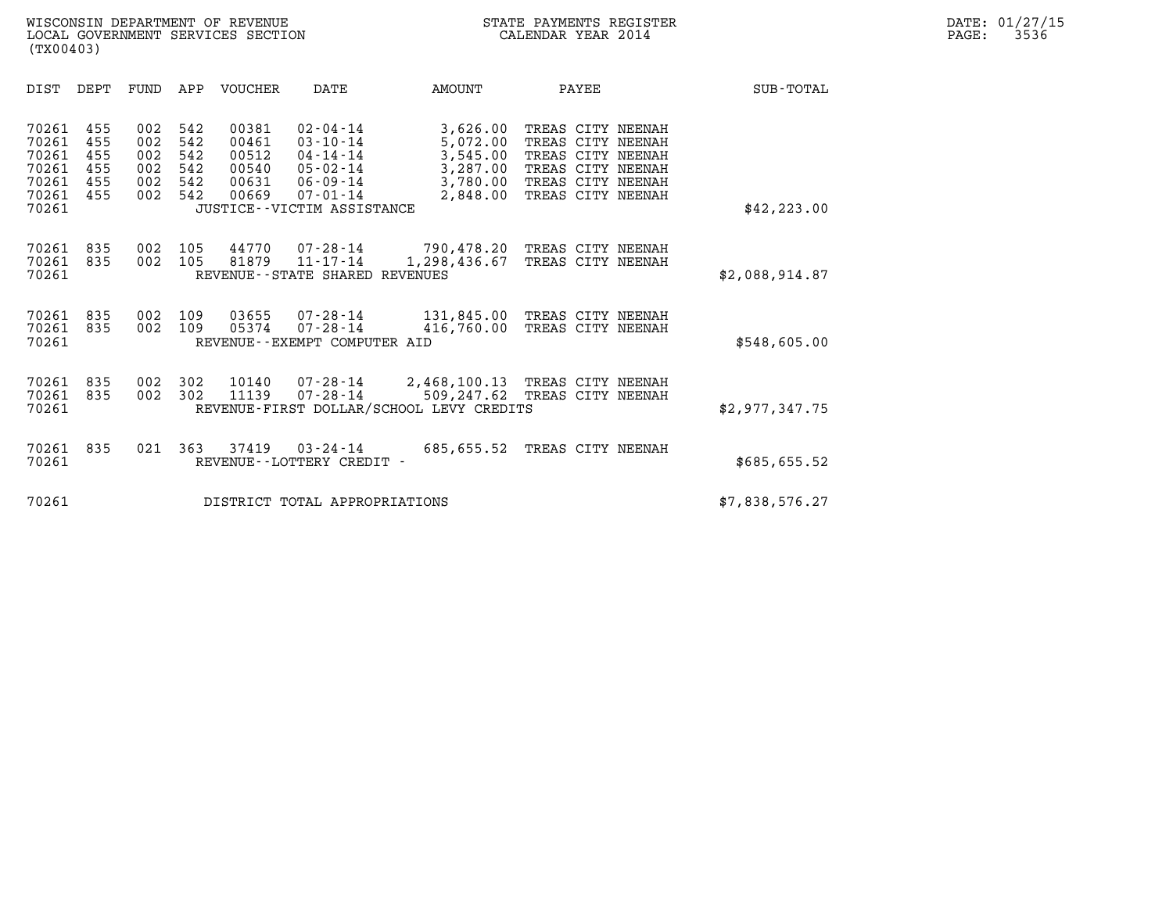|                                                             | (TX00403)                              |                                        |                                        |                                           |                                                                                                                               |                                                                                          |                                                                                                                            |  |                  |  |  |
|-------------------------------------------------------------|----------------------------------------|----------------------------------------|----------------------------------------|-------------------------------------------|-------------------------------------------------------------------------------------------------------------------------------|------------------------------------------------------------------------------------------|----------------------------------------------------------------------------------------------------------------------------|--|------------------|--|--|
| DIST                                                        | DEPT                                   | FUND                                   | APP                                    | <b>VOUCHER</b>                            | <b>DATE</b>                                                                                                                   | <b>AMOUNT</b>                                                                            | PAYEE                                                                                                                      |  | <b>SUB-TOTAL</b> |  |  |
| 70261<br>70261<br>70261<br>70261<br>70261<br>70261<br>70261 | 455<br>455<br>455<br>455<br>455<br>455 | 002<br>002<br>002<br>002<br>002<br>002 | 542<br>542<br>542<br>542<br>542<br>542 | 00381<br>00461<br>00512<br>00540<br>00669 | $02 - 04 - 14$<br>$03 - 10 - 14$<br>04-14-14<br>05-02-14<br>00631 06-09-14<br>$07 - 01 - 14$<br>JUSTICE - - VICTIM ASSISTANCE | 3,626.00<br>5,072.00<br>3,545.00<br>3,287.00<br>3,780.00<br>2,848.00                     | TREAS CITY NEENAH<br>TREAS CITY NEENAH<br>TREAS CITY NEENAH<br>TREAS CITY NEENAH<br>TREAS CITY NEENAH<br>TREAS CITY NEENAH |  | \$42, 223.00     |  |  |
| 70261<br>70261<br>70261                                     | 835<br>835                             | 002<br>002                             | 105<br>105                             | 44770<br>81879                            | 07-28-14<br>11-17-14<br>REVENUE - - STATE SHARED REVENUES                                                                     | 790,478.20 TREAS CITY NEENAH<br>1,298,436.67                                             | TREAS CITY NEENAH                                                                                                          |  | \$2,088,914.87   |  |  |
| 70261<br>70261<br>70261                                     | 835<br>835                             | 002<br>002                             | 109<br>109                             | 03655<br>05374                            | 07-28-14<br>07-28-14<br>REVENUE--EXEMPT COMPUTER AID                                                                          | 131,845.00<br>416,760.00                                                                 | TREAS CITY NEENAH<br>TREAS CITY NEENAH                                                                                     |  | \$548,605.00     |  |  |
| 70261<br>70261<br>70261                                     | 835<br>835                             | 002<br>002                             | 302<br>302                             | 10140<br>11139                            | 07-28-14<br>$07 - 28 - 14$                                                                                                    | 2,468,100.13 TREAS CITY NEENAH<br>509,247.62<br>REVENUE-FIRST DOLLAR/SCHOOL LEVY CREDITS | TREAS CITY NEENAH                                                                                                          |  | \$2,977,347.75   |  |  |
| 70261<br>70261                                              | 835                                    | 021                                    | 363                                    | 37419                                     | $03 - 24 - 14$<br>REVENUE - - LOTTERY CREDIT -                                                                                | 685,655.52                                                                               | TREAS CITY NEENAH                                                                                                          |  | \$685,655.52     |  |  |
| 70261                                                       |                                        |                                        |                                        | \$7,838,576.27                            |                                                                                                                               |                                                                                          |                                                                                                                            |  |                  |  |  |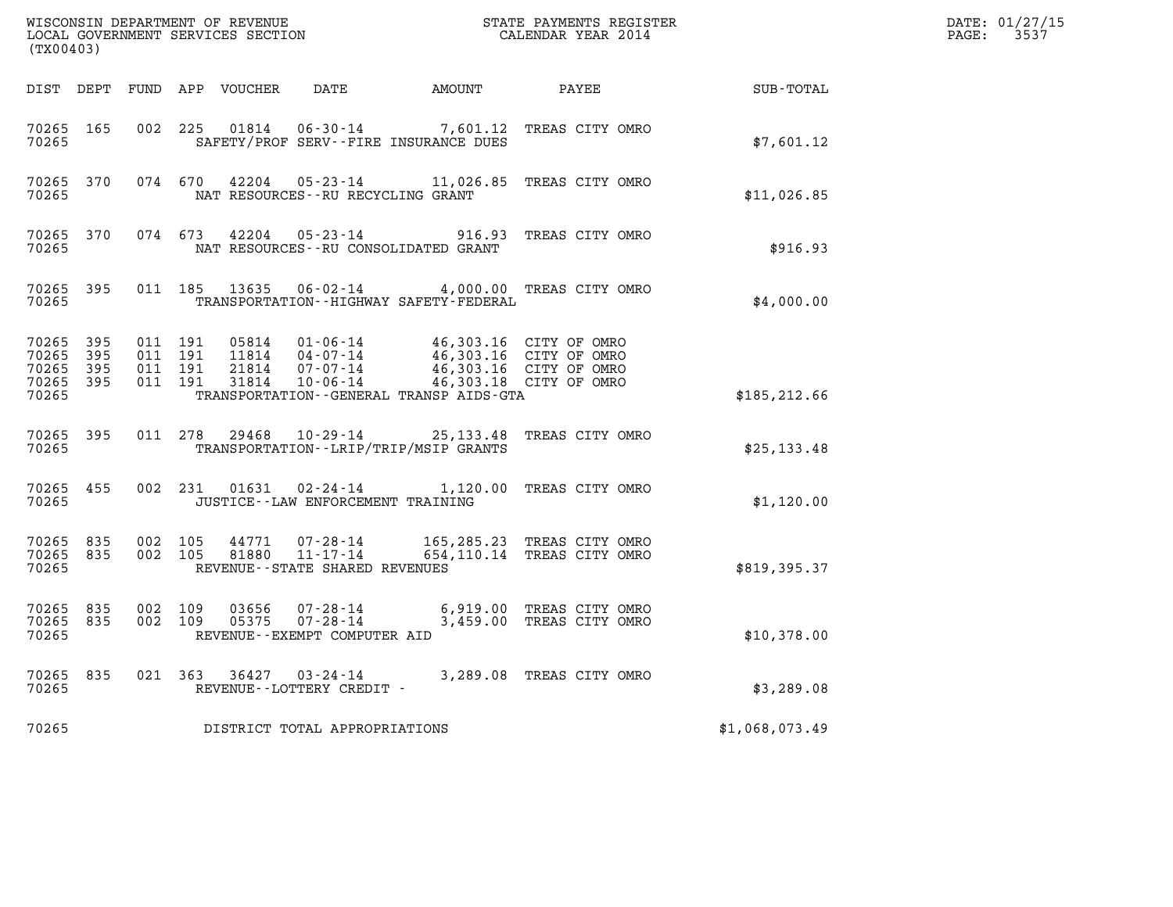| (TX00403)                                             |           |                    |                    | WISCONSIN DEPARTMENT OF REVENUE<br>LOCAL GOVERNMENT SERVICES SECTION |                                                                          |                                                                            | STATE PAYMENTS REGISTER<br>CALENDAR YEAR 2014                              |                | DATE: 01/27/15<br>$\mathtt{PAGE:}$<br>3537 |
|-------------------------------------------------------|-----------|--------------------|--------------------|----------------------------------------------------------------------|--------------------------------------------------------------------------|----------------------------------------------------------------------------|----------------------------------------------------------------------------|----------------|--------------------------------------------|
|                                                       |           |                    |                    | DIST DEPT FUND APP VOUCHER                                           |                                                                          | DATE AMOUNT PAYEE                                                          |                                                                            | SUB-TOTAL      |                                            |
| 70265 165<br>70265                                    |           | 002 225            |                    | 01814                                                                |                                                                          | SAFETY/PROF SERV--FIRE INSURANCE DUES                                      | 06-30-14 7,601.12 TREAS CITY OMRO                                          | \$7,601.12     |                                            |
| 70265 370<br>70265                                    |           |                    |                    | 074 670 42204                                                        | NAT RESOURCES - - RU RECYCLING GRANT                                     |                                                                            | 05-23-14 11,026.85 TREAS CITY OMRO                                         | \$11,026.85    |                                            |
| 70265                                                 | 70265 370 |                    |                    | 074 673 42204                                                        | $05 - 23 - 14$                                                           | NAT RESOURCES - - RU CONSOLIDATED GRANT                                    | 916.93 TREAS CITY OMRO                                                     | \$916.93       |                                            |
| 70265 395<br>70265                                    |           |                    |                    |                                                                      |                                                                          | TRANSPORTATION - - HIGHWAY SAFETY - FEDERAL                                | 011 185 13635 06-02-14 4,000.00 TREAS CITY OMRO                            | \$4,000.00     |                                            |
| 70265 395<br>70265 395<br>70265<br>70265 395<br>70265 | 395       | 011 191<br>011 191 | 011 191<br>011 191 | 05814<br>21814<br>31814                                              | 11814  04-07-14<br>07-07-14<br>$10 - 06 - 14$                            | 01-06-14 46,303.16 CITY OF OMRO<br>TRANSPORTATION--GENERAL TRANSP AIDS-GTA | 46,303.16 CITY OF OMRO<br>46,303.16 CITY OF OMRO<br>46,303.18 CITY OF OMRO | \$185, 212.66  |                                            |
| 70265 395<br>70265                                    |           |                    |                    |                                                                      |                                                                          | TRANSPORTATION - - LRIP/TRIP/MSIP GRANTS                                   | 011 278 29468 10-29-14 25,133.48 TREAS CITY OMRO                           | \$25,133.48    |                                            |
| 70265 455<br>70265                                    |           |                    |                    |                                                                      | JUSTICE -- LAW ENFORCEMENT TRAINING                                      |                                                                            | 002 231 01631 02-24-14 1,120.00 TREAS CITY OMRO                            | \$1,120.00     |                                            |
| 70265 835<br>70265 835<br>70265                       |           | 002 105<br>002 105 |                    |                                                                      | 44771 07-28-14<br>81880 11-17-14<br>REVENUE - - STATE SHARED REVENUES    |                                                                            | 165,285.23 TREAS CITY OMRO<br>654,110.14 TREAS CITY OMRO                   | \$819,395.37   |                                            |
| 70265 835<br>70265 835<br>70265                       |           | 002 109<br>002 109 |                    | 03656                                                                | $07 - 28 - 14$<br>$05375$ $07 - 28 - 14$<br>REVENUE--EXEMPT COMPUTER AID |                                                                            | 6,919.00 TREAS CITY OMRO<br>3,459.00 TREAS CITY OMRO                       | \$10,378.00    |                                            |
| 70265 835<br>70265                                    |           |                    |                    |                                                                      | REVENUE--LOTTERY CREDIT -                                                |                                                                            | 021  363  36427  03-24-14  3,289.08  TREAS CITY OMRO                       | \$3,289.08     |                                            |
| 70265                                                 |           |                    |                    |                                                                      | DISTRICT TOTAL APPROPRIATIONS                                            |                                                                            |                                                                            | \$1,068,073.49 |                                            |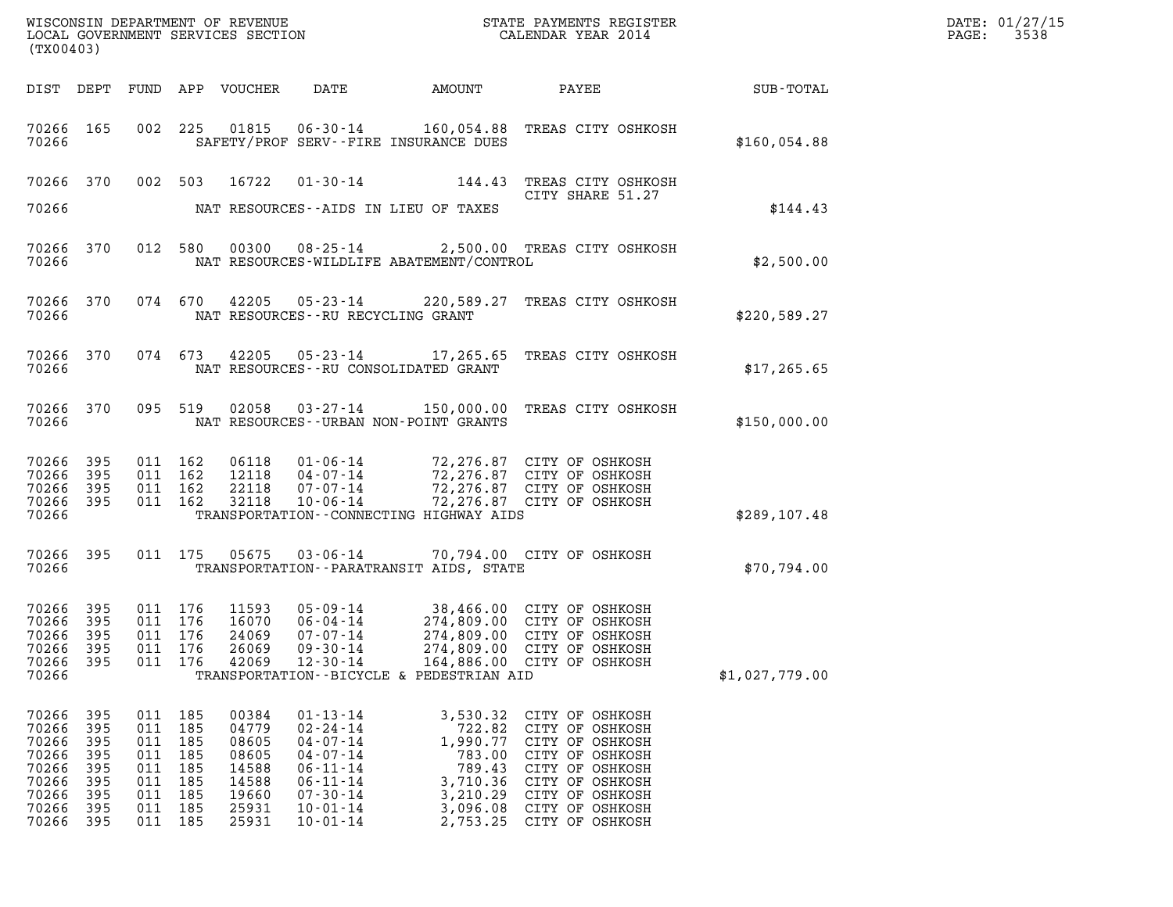| DATE: | 01/27/15 |
|-------|----------|
| PAGE: | 3538     |

| DATE<br>PAYEE SUB-TOTAL<br>DIST DEPT FUND APP VOUCHER<br>AMOUNT                                                                                                                                                                                                                                                                                     |  |
|-----------------------------------------------------------------------------------------------------------------------------------------------------------------------------------------------------------------------------------------------------------------------------------------------------------------------------------------------------|--|
|                                                                                                                                                                                                                                                                                                                                                     |  |
| 002 225 01815 06-30-14 160,054.88 TREAS CITY OSHKOSH<br>70266 165<br>70266<br>SAFETY/PROF SERV--FIRE INSURANCE DUES<br>\$160,054.88                                                                                                                                                                                                                 |  |
| 01-30-14 144.43 TREAS CITY OSHKOSH<br>70266 370 002 503 16722<br>CITY SHARE 51.27                                                                                                                                                                                                                                                                   |  |
| \$144.43<br>70266<br>NAT RESOURCES--AIDS IN LIEU OF TAXES                                                                                                                                                                                                                                                                                           |  |
| 012 580 00300 08-25-14 2,500.00 TREAS CITY OSHKOSH<br>70266 370<br>70266<br>NAT RESOURCES-WILDLIFE ABATEMENT/CONTROL<br>\$2,500.00                                                                                                                                                                                                                  |  |
| 074 670 42205 05-23-14 220,589.27 TREAS CITY OSHKOSH<br>70266 370<br>70266<br>NAT RESOURCES--RU RECYCLING GRANT<br>\$220,589.27                                                                                                                                                                                                                     |  |
| 074 673 42205 05-23-14 17,265.65 TREAS CITY OSHKOSH<br>70266 370<br>70266<br>NAT RESOURCES--RU CONSOLIDATED GRANT<br>\$17,265.65                                                                                                                                                                                                                    |  |
| 095 519 02058 03-27-14 150,000.00 TREAS CITY OSHKOSH<br>70266 370<br>70266<br>NAT RESOURCES - - URBAN NON - POINT GRANTS<br>\$150,000.00                                                                                                                                                                                                            |  |
| 70266 395<br>011 162<br>06118  01-06-14  72,276.87  CITY OF OSHKOSH<br>12118  04-07-14  72,276.87  CITY OF OSHKOSH<br>22118  07-07-14  72,276.87  CITY OF OSHKOSH<br>32118  10-06-14  72,276.87  CITY OF OSHKOSH<br>70266 395<br>011 162<br>70266 395<br>011 162                                                                                    |  |
| 70266 395<br>011 162<br>70266<br>TRANSPORTATION--CONNECTING HIGHWAY AIDS<br>\$289, 107.48                                                                                                                                                                                                                                                           |  |
| 70266 395<br>011 175 05675 03-06-14 70,794.00 CITY OF OSHKOSH<br>70266<br>TRANSPORTATION - - PARATRANSIT AIDS, STATE<br>\$70,794.00                                                                                                                                                                                                                 |  |
| 11593  05-09-14  38,466.00  CITY OF OSHKOSH<br>16070  06-04-14  274,809.00  CITY OF OSHKOSH<br>70266 395<br>011 176<br>011 176<br>70266<br>395<br>70266 395<br>011 176<br>24069<br>07-07-14<br>274,809.00 CITY OF OSHKOSH                                                                                                                           |  |
| 70266<br>395<br>011 176<br>26069<br>$09 - 30 - 14$<br>274,809.00 CITY OF OSHKOSH<br>70266<br>011 176<br>42069<br>$12 - 30 - 14$<br>164,886.00 CITY OF OSHKOSH<br>-395<br>70266<br>TRANSPORTATION--BICYCLE & PEDESTRIAN AID<br>\$1,027,779.00                                                                                                        |  |
| 70266<br>395<br>011 185<br>00384<br>$01 - 13 - 14$<br>3,530.32 CITY OF OSHKOSH<br>70266<br>395<br>011<br>185<br>04779<br>$02 - 24 - 14$<br>722.82<br>CITY OF OSHKOSH                                                                                                                                                                                |  |
| 70266<br>395<br>011 185<br>08605<br>$04 - 07 - 14$<br>1,990.77<br>CITY OF OSHKOSH<br>70266<br>185<br>08605<br>$04 - 07 - 14$<br>783.00<br>CITY OF OSHKOSH<br>395<br>011<br>70266<br>395<br>185<br>14588<br>$06 - 11 - 14$<br>789.43<br>CITY OF OSHKOSH<br>011                                                                                       |  |
| 70266<br>185<br>14588<br>$06 - 11 - 14$<br>3,710.36<br>CITY OF OSHKOSH<br>395<br>011<br>70266<br>395<br>011 185<br>19660<br>$07 - 30 - 14$<br>3,210.29<br>CITY OF OSHKOSH<br>70266<br>011 185<br>25931<br>$10 - 01 - 14$<br>3,096.08<br>CITY OF OSHKOSH<br>395<br>70266<br>395<br>011 185<br>25931<br>$10 - 01 - 14$<br>2,753.25<br>CITY OF OSHKOSH |  |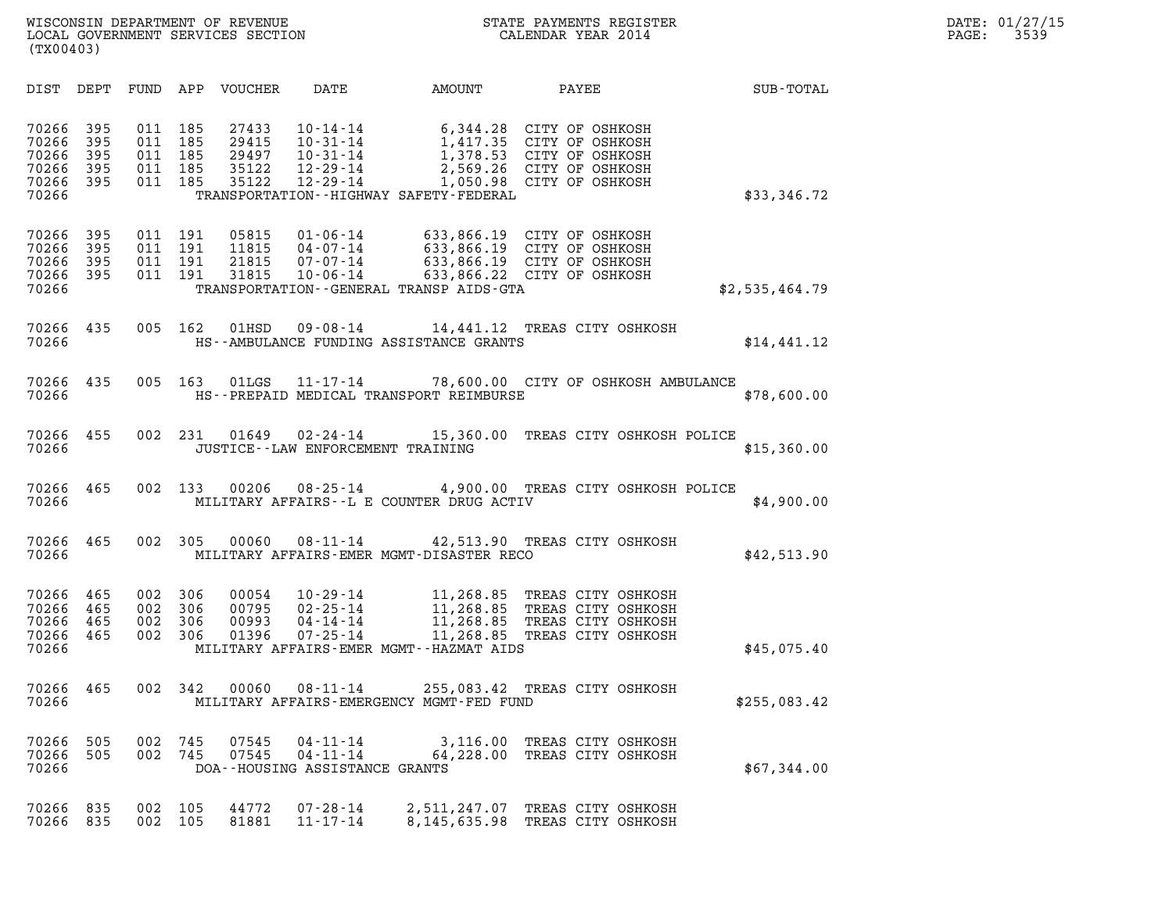| (TX00403)                                          |                                 |                                 |                                 |                                           |                                                                                        |                                                                                 |                                                                                                                      |                |
|----------------------------------------------------|---------------------------------|---------------------------------|---------------------------------|-------------------------------------------|----------------------------------------------------------------------------------------|---------------------------------------------------------------------------------|----------------------------------------------------------------------------------------------------------------------|----------------|
| DIST                                               | DEPT                            | FUND                            | APP                             | <b>VOUCHER</b>                            | DATE                                                                                   | AMOUNT                                                                          | PAYEE                                                                                                                | SUB-TOTAL      |
| 70266<br>70266<br>70266<br>70266<br>70266<br>70266 | 395<br>395<br>395<br>395<br>395 | 011<br>011<br>011<br>011<br>011 | 185<br>185<br>185<br>185<br>185 | 27433<br>29415<br>29497<br>35122<br>35122 | $10 - 14 - 14$<br>$10 - 31 - 14$<br>$10 - 31 - 14$<br>$12 - 29 - 14$<br>$12 - 29 - 14$ | 6,344.28<br>1,417.35<br>1,378.53<br>TRANSPORTATION - - HIGHWAY SAFETY - FEDERAL | CITY OF OSHKOSH<br>CITY OF OSHKOSH<br>CITY OF OSHKOSH<br>2,569.26 CITY OF OSHKOSH<br>1,050.98 CITY OF OSHKOSH        | \$33,346.72    |
| 70266<br>70266<br>70266<br>70266<br>70266          | 395<br>395<br>395<br>395        | 011<br>011<br>011<br>011        | 191<br>191<br>191<br>191        | 05815<br>11815<br>21815<br>31815          | $01 - 06 - 14$<br>$04 - 07 - 14$<br>$07 - 07 - 14$<br>$10 - 06 - 14$                   | TRANSPORTATION--GENERAL TRANSP AIDS-GTA                                         | 633,866.19 CITY OF OSHKOSH<br>633,866.19 CITY OF OSHKOSH<br>633,866.19 CITY OF OSHKOSH<br>633,866.22 CITY OF OSHKOSH | \$2,535,464.79 |
| 70266<br>70266                                     | 435                             | 005                             | 162                             | 01HSD                                     | $09 - 08 - 14$                                                                         | HS--AMBULANCE FUNDING ASSISTANCE GRANTS                                         | 14,441.12 TREAS CITY OSHKOSH                                                                                         | \$14,441.12    |
| 70266<br>70266                                     | 435                             | 005                             | 163                             | 01LGS                                     | $11 - 17 - 14$                                                                         | HS--PREPAID MEDICAL TRANSPORT REIMBURSE                                         | 78,600.00 CITY OF OSHKOSH AMBULANCE                                                                                  | \$78,600.00    |
| 70266<br>70266                                     | 455                             | 002                             | 231                             | 01649                                     | $02 - 24 - 14$                                                                         | JUSTICE - - LAW ENFORCEMENT TRAINING                                            | 15,360.00 TREAS CITY OSHKOSH POLICE                                                                                  | \$15,360.00    |
| 70266<br>70266                                     | 465                             | 002                             | 133                             | 00206                                     | $08 - 25 - 14$                                                                         | MILITARY AFFAIRS--L E COUNTER DRUG ACTIV                                        | 4,900.00 TREAS CITY OSHKOSH POLICE                                                                                   | \$4,900.00     |
| 70266<br>70266                                     | 465                             | 002                             | 305                             | 00060                                     | $08 - 11 - 14$                                                                         | MILITARY AFFAIRS-EMER MGMT-DISASTER RECO                                        | 42,513.90 TREAS CITY OSHKOSH                                                                                         | \$42,513.90    |
| 70266<br>70266<br>70266<br>70266<br>70266          | 465<br>465<br>465<br>465        | 002<br>002<br>002<br>002        | 306<br>306<br>306<br>306        | 00054<br>00795<br>00993<br>01396          | $10 - 29 - 14$<br>$02 - 25 - 14$<br>$04 - 14 - 14$<br>$07 - 25 - 14$                   | 11,268.85<br>11,268.85<br>11,268.85<br>MILITARY AFFAIRS-EMER MGMT--HAZMAT AIDS  | 11,268.85 TREAS CITY OSHKOSH<br>TREAS CITY OSHKOSH<br>TREAS CITY OSHKOSH<br>TREAS CITY OSHKOSH                       | \$45,075.40    |
| 70266<br>70266                                     | 465                             | 002                             | 342                             | 00060                                     | $08 - 11 - 14$                                                                         | 255,083.42<br>MILITARY AFFAIRS-EMERGENCY MGMT-FED FUND                          | TREAS CITY OSHKOSH                                                                                                   | \$255,083.42   |
| 70266<br>70266<br>70266                            | 505<br>505                      | 002<br>002                      | 745<br>745                      | 07545<br>07545                            | $04 - 11 - 14$<br>$04 - 11 - 14$<br>DOA--HOUSING ASSISTANCE GRANTS                     |                                                                                 | 3,116.00 TREAS CITY OSHKOSH<br>64,228.00 TREAS CITY OSHKOSH                                                          | \$67,344.00    |
| 70266<br>70266                                     | 835<br>835                      | 002<br>002                      | 105<br>105                      | 44772<br>81881                            | $07 - 28 - 14$<br>$11 - 17 - 14$                                                       | 2,511,247.07<br>8, 145, 635, 98                                                 | TREAS CITY OSHKOSH<br>TREAS CITY OSHKOSH                                                                             |                |